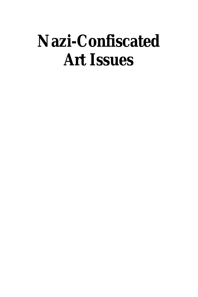# **Nazi-Confiscated Art Issues**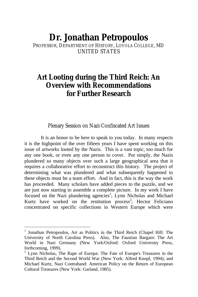# **Dr. Jonathan Petropoulos**

PROFESSOR, DEPARTMENT OF HISTORY, LOYOLA COLLEGE, MD UNITED STATES

## **Art Looting during the Third Reich: An Overview with Recommendations for Further Research**

Plenary Session on Nazi-Confiscated Art Issues

It is an honor to be here to speak to you today. In many respects it is the highpoint of the over fifteen years I have spent working on this issue of artworks looted by the Nazis. This is a vast topic, too much for any one book, or even any one person to cover. Put simply, the Nazis plundered so many objects over such a large geographical area that it requires a collaborative effort to reconstruct this history. The project of determining what was plundered and what subsequently happened to these objects must be a team effort. And in fact, this is the way the work has proceeded. Many scholars have added pieces to the puzzle, and we are just now starting to assemble a complete picture. In my work I have focused on the Nazi plundering agencies<sup>1</sup>; Lynn Nicholas and Michael Kurtz have worked on the restitution process<sup>2</sup>; Hector Feliciano concentrated on specific collections in Western Europe which were

 1 Jonathan Petropoulos, Art as Politics in the Third Reich (Chapel Hill: The University of North Carolina Press). Also, The Faustian Bargain: The Art World in Nazi Germany (New York/Oxford: Oxford University Press, forthcoming, 1999).

 $2$  Lynn Nicholas, The Rape of Europa: The Fate of Europe's Treasures in the Third Reich and the Second World War (New York: Alfred Knopf, 1994); and Michael Kurtz, Nazi Contraband: American Policy on the Return of European Cultural Treasures (New York: Garland, 1985).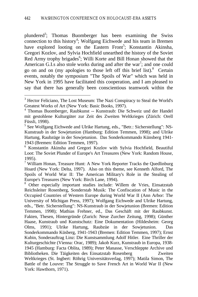plundered<sup>3</sup>; Thomas Buomberger has been examining the Swiss connection to this history<sup>4</sup>; Wolfgang Eichwede and his team in Bremen have explored looting on the Eastern Front<sup>5</sup>; Konstantin Akinsha, Gregori Kozlov, and Sylvia Hochfield unearthed the history of the Soviet Red Army trophy brigades<sup>6</sup>; Willi Korte and Bill Honan showed that the American G.I.s also stole works during and after the war<sup>7</sup>; and one could go on and on (my apologies to those left off this brief list).8 Certain events, notably the symposium "The Spoils of War" which was held in New York in 1995 have facilitated this cooperation, and I am pleased to say that there has generally been conscientious teamwork within the

<sup>&</sup>lt;sup>3</sup> Hector Feliciano, The Lost Museum: The Nazi Conspiracy to Steal the World's Greatest Works of Art (New York: Basic Books, 1997).

<sup>4</sup> Thomas Buomberger, Raubkunst -- Kunstraub: Die Schweiz und der Handel mit gestohlene Kulturgüter zur Zeit des Zweiten Weltkrieges (Zürich: Orell Füssli, 1998).

<sup>&</sup>lt;sup>5</sup> See Wolfgang Eichwede and Ulrike Hartung, eds., "Betr.: Sicherstellung": NS-Kunstraub in der Sowjetunion (Hamburg: Edition Temmen, 1998); and Ulrike Hartung, Raubzüge in der Sowjetunion. Das Sonderkommando Künsberg 1941- 1943 (Bremen: Edition Temmen, 1997).

<sup>6</sup> Konstantin Akinsha and Gregori Kozlov with Sylvia Hochfield, Beautiful Loot: The Soviet Plunder of Europe's Art Treasures (New York: Random House, 1995).

<sup>&</sup>lt;sup>7</sup> William Honan, Treasure Hunt: A New York Reporter Tracks the Quedlinburg Hoard (New York: Delta, 1997). Also on this theme, see Kenneth Alford, The Spoils of World War II: The American Military's Role in the Stealing of Europe's Treasures (New York: Birch Lane, 1994).

<sup>&</sup>lt;sup>8</sup> Other especially important studies include: Willem de Vries, Einsatzstab Reichsleiter Rosenberg, Sonderstab Musik: The Confiscation of Music in the Occupied Countries of Western Europe during World War II (Ann Arbor: The University of Michigan Press, 1997); Wolfgang Eichwede and Ulrike Hartung, eds., "Betr. Sicherstellung": NS-Kunstraub in der Sowjetunion (Bremen: Edition Temmen, 1998); Mathias Frehner, ed., Das Geschäft mit der Raubkunst. Fakten, Thesen, Hintergründe (Zurich: Neue Zurcher Zeitung, 1998); Günther Haase, Kunstraub und Kunstschutz: Eine Dokumentation (Hildesheim: Georg Olms, 1991); Ulrike Hartung, Raubzüe in der Sowjetunion. Das Sonderkommando Küsberg, 1941-1943 (Bremen: Edition Temmen, 1997); Ernst Kubin, Sonderauftrag Linz: Die Kunstsammlung Adolf Hitler. Eine Thriller der Kulturgeschichte (Vienna: Orac, 1989); Jakob Kurz, Kunstraub in Europa, 1938- 1945 (Hamburg: Facta Oblita, 1989); Peter Manasse, Verschleppte Archive und Bibliotheken. Die Täigkeiten des Einsatzstab Rosenberg Zweiten Weltkrieges (St. Ingbert: Röhrig Universitätsverlag, 1997); Matila Simon, The Battle of the Louvre: The Struggle to Save French Art in World War II (New York: Hawthorn, 1971).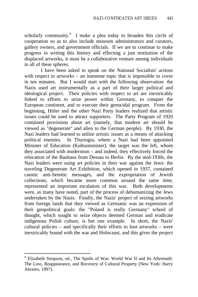scholarly community.<sup>9</sup> I make a plea today to broaden this circle of cooperation so as to also include museum administrators and curators, gallery owners, and government officials. If we are to continue to make progress in writing this history and effecting a just restitution of the displaced artworks, it must be a collaborative venture among individuals in all of these spheres.

I have been asked to speak on the National Socialists' actions with respect to artworks – an immense topic that is impossible to cover in ten minutes. But I would start with the following observation: the Nazis used art instrumentally as a part of their larger political and ideological project. Their policies with respect to art are inextricably linked to efforts to seize power within Germany, to conquer the European continent, and to execute their genocidal program. From the beginning, Hitler and the other Nazi Party leaders realized that artistic issues could be used to attract supporters. The Party Program of 1920 contained provisions about art (namely, that modern art should be viewed as "degenerate" and alien to the German people). By 1930, the Nazi leaders had learned to utilize artistic issues as a means of attacking political enemies. In Thuringia, where a Nazi had been appointed Minister of Education (Kultusminister), the target was the left, whom they associated with modernism – and indeed, they effectively forced the relocation of the Bauhaus from Dessau to Berlin. By the mid-1930s, the Nazi leaders were using art policies in their war against the Jews: the traveling Degenerate Art Exhibition, which opened in 1937, contained caustic anti-Semitic messages, and the expropriation of Jewish collections, which became more common around the same time, represented an important escalation of this war. Both developments were, as many have noted, part of the process of dehumanizing the Jews undertaken by the Nazis. Finally, the Nazis' project of seizing artworks from foreign lands that they viewed as Germanic was an expression of their geopolitical goals: the "Poland is really Germany" school of thought, which sought to seize objects deemed German and eradicate indigenous Polish culture, is but one example. In short, the Nazis' cultural policies – and specifically their efforts to loot artworks – were inextricably bound with the war and Holocaust, and this gives the project

<sup>&</sup>lt;sup>9</sup> Elizabeth Simpson, ed., The Spoils of War: World War II and Its Aftermath: The Loss, Reappearance, and Recovery of Cultural Property (New York: Harry Abrams, 1997).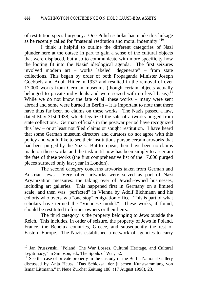of restitution special urgency. One Polish scholar has made this linkage as he recently called for "material restitution and moral indemnity."<sup>10</sup>

I think it helpful to outline the different categories of Nazi plunder here at the outset; in part to gain a sense of the cultural objects that were displaced, but also to communicate with more specificity how the looting fit into the Nazis' ideological agenda. The first seizures involved modern art – works labeled "degenerate" – from state collections. This began by order of both Propaganda Minister Joseph Goebbels and Adolf Hitler in 1937 and resulted in the removal of over 17,000 works from German museums (though certain objects actually belonged to private individuals and were seized with no legal basis).<sup>11</sup> While we do not know the fate of all these works – many were sent abroad and some were burned in Berlin  $-$  it is important to note that there have thus far been no claims on these works. The Nazis passed a law, dated May 31st 1938, which legalized the sale of artworks purged from state collections. German officials in the postwar period have recognized this law – or at least not filed claims or sought restitution. I have heard that some German museum directors and curators do not agree with this policy and would like to see their institutions pursue certain artworks that had been purged by the Nazis. But to repeat, there have been no claims made on these works and the task until now has been simply to ascertain the fate of these works (the first comprehensive list of the 17,000 purged pieces surfaced only last year in London).

The second category concerns artworks taken from German and Austrian Jews. Very often artworks were seized as part of Nazi Aryanization measures: the taking over of Jewish-owned businesses, including art galleries. This happened first in Germany on a limited scale, and then was "perfected" in Vienna by Adolf Eichmann and his cohorts who oversaw a "one stop" emigration office. This is part of what scholars have termed the "Viennese model." These works, if found, should be restituted to former owners or their heirs.

The third category is the property belonging to Jews outside the Reich. This includes, in order of seizure, the property of Jews in Poland, France, the Benelux countries, Greece, and subsequently the rest of Eastern Europe. The Nazis established a network of agencies to carry

<sup>&</sup>lt;sup>10</sup> Jan Pruszynski, "Poland: The War Losses, Cultural Heritage, and Cultural Legitimacy," in Simpson, ed., The Spoils of War, 52.

 $11$  See the case of private property in the custody of the Berlin National Gallery discussed by Anja Heuss, "Das Schicksal der jüischen Kunstsammlung von Ismar Littmann," in Neue Zürcher Zeitung 188 (17 August 1998), 23.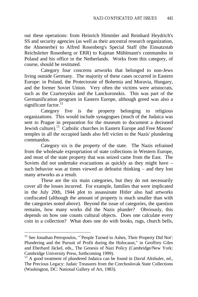out these operations: from Heinrich Himmler and Reinhard Heydrich's SS and security agencies (as well as their ancestral research organization, the Ahnenerbe) to Alfred Rosenberg's Special Staff (the Einsatzstab Reichsleiter Rosenberg or ERR) to Kajetan Mühlmann's commandos in Poland and his office in the Netherlands. Works from this category, of course, should be restituted.

Category four concerns artworks that belonged to non-Jews living outside Germany. The majority of these cases occurred in Eastern Europe: in Poland, the Protectorate of Bohemia and Moravia, Hungary, and the former Soviet Union. Very often the victims were aristocrats, such as the Czartoryskis and the Lanckoronskis. This was part of the Germanification program in Eastern Europe, although greed was also a significant factor. $^{12}$ 

Category five is the property belonging to religious organizations. This would include synagogues (much of the Judaica was sent to Prague in preparation for the museum to document a deceased Jewish culture).<sup>13</sup> Catholic churches in Eastern Europe and Free Masons' temples in all the occupied lands also fell victim to the Nazis' plundering commandos.

Category six is the property of the state. The Nazis refrained from the wholesale expropriation of state collections in Western Europe, and most of the state property that was seized came from the East. The Soviets did not undertake evacuations as quickly as they might have – such behavior was at times viewed as defeatist thinking – and they lost many artworks as a result.

These are the six main categories, but they do not necessarily cover all the losses incurred. For example, families that were implicated in the July 20th, 1944 plot to assassinate Hitler also had artworks confiscated (although the amount of property is much smaller than with the categories noted above). Beyond the issue of categories, the question remains, how many works did the Nazis plunder? Obviously, this depends on how one counts cultural objects. Does one calculate every coin in a collection? What does one do with books, rugs, church bells,

<sup>&</sup>lt;sup>12</sup> See Jonathan Petropoulos, "`People Turned to Ashes, Their Property Did Not': Plundering and the Pursuit of Profit during the Holocaust," in Geoffrey Giles and Eberhard Jäckel, eds., The Genesis of Nazi Policy (Cambridge/New York: Cambridge University Press, forthcoming 1999).

<sup>&</sup>lt;sup>13</sup> A good treatment of plundered Judaica can be found in David Altshuler, ed., The Precious Legacy: Judaic Treasures from the Czechoslovak State Collections (Washington, DC: National Gallery of Art, 1983).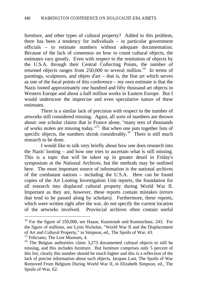furniture, and other types of cultural property? Added to this problem, there has been a tendency for individuals – in particular government officials – to estimate numbers without adequate documentation. Because of the lack of consensus on how to count cultural objects, the estimates vary greatly. Even with respect to the restitution of objects by the U.S.A. through their Central Collecting Points, the number of returned objects ranges from  $250,000$  to several million.<sup>14</sup> In terms of paintings, sculptures, and objets d'art – that is, the fine art which serves as one of the focal points of this conference – my own estimate is that the Nazis looted approximately one hundred and fifty thousand art objects in Western Europe and about a half million works in Eastern Europe. But I would underscore the imprecise and even speculative nature of these estimates.

There is a similar lack of precision with respect to the number of artworks still considered missing. Again, all sorts of numbers are thrown about: one scholar claims that in France alone, "many tens of thousands of works stolen are missing today."<sup>15</sup> But when one puts together lists of specific objects, the numbers shrink considerably.<sup>16</sup> There is still much research to be done.

I would like to talk very briefly about how one does research into the Nazis' looting – and how one tries to ascertain what is still missing. This is a topic that will be taken up in greater detail in Friday's symposium at the National Archives, but the methods may be outlined here. The most important source of information is the national archives of the combatant nations – including the U.S.A. Here can be found copies of the Art Looting Investigation Unit reports, the foundation for all research into displaced cultural property during World War II. Important as they are, however, these reports contain mistakes (errors that tend to be passed along by scholars). Furthermore, these reports, which were written right after the war, do not specify the current location of the artworks involved. Provincial archives often contain useful

<sup>&</sup>lt;sup>14</sup> For the figure of 250,000, see Haase, Kunstraub und Kunstschutz, 243. For the figure of millions, see Lynn Nicholas, "World War II and the Displacement of Art and Cultural Property," in Simpson, ed., The Spoils of War, 43.

<sup>&</sup>lt;sup>15</sup> Feliciano, The Lost Museum, 4.

<sup>&</sup>lt;sup>16</sup> The Belgian authorities claim 3,273 documented cultural objects to still be missing, and this includes furniture. But furniture comprises only 5 percent of this list; clearly this number should be much higher and this is a reflection of the lack of precise information about such objects, Jacques Lust, The Spoils of War Removed From Belgium During World War II, in Elizabeth Simpson, ed., The Spoils of War, 62.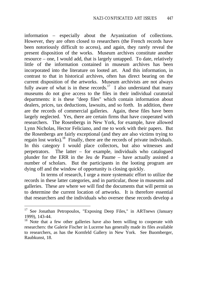information – especially about the Aryanization of collections. However, they are often closed to researchers (the French records have been notoriously difficult to access), and again, they rarely reveal the present disposition of the works. Museum archives constitute another resource – one, I would add, that is largely untapped. To date, relatively little of the information contained in museum archives has been incorporated into the literature on looted art. And this information, in contrast to that in historical archives, often has direct bearing on the current disposition of the artworks. Museum archivists are not always fully aware of what is in these records.<sup>17</sup> I also understand that many museums do not give access to the files in their individual curatorial departments: it is these "deep files" which contain information about dealers, prices, tax deductions, lawsuits, and so forth. In addition, there are the records of commercial galleries. Again, these files have been largely neglected. Yes, there are certain firms that have cooperated with researchers. The Rosenbergs in New York, for example, have allowed Lynn Nicholas, Hector Feliciano, and me to work with their papers. But the Rosenbergs are fairly exceptional (and they are also victims trying to regain lost works).<sup>18</sup> Finally, there are the records of private individuals. In this category I would place collectors, but also witnesses and perpetrators. The latter – for example, individuals who catalogued plunder for the ERR in the Jeu de Paume – have actually assisted a number of scholars. But the participants in the looting program are dying off and the window of opportunity is closing quickly.

In terms of research, I urge a more systematic effort to utilize the records in these latter categories, and in particular, those in museums and galleries. These are where we will find the documents that will permit us to determine the current location of artworks. It is therefore essential that researchers and the individuals who oversee these records develop a

<sup>&</sup>lt;sup>17</sup> See Jonathan Petropoulos, "Exposing Deep Files," in ARTnews (January 1999), 143-44.

<sup>&</sup>lt;sup>18</sup> Note that a few other galleries have also been willing to cooperate with researchers: the Galerie Fischer in Lucerne has generally made its files available to researchers, as has the Kornfeld Gallery in New York. See Buomberger, Raubkunst, 18.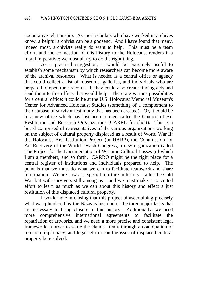cooperative relationship. As most scholars who have worked in archives know, a helpful archivist can be a godsend. And I have found that many, indeed most, archivists really do want to help. This must be a team effort, and the connection of this history to the Holocaust renders it a moral imperative: we must all try to do the right thing.

As a practical suggestion, it would be extremely useful to establish some mechanism by which researchers can become more aware of the archival resources. What is needed is a central office or agency that could collect a list of museums, galleries, and individuals who are prepared to open their records. If they could also create finding aids and send them to this office, that would help. There are various possibilities for a central office: it could be at the U.S. Holocaust Memorial Museum's Center for Advanced Holocaust Studies (something of a complement to the database of survivor testimony that has been created). Or, it could be in a new office which has just been formed called the Council of Art Restitution and Research Organizations (CARRO for short). This is a board comprised of representatives of the various organizations working on the subject of cultural property displaced as a result of World War II: the Holocaust Art Restitution Project (or HARP), the Commission for Art Recovery of the World Jewish Congress, a new organization called The Project for the Documentation of Wartime Cultural Losses (of which I am a member), and so forth. CARRO might be the right place for a central register of institutions and individuals prepared to help. The point is that we must do what we can to facilitate teamwork and share information. We are now at a special juncture in history – after the Cold War but with survivors still among us – and we must make a concerted effort to learn as much as we can about this history and effect a just restitution of this displaced cultural property.

I would note in closing that this project of ascertaining precisely what was plundered by the Nazis is just one of the three major tasks that are necessary to bring closure to this history. Additionally, we need more comprehensive international agreements to facilitate the repatriation of artworks, and we need a more precise and consistent legal framework in order to settle the claims. Only through a combination of research, diplomacy, and legal reform can the issue of displaced cultural property be resolved.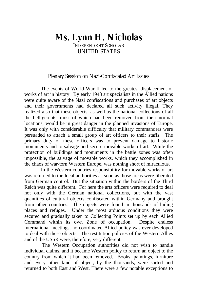## **Ms. Lynn H. Nicholas** INDEPENDENT SCHOLAR UNITED STATES

#### Plenary Session on Nazi-Confiscated Art Issues

The events of World War II led to the greatest displacement of works of art in history. By early 1943 art specialists in the Allied nations were quite aware of the Nazi confiscations and purchases of art objects and their governments had declared all such activity illegal. They realized also that these objects, as well as the national collections of all the belligerents, most of which had been removed from their normal locations, would be in great danger in the planned invasions of Europe. It was only with considerable difficulty that military commanders were persuaded to attach a small group of art officers to their staffs. The primary duty of these officers was to prevent damage to historic monuments and to salvage and secure movable works of art. While the protection of buildings and monuments in the battle zones was often impossible, the salvage of movable works, which they accomplished in the chaos of war-torn Western Europe, was nothing short of miraculous.

In the Western countries responsibility for movable works of art was returned to the local authorities as soon as those areas were liberated from German control. But the situation within the borders of the Third Reich was quite different. For here the arts officers were required to deal not only with the German national collections, but with the vast quantities of cultural objects confiscated within Germany and brought from other countries. The objects were found in thousands of hiding places and refuges. Under the most arduous conditions they were secured and gradually taken to Collecting Points set up by each Allied Command within its own Zone of occupation. Despite endless international meetings, no coordinated Allied policy was ever developed to deal with these objects. The restitution policies of the Western Allies and of the USSR were, therefore, very different.

 The Western Occupation authorities did not wish to handle individual claims, and it became Western policy to return an object to the country from which it had been removed. Books, paintings, furniture and every other kind of object, by the thousands, were sorted and returned to both East and West. There were a few notable exceptions to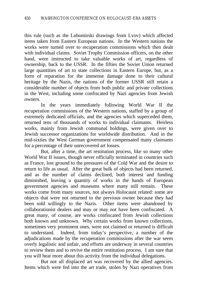this rule (such as the Lubomirski drawings from Lvov) which affected items taken from Eastern European nations. In the Western nations the works were turned over to recuperation commissions which then dealt with individual claims. Soviet Trophy Commission officers, on the other hand, were instructed to take valuable works of art, regardless of ownership, back to the USSR. In the fifties the Soviet Union returned large quantities of art to state collections in Eastern Europe, but, as a form of reparation for the immense damage done to their cultural heritage by the Nazis, the nations of the former USSR still retain a considerable number of objects from both public and private collections in the West, including some confiscated by Nazi agencies from Jewish owners.

In the years immediately following World War II the recuperation commissions of the Western nations, staffed by a group of extremely dedicated officials, and the agencies which superceded them, returned tens of thousands of works to individual claimants. Heirless works, mainly from Jewish communal holdings, were given over to Jewish successor organizations for worldwide distribution. And in the mid-sixties the West German government compensated many claimants for a percentage of their unrecovered art losses.

But, after a time, the art restitution process, like so many other World War II issues, though never officially terminated in countries such as France, lost ground to the pressures of the Cold War and the desire to return to life as usual. After the great bulk of objects had been returned, and as the number of claims declined, both interest and funding diminished, leaving a quantity of works in the hands of European government agencies and museums where many still remain. These works come from many sources, not always Holocaust related: some are objects that were not returned to the previous owner because they had been sold willingly to the Nazis. Other items were abandoned by collaborationist dealers and may or may not have been confiscated. A great many, of course, are works confiscated from Jewish collections both known and unknown. Why certain works from known collections, sometimes very prominent ones, were not claimed or returned is difficult to understand. Indeed, from today's perspective, a number of the adjudications made by the recuperation commissions after the war seem overly legalistic and unfair, and efforts are underway in several countries to review them and to revive the entire restitution process. I am sure that you will hear more about this activity from the individual delegations.

But not all displaced art was recovered by the allied agencies. Items which were fed into the art trade, stolen by Nazi operatives from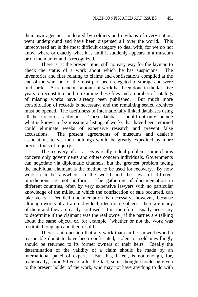their own agencies, or looted by soldiers and civilians of every nation, went underground and have been dispersed all over the world. This unrecovered art is the most difficult category to deal with, for we do not know where or exactly what it is until it suddenly appears in a museum or on the market and is recognized.

There is, at the present time, still no easy way for the layman to check the status of a work about which he has suspicions. The inventories and files relating to claims and confiscations compiled at the end of the war had for the most part been relegated to storage and were in disorder. A tremendous amount of work has been done in the last five years to reconstitute and re-examine these files and a number of catalogs of missing works have already been published. But much more consolidation of records is necessary, and the remaining sealed archives must be opened. The usefulness of internationally linked databases using all these records is obvious, ` These databases should not only include what is known to be missing a listing of works that have been returned could eliminate weeks of expensive research and prevent false accusations. The present agreements of museums and dealer's associations to vet their holdings would be greatly expedited by more precise tools of inquiry.

The recovery of art assets is really a dual problem: some claims concern only governments and others concern individuals. Governments can negotiate via diplomatic channels, but the greatest problem facing the individual claimant is the method to be used for recovery. By now works can be anywhere in the world and the laws of different jurisdictions are not uniform. The gathering of documentation in different countries, often by very expensive lawyers with no particular knowledge of the milieu in which the confiscation or sale occurred, can take years. Detailed documentation *is* necessary, however, because although works of art are individual, identifiable objects, there are many of them and they are easily confused. It is, therefore, usually necessary to determine if the claimant was the real owner, if the parties are talking about the same object, or, for example, `whether or not the work was restituted long ago and then resold.

There is no question that any work that can be shown beyond a reasonable doubt to have been confiscated, stolen, or sold unwillingly should be returned to its former owners or their heirs. Ideally the determination of the validity of a claim should be made by an international panel of experts. But this, I feel, is not enough, for, realistically, some 50 years after the fact, some thought should be given to the present holder of the work, who may not have anything to do with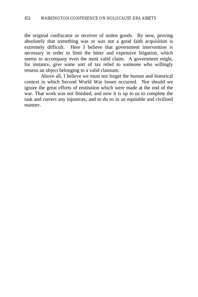the original confiscator or receiver of stolen goods. By now, proving absolutely that something was or was not a good faith acquisition is extremely difficult. Here I believe that government intervention is necessary in order to limit the bitter and expensive litigation, which seems to accompany even the most valid claim. A government might, for instance, give some sort of tax relief to someone who willingly returns an object belonging to a valid claimant.

Above all, I believe we must not forget the human and historical context in which Second World War losses occurred. Nor should we ignore the great efforts of restitution which were made at the end of the war. That work was not finished, and now it is up to us to complete the task and correct any injustices, and to do so in an equitable and civilized manner.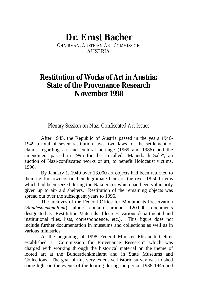# **Dr. Ernst Bacher**

CHAIRMAN, AUSTRIAN ART COMMISSION AUSTRIA

## **Restitution of Works of Art in Austria: State of the Provenance Research November 1998**

Plenary Session on Nazi-Confiscated Art Issues

After 1945, the Republic of Austria passed in the years 1946- 1949 a total of seven restitution laws, two laws for the settlement of claims regarding art and cultural heritage (1969 and 1986) and the amendment passed in 1995 for the so-called "Mauerbach Sale", an auction of Nazi-confiscated works of art, to benefit Holocaust victims, 1996.

By January 1, 1949 over 13.000 art objects had been returned to their rightful owners or their legitimate heirs of the over 18.500 items which had been seized during the Nazi era or which had been voluntarily given up to air-raid shelters. Restitution of the remaining objects was spread out over the subsequent years to 1996.

The archives of the Federal Office for Monuments Preservation (*Bundesdenkmalamt*) alone contain around 120.000 documents designated as "Restitution Materials" (decrees, various departmental and institutional files, lists, correspondence, etc.). This figure does not include further documentation in museums and collections as well as in various ministries.

At the beginning of 1998 Federal Minister Elisabeth Gehrer established a "Commission for Provenance Research" which was charged with working through the historical material on the theme of looted art at the Bundesdenkmalamt and in State Museums and Collections. The goal of this very extensive historic survey was to shed some light on the events of the looting during the period 1938-1945 and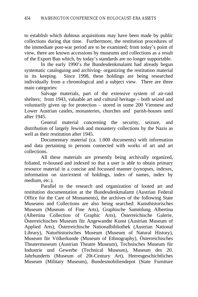to establish which dubious acquisitions may have been made by public collections during that time. Furthermore, the restitution procedures of the immediate post-war period are to be examined; from today's point of view, there are known accessions by museums and collections as a result of the Export Ban which, by today's standards are no longer supportable.

In the early 1990's the Bundesdenkmalamt had already begun systematic cataloguing and archiving- organizing the restitution material in its keeping. Since 1998, these holdings are being researched individually from a chronological and a subject view. There are three main categories:

Salvage materials, part of the extensive system of air-raid shelters; from 1943, valuable art and cultural heritage – both seized and voluntarily given up for protection – stored in some 200 Viennese and Lower Austrian castles, monasteries, churches and parish-houses until after 1945.

General material concerning the security, seizure, and distribution of largely Jewish and monastery collections by the Nazis as well as their restitution after 1945.

Documentary material (ca. 1.000 documents) with information and data pertaining to persons connected with works of art and art collections.

All these materials are presently being archivally organized, foliated, re-housed and indexed so that a user is able to obtain primary resource material in a concise and focussed manner (synopses, indexes, information on size/extent of holdings, index of names, index by medium, etc.).

Parallel to the research and organization of looted art and restitution documentation at the Bundesdenkmalamt (Austrian Federal Office for the Care of Monuments), the archives of the following State Museums and Collections are also being searched: Kunsthistorisches Museum (Museum of Fine Arts), Graphische Sammlung Albertina (Albertina Collection of Graphic Arts), Österreichische Galerie, Österreichisches Museum für Angewandte Kunst (Austrian Museum of Applied Arts), Österreichische Nationalbibliothek (Austrian National Library), Naturhistorisches Museum (Museum of Natural History), Museum für Völkerkunde (Museum of Ethnography), Österreichisches Theatermuseum (Austrian Theatre Museum), Technisches Museum für Industrie und Gewerbe (Technical Museum), Museum des 20. Jahrhunderts (Museum of 20t-Century Art), Heeresgeschichtliches Museum (Military Museum), Bundesmobiliendepot (State Furniture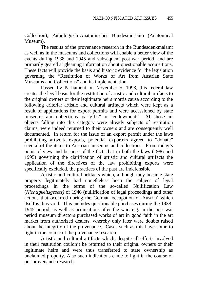Collection); Pathologisch-Anatomisches Bundesmuseum (Anatomical Museum).

The results of the provenance research in the Bundesdenkmalamt as well as in the museums and collections will enable a better view of the events during 1938 and 1945 and subsequent post-war period, and are primarily geared at gleaning information about questionable acquisitions. These facts will provide the basis and historic evidence for the legislation governing the "Restitution of Works of Art from Austrian State Museums and Collections" and its implementation.

Passed by Parliament on November 5, 1998, this federal law creates the legal basis for the restitution of artistic and cultural artifacts to the original owners or their legitimate heirs mortis causa according to the following criteria: artistic and cultural artifacts which were kept as a result of applications for export permits and were accessioned by state museums and collections as "gifts" or "endowment". All those art objects falling into this category were already subjects of restitution claims, were indeed returned to their owners and are consequently well documented. In return for the issue of an export permit under the laws prohibiting artwork exports, potential exporters agreed to "donate" several of the items to Austrian museums and collections. From today's point of view and because of the fact, that in both the laws (1986 and 1995) governing the clarification of artistic and cultural artifacts the application of the directives of the law prohibiting exports were specifically excluded, the practices of the past are indefensible.

Artistic and cultural artifacts which, although they became state property legitimately had nonetheless been the subject of legal proceedings in the terms of the so-called Nullification Law (*Nichtigkeitsgesetz)* of 1946 (nullification of legal proceedings and other actions that occurred during the German occupation of Austria) which itself is thus void. This includes questionable purchases during the 1938- 1945 period, as well as acquisitions after the war: e.g. in the post-war period museum directors purchased works of art in good faith in the art market from authorized dealers, whereby only later were doubts raised about the integrity of the provenance. Cases such as this have come to light in the course of the provenance research.

Artistic and cultural artifacts which, despite all efforts involved in their restitution couldn't be returned to their original owners or their legitimate heirs and were thus transferred to state ownership as unclaimed property. Also such indications came to light in the course of our provenance research.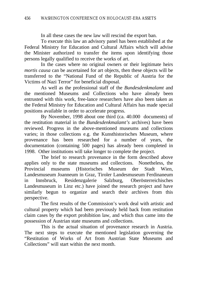In all these cases the new law will rescind the export ban.

To execute this law an advisory panel has been established at the Federal Ministry for Education and Cultural Affairs which will advise the Minister authorized to transfer the items upon identifying those persons legally qualified to receive the works of art.

In the cases where no original owners or their legitimate heirs *mortis causa* can be ascertained for art objects, then these objects will be transferred to the "National Fund of the Republic of Austria for the Victims of Nazi Terror" for beneficial disposal.

As well as the professional staff of the *Bundesdenkmalamt* and the mentioned Museums and Collections who have already been entrusted with this work, free-lance researchers have also been taken as the Federal Ministry for Education and Cultural Affairs has made special positions available in order to accelerate progress.

By November, 1998 about one third (ca. 40.000 documents) of the restitution material in the *Bundesdenkmalamt's* archives) have been reviewed. Progress in the above-mentioned museums and collections varies; in those collections e.g. the Kunsthistorisches Museum, where provenance has been researched for a number of years, the documentation (containing 500 pages) has already been completed in 1998. Other institutions will take longer to complete the project.

The brief to research provenance in the form described above applies only to the state museums and collections. Nonetheless, the Provincial museums (Historisches Museum der Stadt Wien, Landesmuseum Joanneum in Graz, Tiroler Landesmuseum Ferdinaneum in Innsbruck, Residenzgalerie Salzburg, Oberösterreichisches Landesmuseum in Linz etc.) have joined the research project and have similarly begun to organize and search their archives from this perspective.

The first results of the Commission's work deal with artistic and cultural property which had been previously held back from restitution claim cases by the export prohibition law, and which thus came into the possession of Austrian state museums and collections.

This is the actual situation of provenance research in Austria. The next steps to execute the mentioned legislation governing the "Restitution of Works of Art from Austrian State Museums and Collections" will start within the next month.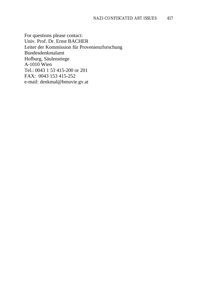For questions please contact: Univ. Prof. Dr. Ernst BACHER Leiter der Kommission für Provenienzforschung Bundesdenkmalamt Hofburg, Säulenstiege A-1010 Wien Tel.: 0043 1 53 415-200 or 201 FAX: 0043 153 415-252 e-mail: denkmal@bmuvie.gv.at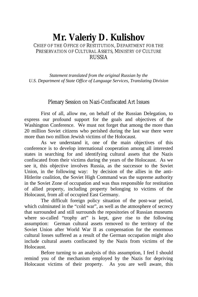#### **Mr. Valeriy D. Kulishov** CHIEF OF THE OFFICE OF RESTITUTION, DEPARTMENT FOR THE PRESERVATION OF CULTURAL ASSETS, MINISTRY OF CULTURE RUSSIA

*Statement translated from the original Russian by the U.S. Department of State Office of Language Services, Translating Division*

#### Plenary Session on Nazi-Confiscated Art Issues

First of all, allow me, on behalf of the Russian Delegation, to express our profound support for the goals and objectives of the Washington Conference. We must not forget that among the more than 20 million Soviet citizens who perished during the last war there were more than two million Jewish victims of the Holocaust.

As we understand it, one of the main objectives of this conference is to develop international cooperation among all interested states in searching for and identifying cultural assets that the Nazis confiscated from their victims during the years of the Holocaust. As we see it, this objective involves Russia, as the successor to the Soviet Union, in the following way: by decision of the allies in the anti-Hitlerite coalition, the Soviet High Command was the supreme authority in the Soviet Zone of occupation and was thus responsible for restitution of allied property, including property belonging to victims of the Holocaust, from all of occupied East Germany.

The difficult foreign policy situation of the post-war period, which culminated in the "cold war", as well as the atmosphere of secrecy that surrounded and still surrounds the repositories of Russian museums where so-called "trophy art" is kept, gave rise to the following assumption: German cultural assets removed to the territory of the Soviet Union after World War II as compensation for the enormous cultural losses suffered as a result of the German occupation might also include cultural assets confiscated by the Nazis from victims of the Holocaust.

Before turning to an analysis of this assumption, I feel I should remind you of the mechanism employed by the Nazis for depriving Holocaust victims of their property. As you are well aware, this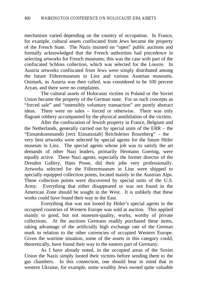mechanism varied depending on the country of occupation. In France, for example, cultural assets confiscated from Jews became the property of the French State. The Nazis insisted on "open" public auctions and formally acknowledged that the French authorities had precedence in selecting artworks for French museums; this was the case with part of the confiscated Schloss collection, which was selected for the Louvre. In Austria artworks confiscated from Jews were simply distributed among the future Führermuseum in Linz and various Austrian museums. Ostmark, as Austria was then called, was considered to be 100 percent Aryan, and there were no complaints.

The cultural assets of Holocaust victims in Poland or the Soviet Union became the property of the German state. For us such concepts as "forced sale" and "ostensibly voluntary transaction" are purely abstract ideas. There were no sales – forced or otherwise. There was only flagrant robbery accompanied by the physical annihilation of the victims.

After the confiscation of Jewish property in France, Belgium and the Netherlands, generally carried out by special units of the ERR – the "Einsatskommando [rect: Einsatzstab] Reichsleiter Rosenberg" – the very best artworks were selected by special agents for the future Hitler museum in Linz. The special agents whose job was to satisfy the art demands of other Nazi leaders, primarily Hermann Goering, were equally active. These Nazi agents, especially the former director of the Dresden Gallery, Hans Posse, did their jobs very professionally. Artworks selected for the Führermuseum in Linz were shipped to specially equipped collection points, located mainly in the Austrian Alps. These collection points were discovered by special units of the U.S. Army. Everything that either disappeared or was not found in the American Zone should be sought in the West. It is unlikely that these works could have found their way to the East.

Everything that was not looted by Hitler's special agents in the occupied countries of Western Europe was sold at auction. This applied mainly to good, but not museum-quality, works, worthy of private collections. At the auctions Germans readily purchased these items, taking advantage of the artificially high exchange rate of the German mark in relation to the other currencies of occupied Western Europe. Given the wartime situation, some of the assets in this category could, theoretically, have found their way to the eastern part of Germany.

As I have already noted, in the occupied areas of the Soviet Union the Nazis simply looted their victims before sending them to the gas chambers. In this connection, one should bear in mind that in western Ukraine, for example, some wealthy Jews owned quite valuable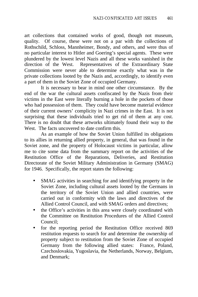art collections that contained works of good, though not museum, quality. Of course, these were not on a par with the collections of Rothschild, Schloss, Mannheimer, Bondy, and others, and were thus of no particular interest to Hitler and Goering's special agents. These were plundered by the lowest level Nazis and all these works vanished in the direction of the West. Representatives of the Extraordinary State Commission were never able to determine exactly what was in the private collections looted by the Nazis and, accordingly, to identify even a part of them in the Soviet Zone of occupied Germany.

It is necessary to bear in mind one other circumstance. By the end of the war the cultural assets confiscated by the Nazis from their victims in the East were literally burning a hole in the pockets of those who had possession of them. They could have become material evidence of their current owners' complicity in Nazi crimes in the East. It is not surprising that these individuals tried to get rid of them at any cost. There is no doubt that these artworks ultimately found their way to the West. The facts uncovered to date confirm this.

As an example of how the Soviet Union fulfilled its obligations to its allies in returning allied property, in general, that was found in the Soviet zone, and the property of Holocaust victims in particular, allow me to cite some data from the summary report on the activities of the Restitution Office of the Reparations, Deliveries, and Restitution Directorate of the Soviet Military Administration in Germany (SMAG) for 1946. Specifically, the report states the following:

- SMAG activities in searching for and identifying property in the Soviet Zone, including cultural assets looted by the Germans in the territory of the Soviet Union and allied countries, were carried out in conformity with the laws and directives of the Allied Control Council, and with SMAG orders and directives;
- the Office's activities in this area were closely coordinated with the Committee on Restitution Procedures of the Allied Control Council;
- for the reporting period the Restitution Office received 869 restitution requests to search for and determine the ownership of property subject to restitution from the Soviet Zone of occupied Germany from the following allied states: France, Poland, Czechoslovakia, Yugoslavia, the Netherlands, Norway, Belgium, and Denmark;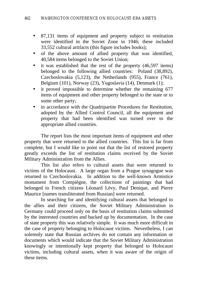- 87,131 items of equipment and property subject to restitution were identified in the Soviet Zone in 1946; these included 33,552 cultural artifacts (this figure includes books);
- of the above amount of allied property that was identified, 40,584 items belonged to the Soviet Union;
- it was established that the rest of the property (46,597 items) belonged to the following allied countries: Poland (38,892), Czechoslovakia (5,123), the Netherlands (955), France (761), Belgium (101), Norway (23), Yugoslavia (14), Denmark (1);
- it proved impossible to determine whether the remaining 677 items of equipment and other property belonged to the state or to some other party;
- in accordance with the Quadripartite Procedures for Restitution. adopted by the Allied Control Council, all the equipment and property that had been identified was turned over to the appropriate allied countries.

The report lists the most important items of equipment and other property that were returned to the allied countries. This list is far from complete, but I would like to point out that the list of restored property greatly exceeds the list of restitution claims received by the Soviet Military Administration from the Allies.

This list also refers to cultural assets that were returned to victims of the Holocaust. A large organ from a Prague synagogue was returned to Czechoslovakia. In addition to the well-known Armistice monument from Compiègne, the collections of paintings that had belonged to French citizens Léonard Lévy, Paul Denique, and Pierre Maurice [names transliterated from Russian] were returned.

In searching for and identifying cultural assets that belonged to the allies and their citizens, the Soviet Military Administration in Germany could proceed only on the basis of restitution claims submitted by the interested countries and backed up by documentation. In the case of state property this was relatively simple. It was much more difficult in the case of property belonging to Holocaust victims. Nevertheless, I can solemnly state that Russian archives do not contain any information or documents which would indicate that the Soviet Military Administration knowingly or intentionally kept property that belonged to Holocaust victims, including cultural assets, when it was aware of the origin of these items.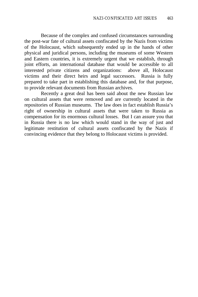Because of the complex and confused circumstances surrounding the post-war fate of cultural assets confiscated by the Nazis from victims of the Holocaust, which subsequently ended up in the hands of other physical and juridical persons, including the museums of some Western and Eastern countries, it is extremely urgent that we establish, through joint efforts, an international database that would be accessible to all interested private citizens and organizations: above all, Holocaust victims and their direct heirs and legal successors. Russia is fully prepared to take part in establishing this database and, for that purpose, to provide relevant documents from Russian archives.

Recently a great deal has been said about the new Russian law on cultural assets that were removed and are currently located in the repositories of Russian museums. The law does in fact establish Russia's right of ownership in cultural assets that were taken to Russia as compensation for its enormous cultural losses. But I can assure you that in Russia there is no law which would stand in the way of just and legitimate restitution of cultural assets confiscated by the Nazis if convincing evidence that they belong to Holocaust victims is provided.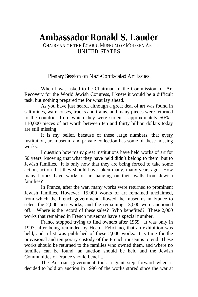# **Ambassador Ronald S. Lauder**

CHAIRMAN OF THE BOARD, MUSEUM OF MODERN ART UNITED STATES

Plenary Session on Nazi-Confiscated Art Issues

When I was asked to be Chairman of the Commission for Art Recovery for the World Jewish Congress, I knew it would be a difficult task, but nothing prepared me for what lay ahead.

As you have just heard, although a great deal of art was found in salt mines, warehouses, trucks and trains, and many pieces were returned to the countries from which they were stolen – approximately 50% - 110,000 pieces of art worth between ten and thirty billion dollars today are still missing.

It is my belief, because of these large numbers, that every institution, art museum and private collection has some of these missing works.

I question how many great institutions have held works of art for 50 years, knowing that what they have held didn't belong to them, but to Jewish families. It is only now that they are being forced to take some action, action that they should have taken many, many years ago. How many homes have works of art hanging on their walls from Jewish families?

In France, after the war, many works were returned to prominent Jewish families. However, 15,000 works of art remained unclaimed, from which the French government allowed the museums in France to select the 2,000 best works, and the remaining 13,000 were auctioned off. Where is the record of these sales? Who benefited? These 2,000 works that remained in French museums have a special number.

France stopped trying to find owners after 1959. It was only in 1997, after being reminded by Hector Feliciano, that an exhibition was held, and a list was published of these 2,000 works. It is time for the provisional and temporary custody of the French museums to end. These works should be returned to the families who owned them, and where no families can be found, an auction should be held and the Jewish Communities of France should benefit.

The Austrian government took a giant step forward when it decided to hold an auction in 1996 of the works stored since the war at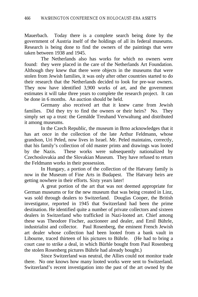Mauerbach. Today there is a complete search being done by the government of Austria itself of the holdings of all its federal museums. Research is being done to find the owners of the paintings that were taken between 1938 and 1945.

The Netherlands also has works for which no owners were found: they were placed in the care of the Netherlands Art Foundation. Although they knew that there were objects in the museums that were stolen from Jewish families, it was only after other countries started to do their research that the Netherlands decided to look for pre-war owners. They now have identified 3,900 works of art, and the government estimates it will take three years to complete the research project. It can be done in 6 months. An auction should be held.

Germany also received art that it knew came from Jewish families. Did they try to find the owners or their heirs? No. They simply set up a trust: the Gemälde Treuhand Verwaltung and distributed it among museums.

In the Czech Republic, the museum in Brno acknowledges that it has art once in the collection of the late Arthur Feldmann, whose grandson, Uri Peled, now lives in Israel. Mr. Peled maintains, correctly, that his family's collection of old master prints and drawings was looted by the Nazis. These works were subsequently nationalized by Czechoslovakia and the Slovakian Museum. They have refused to return the Feldmann works in their possession.

In Hungary, a portion of the collection of the Hatvany family is now in the Museum of Fine Arts in Budapest. The Hatvany heirs are getting nowhere in their efforts. Sixty years later!

A great portion of the art that was not deemed appropriate for German museums or for the new museum that was being created in Linz, was sold through dealers to Switzerland. Douglas Cooper, the British investigator, reported in 1945 that Switzerland had been the prime destination. He identified quite a number of private collectors and sixteen dealers in Switzerland who trafficked in Nazi-looted art. Chief among these was Theodore Fischer, auctioneer and dealer, and Emil Bührle, industrialist and collector. Paul Rosenberg, the eminent French Jewish art dealer whose collection had been looted from a bank vault in Libourne, traced thirteen of his pictures to Bührle. (He had to bring a court case to strike a deal, in which Bürhle bought from Paul Rosenberg the stolen Rosenberg pictures Bührle had already bought.)

Since Switzerland was neutral, the Allies could not monitor trade there. No one knows how many looted works were sent to Switzerland. Switzerland's recent investigation into the past of the art owned by the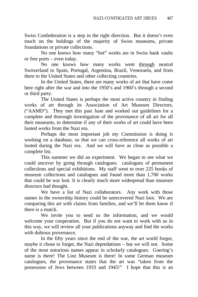Swiss Confederation is a step in the right direction. But it doesn't even touch on the holdings of the majority of Swiss museums, private foundations or private collections.

No one knows how many "hot" works are in Swiss bank vaults or free ports – even today.

No one knows how many works went through neutral Switzerland to Spain, Portugal, Argentina, Brazil, Venezuela, and from there to the United States and other collecting countries.

In the United States, there are many works of art that have come here right after the war and into the 1950's and 1960's through a second or third party.

The United States is perhaps the most active country in finding works of art through its Association of Art Museum Directors, ("AAMD"). They met this past June and worked out guidelines for a complete and thorough investigation of the provenance of all art for all their museums, to determine if any of their works of art could have been looted works from the Nazi era.

Perhaps the most important job my Commission is doing is working on a database, so that we can cross-reference all works of art looted during the Nazi era. And we will have as close as possible a complete list.

This summer we did an experiment. We began to see what we could uncover by going through catalogues: catalogues of permanent collections and special exhibitions. My staff went to over 225 books of museum collections and catalogues and found more than 1,700 works that could be war loot. It is clearly much more widespread than museum directors had thought.

We have a list of Nazi collaborators. Any work with those names in the ownership history could be unrecovered Nazi loot. We are comparing this art with claims from families, and we'll let them know if there is a match.

We invite you to send us the information, and we would welcome your cooperation. But if you do not want to work with us in this way, we will review all your publications anyway and find the works with dubious provenance.

In the fifty years since the end of the war, the art world forgot, maybe it chose to forget, the Nazi depredations – but we will not. Some of the most notorious names appear in scholarly catalogues. Goering's name is there! The Linz Museum is there! In some German museum catalogues, the provenance states that the art was "taken from the possession of Jews between 1933 and 1945!" I hope that this is an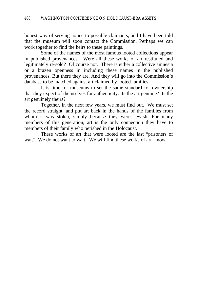honest way of serving notice to possible claimants, and I have been told that the museum will soon contact the Commission. Perhaps we can work together to find the heirs to these paintings.

Some of the names of the most famous looted collections appear in published provenances. Were all these works of art restituted and legitimately re-sold? Of course not. There is either a collective amnesia or a brazen openness in including these names in the published provenances. But there they are. And they will go into the Commission's database to be matched against art claimed by looted families.

It is time for museums to set the same standard for ownership that they expect of themselves for authenticity. Is the art genuine? Is the art genuinely theirs?

Together, in the next few years, we must find out. We must set the record straight, and put art back in the hands of the families from whom it was stolen, simply because they were Jewish. For many members of this generation, art is the only connection they have to members of their family who perished in the Holocaust.

These works of art that were looted are the last "prisoners of war." We do not want to wait. We will find these works of art – now.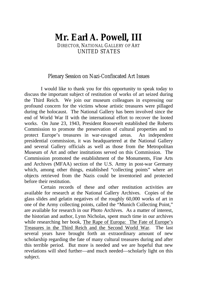### **Mr. Earl A. Powell, III** DIRECTOR, NATIONAL GALLERY OF ART UNITED STATES

#### Plenary Session on Nazi-Confiscated Art Issues

I would like to thank you for this opportunity to speak today to discuss the important subject of restitution of works of art seized during the Third Reich. We join our museum colleagues in expressing our profound concern for the victims whose artistic treasures were pillaged during the holocaust. The National Gallery has been involved since the end of World War II with the international effort to recover the looted works. On June 23, 1943, President Roosevelt established the Roberts Commission to promote the preservation of cultural properties and to protect Europe's treasures in war-ravaged areas. An independent presidential commission, it was headquartered at the National Gallery and several Gallery officials as well as those from the Metropolitan Museum of Art and other institutions served on this Commission. The Commission promoted the establishment of the Monuments, Fine Arts and Archives (MFAA) section of the U.S. Army in post-war Germany which, among other things, established "collecting points" where art objects retrieved from the Nazis could be inventoried and protected before their restitution.

Certain records of these and other restitution activities are available for research at the National Gallery Archives. Copies of the glass slides and gelatin negatives of the roughly 60,000 works of art in one of the Army collecting points, called the "Munich Collecting Point," are available for research in our Photo Archives. As a matter of interest, the historian and author, Lynn Nicholas, spent much time in our archives while researching her book, The Rape of Europa: The Fate of Europe's Treasures in the Third Reich and the Second World War. The last several years have brought forth an extraordinary amount of new scholarship regarding the fate of many cultural treasures during and after this terrible period. But more is needed and we are hopeful that new revelations will shed further—and much needed—scholarly light on this subject.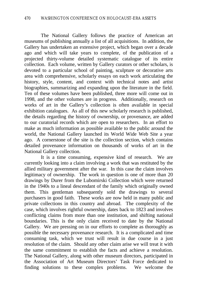The National Gallery follows the practice of American art museums of publishing annually a list of all acquisitions. In addition, the Gallery has undertaken an extensive project, which began over a decade ago and which will take years to complete, of the publication of a projected thirty-volume detailed systematic catalogue of its entire collection. Each volume, written by Gallery curators or other scholars, is devoted to a particular school of painting, sculpture or decorative arts area with comprehensive, scholarly essays on each work articulating the history, style, content, and context with technical notes and artist biographies, summarizing and expanding upon the literature in the field. Ten of these volumes have been published, three more will come out in 1998, and the other volumes are in progress. Additionally, research on works of art in the Gallery's collection is often available in special exhibition catalogues. As all of this new scholarly research is published, the details regarding the history of ownership, or provenance, are added to our curatorial records which are open to researchers. In an effort to make as much information as possible available to the public around the world, the National Gallery launched its World Wide Web Site a year ago. A cornerstone of the site is the collection section, which contains detailed provenance information on thousands of works of art in the National Gallery collection.

It is a time consuming, expensive kind of research. We are currently looking into a claim involving a work that was restituted by the allied military government after the war. In this case the claim involves legitimacy of ownership. The work in question is one of more than 20 drawings by Durer from the Lubomirski Collection which were returned in the 1940s to a lineal descendant of the family which originally owned them. This gentleman subsequently sold the drawings to several purchasers in good faith. These works are now held in many public and private collections in this country and abroad. The complexity of the case, which involves rightful ownership, dates back to 1823 and involves conflicting claims from more than one institution, and shifting national boundaries. This is the only claim received to date by the National Gallery. We are pressing on in our efforts to complete as thoroughly as possible the necessary provenance research. It is a complicated and time consuming task, which we trust will result in due course in a just resolution of the claim. Should any other claim arise we will treat it with the same commitment to establish the facts and achieve a resolution. The National Gallery, along with other museum directors, participated in the Association of Art Museum Directors' Task Force dedicated to finding solutions to these complex problems. We welcome the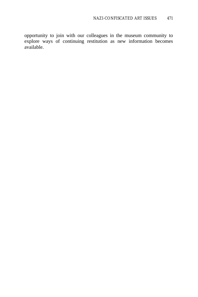opportunity to join with our colleagues in the museum community to explore ways of continuing restitution as new information becomes available.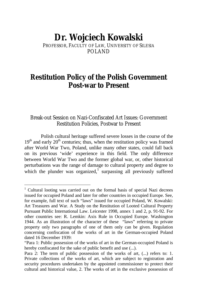# **Dr. Wojciech Kowalski**

PROFESSOR, FACULTY OF LAW, UNIVERSITY OF SILESIA POLAND

## **Restitution Policy of the Polish Government Post-war to Present**

#### Break-out Session on Nazi-Confiscated Art Issues: Government Restitution Policies, Postwar to Present

Polish cultural heritage suffered severe losses in the course of the  $19<sup>th</sup>$  and early  $20<sup>th</sup>$  centuries; thus, when the restitution policy was framed after World War Two, Poland, unlike many other states, could fall back on its previous 'wide' experience in this field. The only difference between World War Two and the former global war, or, other historical perturbations was the range of damage to cultural property and degree to which the plunder was organized, $1$  surpassing all previously suffered

<sup>&</sup>lt;sup>1</sup> Cultural looting was carried out on the formal basis of special Nazi decrees issued for occupied Poland and later for other countries in occupied Europe. See, for example, full text of such "laws" issued for occupied Poland, W. Kowalski: Art Treasures and War. A Study on the Restitution of Looted Cultural Property Pursuant Public International Law. Leicester 1998, annex 1 and 2, p. 91-92. For other countries see: R. Lemkin: Axis Rule in Occupied Europe. Washington 1944. As an illustration of the character of these "laws" referring to private property only two paragraphs of one of them only can be given. Regulation concerning confiscation of the works of art in the German-occupied Poland dated 16 December 1939:

<sup>&</sup>quot;Para 1: Public possession of the works of art in the German-occupied Poland is hereby confiscated for the sake of public benefit and use  $(\ldots)$ .

Para 2: The term of public possession of the works of art,  $(...)$  refers to: 1. Private collections of the works of art, which are subject to registration and security procedures undertaken by the appointed commissioner to protect their cultural and historical value, 2. The works of art in the exclusive possession of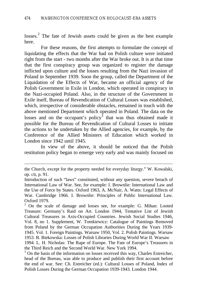losses.<sup>2</sup> The fate of Jewish assets could be given as the best example here.

For these reasons, the first attempts to formulate the concept of liquidating the effects that the War had on Polish culture were initiated right from the start - two months after the War broke out. It is at that time that the first conspiracy group was organized to register the damage inflicted upon culture and the losses resulting from the Nazi invasion of Poland in September 1939. Soon the group, called the Department of the Liquidation of the Effects of War, became an official agency of the Polish Government in Exile in London, which operated in conspiracy in the Nazi-occupied Poland. Also, in the structure of the Government in Exile itself, Bureau of Revendication of Cultural Losses was established, which, irrespective of considerable obstacles, remained in touch with the above mentioned Department which operated in Poland. The data on the losses and on the occupant's policy<sup>3</sup> that was thus obtained made it possible for the Bureau of Revendication of Cultural Losses to initiate the actions to be undertaken by the Allied agencies, for example, by the Conference of the Allied Ministers of Education which worked in London since 1942 until 1945.

In view of the above, it should be noticed that the Polish restitution policy began to emerge very early and was mainly focused on

 $\overline{a}$ 

<sup>3</sup> On the basis of the information on losses received this way, Charles Estreicher, head of the Bureau, was able to produce and publish their first account before the end of war. See: Ch. Estreicher (ed.): Cultural Losses of Poland, Index of Polish Losses During the German Occupation 1939-1943. London 1944.

the Church, except for the property needed for everyday liturgy." W. Kowalski, op. cit, p. 91.

Introduction of such "laws" constituted, without any question, severe breach of International Law of War. See, for example: I. Brownlie: International Law and the Use of Force by States. Oxford 1963, A. McNair, A. Watts: Legal Effects of War. Cambridge 1966. I. Brownlie: Principles of Public International Law. Oxford 1979.

<sup>2</sup> On the scale of damage and losses see, for example: G. Mihan: Looted Treasure: Germany's Raid on Art. London 1944, Tentative List of Jewish Cultural Treasures in Axis-Occupied Countries. Jewish Social Studies 1946, Vol. 8, no 1. Supplement, W. Tomkiewicz: Catalogue of Paintings Removed from Poland by the German Occupation Authorities During the Years 1939- 1945. Vol. 1. Foreign Paintings. Warsaw 1950, Vol. 2. Polish Paintings. Warsaw 1953. B. Biekowska: Losses of Polish Libraries During World War II. Warsaw 1994. L. H. Nicholas: The Rape of Europe. The Fate of Europe's Treasures in the Third Reich and the Second World War. New York 1994.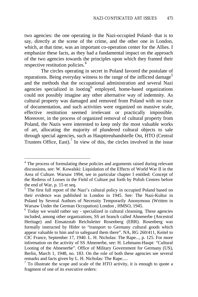two agencies: the one operating in the Nazi-occupied Poland- that is to say, directly at the scene of the crime, and the other one in London, which, at that time, was an important co-operation center for the Allies. I emphasize these facts, as they had a fundamental impact on the approach of the two agencies towards the principles upon which they framed their respective restitution policies.<sup>4</sup>

The circles operating in secret in Poland favored the postulate of reparations. Being everyday witness to the range of the inflicted damage<sup>5</sup> and the methods that the occupational administration and several Nazi agencies specialized in looting  $6$  employed, home-based organizations could not possibly imagine any other alternative way of indemnity. As cultural property was damaged and removed from Poland with no trace of documentation, and such activities were organized on massive scale, effective restitution seemed irrelevant or practically impossible. Moreover, in the process of organized removal of cultural property from Poland, the Nazis were interested to keep only the most valuable works of art, allocating the majority of plundered cultural objects to sale through special agencies, such as Haupttreuhandstelle Ost, HTO (Central Trustees Office, East). $\frac{7}{1}$  In view of this, the circles involved in the issue

<sup>&</sup>lt;sup>4</sup> The process of formulating these policies and arguments raised during relevant discussions, see: W. Kowalski: Liquidation of the Effects of World War II in the Area of Culture. Warsaw 1994, see in particular chapter I entitled: Concept of the Redress of Losses in the Field of Culture put forth by Polish Centres before the end of War, p. 15 et seq.

<sup>&</sup>lt;sup>5</sup> The first full report of the Nazi's cultural policy in occupied Poland based on their evidence was published in London in 1945. See: The Nazi-Kultur in Poland by Several Authors of Necessity Temporarily Anonymous (Written in Warsaw Under the German Occupation) London , HMSO, 1945.

<sup>&</sup>lt;sup>6</sup> Today we would rather say - specialized in cultural cleansing. These agencies included, among other organizations, SS art branch called Ahnenerbe (Ancestral Heritage) and Einsatzstab Reichsleiter Rosenberg (ERR). Rosenberg was formally instructed by Hitler to "transport to Germany cultural goods which appear valuable to him and to safeguard them there". NA, RG 260/411, Keitel to CIC France, September 17, 1940. L. H. Nicholas: The Rape..., p. 125. For more information on the activity of SS Ahnenerbe, see: H. Lehmann-Haupt: "Cultural Looting of the Ahnenerbe". Office of Military Government for Germany (US), Berlin, March 1, 1948, no. 183. On the role of both these agencies see several remarks and facts given by L. H. Nicholas: The Rape.....

 $7$  To illustrate the scope and scale of the HTO activity, it is enough to quote a fragment of one of its executive orders: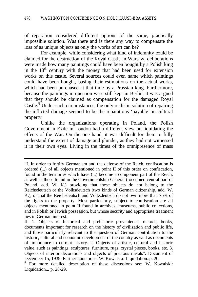of reparation considered different options of the same, practically impossible solution. Was there and is there any way to compensate the loss of as unique objects as only the works of art can be?

For example, while considering what kind of indemnity could be claimed for the destruction of the Royal Castle in Warsaw, deliberations were made how many paintings could have been bought by a Polish king in the  $18<sup>th</sup>$  century with the money that had been used for extension works on this castle. Several sources could even name which paintings could have been bought, basing their estimations on the actual works, which had been purchased at that time by a Prussian king. Furthermore, because the paintings in question were still kept in Berlin, it was argued that they should be claimed as compensation for the damaged Royal Castle.<sup>8</sup> Under such circumstances, the only realistic solution of repairing the inflicted damage seemed to be the reparations 'payable' in cultural property.

Unlike the organizations operating in Poland, the Polish Government in Exile in London had a different view on liquidating the effects of the War. On the one hand, it was difficult for them to fully understand the extent of damage and plunder, as they had not witnessed it in their own eyes. Living in the times of the omnipresence of mass

<sup>&</sup>quot;I. In order to fortify Germanism and the defense of the Reich, confiscation is ordered (...) of all objects mentioned in point II of this order on confiscation, found in the territories which have (...) become a component part of the Reich, as well as those found in the Governmentship General ( occupied central part of Poland, add. W. K.) providing that these objects do not belong to the Reichsdeutsch or the Volksdeutsch (two kinds of German citizenship, add. W. K.), or that the Reichsdeutsch and Volksdeutsch do not own more than 75% of the rights to the property. Most particularly, subject to confiscation are all objects mentioned in point II found in archives, museums, public collections, and in Polish or Jewish possession, but whose security and appropriate treatment lies in German interest.

II. 1. Objects of historical and prehistoric provenience, records, books, documents important for research on the history of civilization and public life, and those particularly relevant to the question of German contribution to the historic, cultural and economic development of the country as well as documents of importance to current history. 2. Objects of artistic, cultural and historic value, such as paintings, sculptures, furniture, rugs, crystal pieces, books, etc. 3. Objects of interior decorations and objects of precious metals". Document of December 15, 1939. Further quotations: W. Kowalski: Liquidation..p. 20.

<sup>&</sup>lt;sup>8</sup> For more detailed description of these discussions see: W. Kowalski: Liquidation... p. 28-29.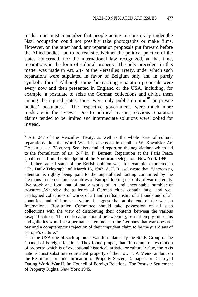media, one must remember that people acting in conspiracy under the Nazi occupation could not possibly take photographs or make films. However, on the other hand, any reparation proposals put forward before the Allied bodies had to be realistic. Neither the political practice of the states concerned, nor the international law recognized, at that time, reparations in the form of cultural property. The only precedent in this matter was made in Art. 247 of the Versailles Treaty, under which such reparations were stipulated in favor of Belgium only and in purely symbolic form.<sup>9</sup> Although some far-reaching reparation proposals were every now and then presented in England or the USA, including, for example, a postulate to seize the German collections and divide them among the injured states, these were only public opinion<sup>10</sup> or private bodies' postulates.<sup>11</sup> The respective governments were much more moderate in their views. Due to political reasons, obvious reparation claims tended to be limited and intermediate solutions were looked for instead.

<sup>&</sup>lt;sup>9</sup> Art. 247 of the Versailles Treaty, as well as the whole issue of cultural reparations after the World War I is discussed in detail in W. Kowalski: Art Treasures ....p. 33 et seq. See also detailed report on the negotiations which led to the formulation of art. 247 in: P. Burnett: Reparation at the Paris Peace Conference from the Standpoint of the American Delegation. New York 1940.

<sup>&</sup>lt;sup>10</sup> Rather radical stand of the British opinion was, for example, expressed in "The Daily Telegraph" of March 16, 1943. A. E. Russel wrote that: ".increasing attention is rightly being paid to the unparalleled looting committed by the Germans in the occupied countries of Europe; looting not only of war materials, live stock and food, but of major works of art and uncountable humbler of treasures...Whereby the galleries of German cities contain large and well catalogued collections of works of art and craftsmanship of all kinds and of all countries, and of immense value. I suggest that at the end of the war an International Restitution Committee should take possession of all such collections with the view of distributing their contents between the various ravaged nations. The confiscation should be sweeping, so that empty museums and galleries would be a permanent reminder to the Germans that war does not pay and a comptemptous rejection of their impudent claim to be the guardians of Europe's culture."

<sup>&</sup>lt;sup>11</sup> In the USA one of such opinions was formulated by the Study Group of the Council of Foreign Relations. They found proper, that "In default of restoration of property which is of exceptional historical, artistic, or cultural value, the Axis nations must substitute equivalent property of their own". A Memorandum on the Restitution or Indemnification of Property Seized, Damaged, or Destroyed During World War II. In: Council of Foreign Relations. The Postwar Settlement of Property Rights. New York 1945.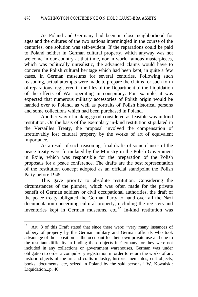As Poland and Germany had been in close neighborhood for ages and the cultures of the two nations intermingled in the course of the centuries, one solution was self-evident. If the reparations could be paid to Poland neither in German cultural property, which anyway was not welcome in our country at that time, nor in world famous masterpieces, which was politically unrealistic, the advanced claims would have to concern the Polish cultural heritage which had been kept, in quite a few cases, in German museums for several centuries. Following such reasoning, actual attempts were made to prepare the claims for such form of reparations, registered in the files of the Department of the Liquidation of the effects of War operating in conspiracy. For example, it was expected that numerous military accessories of Polish origin would be handed over to Poland, as well as portraits of Polish historical persons and some collections which had been purchased in Poland.

Another way of making good considered as feasible was in kind restitution. On the basis of the exemplary in-kind restitution stipulated in the Versailles Treaty, the proposal involved the compensation of irretrievably lost cultural property by the works of art of equivalent importance.

As a result of such reasoning, final drafts of some clauses of the peace treaty were formulated by the Ministry in the Polish Government in Exile, which was responsible for the preparation of the Polish proposals for a peace conference. The drafts are the best representation of the restitution concept adopted as an official standpoint the Polish Party before 1945.

This gave priority to absolute restitution. Considering the circumstances of the plunder, which was often made for the private benefit of German soldiers or civil occupational authorities, the draft of the peace treaty obligated the German Party to hand over all the Nazi documentation concerning cultural property, including the registers and inventories kept in German museums, etc. $12$  In-kind restitution was

 $12$  Art. 3 of this Draft stated that since there were: "very many instances of robbery of property by the German military and German officials who took advantage of their position as the occupant for their own private use and due to the resultant difficulty in finding these objects in Germany for they were not included in any collections or government warehouses, German was under obligation to order a compulsory registration in order to return the works of art, historic objects of the art and crafts industry, historic mementos, cult objects, books, documents, etc, seized in Poland by the said persons." W. Kowalski: Liquidation...p. 40.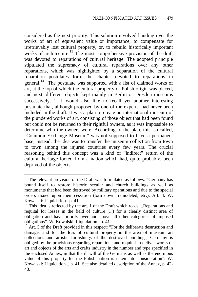considered as the next priority. This solution involved handing over the works of art of equivalent value or importance, to compensate for irretrievably lost cultural property, or, to rebuild historically important works of architecture.<sup>13</sup> The most comprehensive provision of the draft was devoted to reparations of cultural heritage. The adopted principle stipulated the supremacy of cultural reparations over any other reparations, which was highlighted by a separation of the cultural reparation postulates form the chapter devoted to reparations in general.<sup>14</sup> The postulate was supported with a list of claimed works of art, at the top of which the cultural property of Polish origin was placed, and next, different objects kept mainly in Berlin or Dresden museums successively.<sup>15</sup> I would also like to recall yet another interesting postulate that, although proposed by one of the experts, had never been included in the draft. It was a plan to create an international museum of the plundered works of art, consisting of those object that had been found but could not be returned to their rightful owners, as it was impossible to determine who the owners were. According to the plan, this, so-called, "Common Exchange Museum" was not supposed to have a permanent base; instead, the idea was to transfer the museum collection from town to town among the injured countries every few years. The crucial reasoning behind this concept was a kind of "indirect" return of the cultural heritage looted from a nation which had, quite probably, been deprived of the objects

<sup>&</sup>lt;sup>13</sup> The relevant provision of the Draft was formulated as follows: "Germany has bound itself to restore historic secular and church buildings as well as monuments that had been destroyed by military operations and due to the special orders issued upon their cessation (torn down, remodeled, etc.). Art. 4. W. Kowalski: Liquidation...p. 41

 $14$  This idea is reflected by the art. 1 of the Draft which reads: "Reparations and requital for losses in the field of culture (...) for a clearly distinct area of obligation and have priority over and above all other categories of imposed obligations". W. Kowalski: Liquidation...p. 41.

<sup>&</sup>lt;sup>15</sup> Art. 5 of the Draft provided in this respect: "For the deliberate destruction and damage, and for the loss of cultural property in the area of museum art collections and artistic furnishings of the destroyed buildings, Germany is obliged by the provisions regarding reparations and requital to deliver works of art and objects of the arts and crafts industry in the number and type specified in the enclosed Annex, in that the ill will of the Germans as well as the enormous value of this property for the Polish nation is taken into consideration". W. Kowalski: Liquidation... p. 41. See also detailed description of the Annex, p. 42- 43.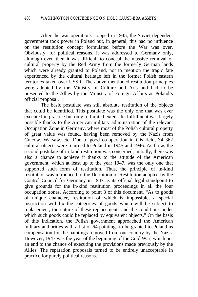After the war operations stopped in 1945, the Soviet-dependent government took power in Poland but, in general, this had no influence on the restitution concept formulated before the War was over. Obviously, for political reasons, it was addressed to Germany only, although even then it was difficult to conceal the massive removal of cultural property by the Red Army from the formerly German lands which were already granted to Poland, not to mention the tragic fate experienced by the cultural heritage left in the former Polish eastern territories taken over USSR. The above mentioned restitution principles were adopted by the Ministry of Culture and Arts and had to be presented to the Allies by the Ministry of Foreign Affairs as Poland's official proposal.

The basic postulate was still absolute restitution of the objects that could be identified. This postulate was the only one that was ever executed in practice but only to limited extent. Its fulfillment was largely possible thanks to the American military administration of the relevant Occupation Zone in Germany, where most of the Polish cultural property of great value was found, having been removed by the Nazis from Cracow, Warsaw, etc. Due to good co-operation in this field, 34 362 cultural objects were returned to Poland in 1945 and 1946. As far as the second postulate of in-kind restitution was concerned, initially, there was also a chance to achieve it thanks to the attitude of the American government, which at least up to the year 1947, was the only one that supported such form of restitution. Thus, the principle of in-kind restitution was introduced to the Definition of Restitution adopted by the Control Council for Germany in 1947 as its official legal standpoint to give grounds for the in-kind restitution proceedings in all the four occupation zones. According to point 3 of this document, "As to goods of unique character, restitution of which is impossible, a special instruction will fix the categories of goods which will be subject to replacement, the nature of these replacements and the conditions under which such goods could be replaced by equivalent objects." On the basis of this indication, the Polish government approached the American military authorities with a list of 64 paintings to be granted to Poland as compensation for the paintings removed from our country by the Nazis. However, 1947 was the year of the beginning of the Cold War, which put an end to the chance of executing the provisions made previously by the Allies. The reparation proposals turned to be entirely unacceptable in practice for purely political reasons.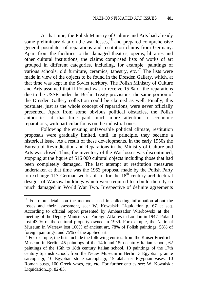At that time, the Polish Ministry of Culture and Arts had already some preliminary data on the war losses, $16$  and prepared comprehensive general postulates of reparations and restitution claims from Germany. Apart from the facilities to the damaged theatres, operas, libraries and other cultural institutions, the claims comprised lists of works of art grouped in different categories, including, for example: paintings of various schools, old furniture, ceramics, tapestry, etc.<sup>17</sup> The lists were made in view of the objects to be found in the Dresden Gallery, which, at that time was kept in the Soviet territory. The Polish Ministry of Culture and Arts assumed that if Poland was to receive 15 % of the reparations due to the USSR under the Berlin Treaty provisions, the same portion of the Dresden Gallery collection could be claimed as well. Finally, this postulate, just as the whole concept of reparations, were never officially presented. Apart from some obvious political obstacles, the Polish authorities at that time paid much more attention to economic reparations, with particular focus on the industrial ones.

Following the ensuing unfavorable political climate, restitution proposals were gradually limited, until, in principle, they became a historical issue. As a result of these developments, in the early 1950s the Bureau of Revindication and Reparations in the Ministry of Culture and Arts was closed. Thus, the inventory of the War losses was discontinued, stopping at the figure of 516 000 cultural objects including those that had been completely damaged. The last attempt at restitution measures undertaken at that time was the 1953 proposal made by the Polish Party to exchange 117 German works of art for the  $18<sup>th</sup>$  century architectural designs of Warsaw buildings which were required to rebuild the city so much damaged in World War Two. Irrespective of definite agreements

<sup>&</sup>lt;sup>16</sup> For more details on the methods used in collecting information about the losses and their assessment, see: W. Kowalski: Liquidation..p. 67 et seq. According to official report presented by Ambassador Wierbowski at the meeting of the Deputy Ministers of Foreign Affaires in London in 1947, Poland lost 43 % of the cultural property owned in 1939. For example, the National Museum in Warsaw lost 100% of ancient art, 78% of Polish paintings, 58% of foreign paintings, and 75% of the applied art.

 $17$  For example, the lists include the following entries: from the Kaiser Friedrich-Museum in Berlin: 45 paintings of the 14th and 15th century Italian school, 62 paintings of the 16th to 18th century Italian school, 10 paintings of the 17th century Spanish school, from the Neues Museum in Berlin: 3 Egyptian granite sarcophagi, 10 Egyptian stone sarcophagi, 15 alabaster Egyptian vases, 10 Roman busts, 100 Greek vases, etc, etc. For further entries see: W. Kowalski: Liquidation...p. 82-83.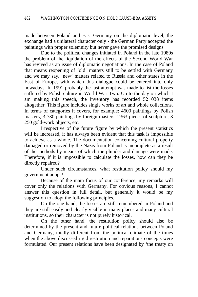made between Poland and East Germany on the diplomatic level, the exchange had a unilateral character only - the German Party accepted the paintings with proper solemnity but never gave the promised designs.

Due to the political changes initiated in Poland in the late 1980s the problem of the liquidation of the effects of the Second World War has revived as an issue of diplomatic negotiations. In the case of Poland that means reopening of 'old' matters still to be settled with Germany and we may say, 'new' matters related to Russia and other states in the East of Europe, with which this dialogue could be entered into only nowadays. In 1991 probably the last attempt was made to list the losses suffered by Polish culture in World War Two. Up to the day on which I am making this speech, the inventory has recorded 52 038 items altogether. This figure includes single works of art and whole collections. In terms of categories it covers, for example: 4600 paintings by Polish masters, 3 730 paintings by foreign masters, 2363 pieces of sculpture, 3 250 gold-work objects, etc.

Irrespective of the future figure by which the present statistics will be increased, it has always been evident that this task is impossible to achieve as a whole. The documentation concerning cultural property damaged or removed by the Nazis from Poland is incomplete as a result of the methods by means of which the plunder and damage were made. Therefore, if it is impossible to calculate the losses, how can they be directly repaired?

Under such circumstances, what restitution policy should my government adopt?

Because of the main focus of our conference, my remarks will cover only the relations with Germany. For obvious reasons, I cannot answer this question in full detail, but generally it would be my suggestion to adopt the following principles.

On the one hand, the losses are still remembered in Poland and they are still easily and clearly visible in many places and many cultural institutions, so their character is not purely historical.

On the other hand, the restitution policy should also be determined by the present and future political relations between Poland and Germany, totally different from the political climate of the times when the above discussed rigid restitution and reparations concepts were formulated. Our present relations have been designated by 'the treaty on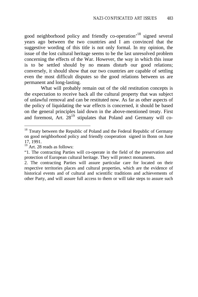good neighborhood policy and friendly co-operation<sup>'18</sup> signed several years ago between the two countries and I am convinced that the suggestive wording of this title is not only formal. In my opinion, the issue of the lost cultural heritage seems to be the last unresolved problem concerning the effects of the War. However, the way in which this issue is to be settled should by no means disturb our good relations; conversely, it should show that our two countries are capable of settling even the most difficult disputes so the good relations between us are permanent and long-lasting.

What will probably remain out of the old restitution concepts is the expectation to receive back all the cultural property that was subject of unlawful removal and can be restituted now. As far as other aspects of the policy of liquidating the war effects is concerned, it should be based on the general principles laid down in the above-mentioned treaty. First and foremost, Art.  $28^{19}$  stipulates that Poland and Germany will co-

<sup>&</sup>lt;sup>18</sup> Treaty between the Republic of Poland and the Federal Republic of Germany on good neighborhood policy and friendly cooperation signed in Bonn on June 17, 1991.

 $19$  Art. 28 reads as follows:

<sup>&</sup>quot;1. The contracting Parties will co-operate in the field of the preservation and protection of European cultural heritage. They will protect monuments.

<sup>2.</sup> The contracting Parties will assure particular care for located on their respective territories places and cultural properties, which are the evidence of historical events and of cultural and scientific traditions and achievements of other Party, and will assure full access to them or will take steps to assure such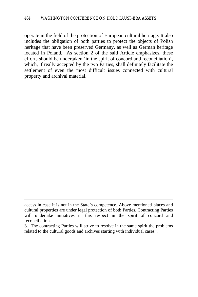operate in the field of the protection of European cultural heritage. It also includes the obligation of both parties to protect the objects of Polish heritage that have been preserved Germany, as well as German heritage located in Poland. As section 2 of the said Article emphasizes, these efforts should be undertaken 'in the spirit of concord and reconciliation', which, if really accepted by the two Parties, shall definitely facilitate the settlement of even the most difficult issues connected with cultural property and archival material.

access in case it is not in the State's competence. Above mentioned places and cultural properties are under legal protection of both Parties. Contracting Parties will undertake initiatives in this respect in the spirit of concord and reconciliation.

<sup>3.</sup> The contracting Parties will strive to resolve in the same spirit the problems related to the cultural goods and archives starting with individual cases".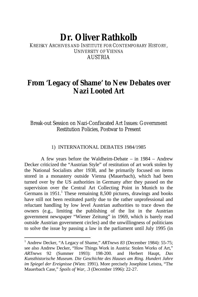# **Dr. Oliver Rathkolb**

### KREISKY ARCHIVES AND INSTITUTE FOR CONTEMPORARY HISTORY, UNIVERSITY OF VIENNA AUSTRIA

# **From 'Legacy of Shame' to New Debates over Nazi Looted Art**

## Break-out Session on Nazi-Confiscated Art Issues: Government Restitution Policies, Postwar to Present

#### 1) INTERNATIONAL DEBATES 1984/1985

A few years before the Waldheim-Debate – in 1984 – Andrew Decker criticized the "Austrian Style" of restitution of art work stolen by the National Socialists after 1938, and he primarily focused on items stored in a monastery outside Vienna (Mauerbach), which had been turned over by the US authorities in Germany after they passed on the supervision over the Central Art Collecting Point in Munich to the Germans in  $1951$ .<sup>1</sup> These remaining 8,500 pictures, drawings and books have still not been restituted partly due to the rather unprofessional and reluctant handling by low level Austrian authorities to trace down the owners (e.g., limiting the publishing of the list in the Austrian government newspaper "Wiener Zeitung" in 1969, which is barely read outside Austrian government circles) and the unwillingness of politicians to solve the issue by passing a law in the parliament until July 1995 (in

<sup>&</sup>lt;sup>1</sup> Andrew Decker, "A Legacy of Shame," ARTnews 83 (December 1984): 55-75; see also Andrew Decker, "How Things Work in Austria: Stolen Works of Art," *ARTnews* 92 (Summer 1993): 198-200. and Herbert Haupt, *Das Kunsthistorische Museum. Die Geschichte des Hauses am Ring. Hundert Jahre im Spiegel der Ereignisse* (Wien: 1991). More precisely Josephine Leistra, "The Mauerbach Case," *Spoils of War*, .3 (December 1996): 22-27.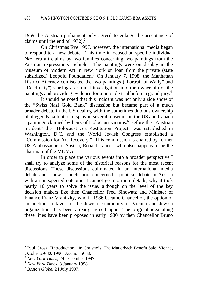1969 the Austrian parliament only agreed to enlarge the acceptance of claims until the end of  $1972$ ).<sup>2</sup>

On Christmas Eve 1997, however, the international media began to respond to a new debate. This time it focused on specific individual Nazi era art claims by two families concerning two paintings from the Austrian expressionist Schiele. The paintings were on display in the Museum of Modern Art in New York on loan from the private (state subsidized) Leopold Foundation.<sup>3</sup> On January 7, 1998, the Manhattan District Attorney confiscated the two paintings ("Portrait of Wally" and "Dead City") starting a criminal investigation into the ownership of the paintings and providing evidence for a possible trial before a grand jury.<sup>4</sup>

It should be noted that this incident was not only a side show of the "Swiss Nazi Gold Bank" discussion but became part of a much broader debate in the US dealing with the sometimes dubious ownership of alleged Nazi loot on display in several museums in the US and Canada - paintings claimed by heirs of Holocaust victims.<sup>5</sup> Before the "Austrian incident" the "Holocaust Art Restitution Project" was established in Washington, D.C. and the World Jewish Congress established a "Commission for Art Recovery." This commission is chaired by former US Ambassador to Austria, Ronald Lauder, who also happens to be the chairman of the MOMA.

In order to place the various events into a broader perspective I shall try to analyze some of the historical reasons for the most recent discussions. These discussions culminated in an international media debate and a new – much more concerned – political debate in Austria with an unexpected outcome. I cannot go into more details, why it took nearly 10 years to solve the issue, although on the level of the key decision makers like then Chancellor Fred Sinowatz and Minister of Finance Franz Vranitzky, who in 1986 became Chancellor, the option of an auction in favor of the Jewish community in Vienna and Jewish organizations has been already agreed upon. The original idea along these lines have been proposed in early 1980 by then Chancellor Bruno

 2 Paul Grosz, "Introduction," in Christie's, The Mauerbach Benefit Sale, Vienna, October 29-30, 1996, Auction 5638.

<sup>3</sup> *New York Times*, 24 December 1997.

<sup>4</sup> *New York Times*, 8 January 1998.

<sup>5</sup> *Boston Globe*, 24 July 1997.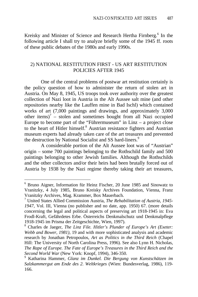Kreisky and Minister of Science and Research Hertha Firnberg.<sup>6</sup> In the following article I shall try to analyze briefly some of the 1945 ff. roots of these public debates of the 1980s and early 1990s.

#### 2) NATIONAL RESTITUTION FIRST - US ART RESTITUTION POLICIES AFTER 1945

One of the central problems of postwar art restitution certainly is the policy question of how to administer the return of stolen art in Austria. On May 8, 1945, US troops took over authority over the greatest collection of Nazi loot in Austria in the Alt Aussee salt mine (and other repositories nearby like the Lauffen mine in Bad Ischl) which contained works of art (7,000 paintings and drawings, and approximately 3,000 other items) $<sup>7</sup>$  – stolen and sometimes bought from all Nazi occupied</sup> Europe to become part of the "Führermuseum" in  $\text{Linz} - a$  project close to the heart of Hitler himself.<sup>8</sup> Austrian resistance fighters and Austrian museum experts had already taken care of the art treasures and prevented the destruction by National Socialist and SS hard-liners.<sup>9</sup>

A considerable portion of the Alt Aussee loot was of "Austrian" origin – some 700 paintings belonging to the Rothschild family and 500 paintings belonging to other Jewish families. Although the Rothschilds and the other collectors and/or their heirs had been brutally forced out of Austria by 1938 by the Nazi regime thereby taking their art treasures,

 6 Bruno Aigner, Information für Heinz Fischer, 20 June 1985 and Sinowatz to Vranitzky, 4 July 1985, Bruno Kreisky Archives Foundation, Vienna, Franz Vranitzky Archives, Mag. Krammer, Box Mauerbach.

<sup>7</sup> United States Allied Commission Austria, *The Rehabilitation of Austria, 1945- 1947*, Vol. III, Vienna (no publisher and no date, app. 1950) 67. (more details concerning the legal and political aspects of preserving art 1918-1945 in: Eva Frodl-Kraft, Gefährdetes Erbe. Österreichs Denkmalschutz und Denkmalpflege 1918-1945 im Prisma der Zeitgeschichte, Wien, 1997).

<sup>8</sup> Charles de Jaeger, *The Linz File. Hitler's Plunder of Europe's Art (Exeter: Webb and Bower, 1981)*, 19 and with more sophisticated analysis and academic research by Jonathan Petropoulos, *Art as Politics in the Third Reich* (Chapel Hill: The University of North Carolina Press, 1996). See also Lynn H. Nicholas, *The Rape of Europe. The Fate of Europe's Treasures in the Third Reich and the Second World War* (New York: Knopf, 1994), 346-350.

<sup>9</sup> Katharina Hammer, *Glanz im Dunkel. Die Bergung von Kunstschätzen im Salzkammergut am Ende des 2. Weltkrieges* (Wien: Bundesverlag, 1986), 119- 166.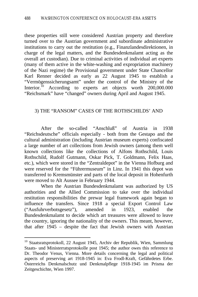these properties still were considered Austrian property and therefore turned over to the Austrian government and subordinate administrative institutions to carry out the restitution (e.g., Finanzlandesdirektionen, in charge of the legal matters, and the Bundesdenkmalamt acting as the overall art custodian). Due to criminal activities of individual art experts (many of them active in the white-washing and expropriation machinery of the Nazi regime) the Provisional government under State Chancellor Karl Renner decided as early as 22 August 1945 to establish a "Vermögenssicherungsamt" under the control of the Ministry of the Interior.<sup>10</sup> According to experts art objects worth 200,000.000 "Reichsmark" have "changed" owners during April and August 1945.

#### 3) THE "RANSOM" CASES OF THE ROTHSCHILDS' AND

After the so-called "Anschluß" of Austria in 1938 "Reichsdeutsche" officials especially - both from the Gestapo and the cultural administration (including Austrian museum experts) confiscated a large number of art collections from Jewish owners (among them well known collections like the collections of Alfons Rothschild, Louis Rothschild, Rudolf Gutmann, Oskar Pick, T. Goldmann, Felix Haas, etc.), which were stored in the "Zentraldepot" in the Vienna Hofburg and were reserved for the "Führermuseum" in Linz. In 1941 this depot was transferred to Kremsmünster and parts of the local deposit in Hohenfurth were moved to Alt Aussee in February 1944.

When the Austrian Bundesdenkmalamt was authorized by US authorities and the Allied Commission to take over the individual restitution responsibilities the prewar legal framework again began to influence the transfers. Since 1918 a special Export Control Law ("Ausfuhrverbotsgesetz"), amended in 1923, enabled the Bundesdenkmalamt to decide which art treasures were allowed to leave the country, ignoring the nationality of the owners. This meant, however, that after 1945 – despite the fact that Jewish owners with Austrian

<sup>&</sup>lt;sup>10</sup> Staatsratsprotokoll, 22 August 1945, Archiv der Republik, Wien, Sammlung Staats- und Ministerratsprotokolle post 1945; the author owes this reference to Dr. Theodor Venus, Vienna. More details concerning the legal and political aspects of preserving art 1918-1945 in: Eva Frodl-Kraft, Gefährdetes Erbe. Österreichs Denkmalschutz und Denkmalpflege 1918-1945 im Prisma der Zeitgeschichte, Wien 1997.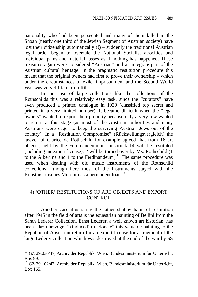nationality who had been persecuted and many of them killed in the Shoah (nearly one third of the Jewish Segment of Austrian society) have lost their citizenship automatically (!) – suddenly the traditional Austrian legal order began to overrule the National Socialist atrocities and individual pains and material losses as if nothing has happened. These treasures again were considered "Austrian" and an integrate part of the Austrian cultural heritage. In the pragmatic restitution procedure this meant that the original owners had first to prove their ownership – which under the circumstances of exile, imprisonment and the Second World War was very difficult to fulfill.

In the case of large collections like the collections of the Rothschilds this was a relatively easy task, since the "curators" have even produced a printed catalogue in 1939 (classified top secret and printed in a very limited number). It became difficult when the "legal owners" wanted to export their property because only a very few wanted to return at this stage (as most of the Austrian authorities and many Austrians were eager to keep the surviving Austrian Jews out of the country). In a "Restitution Compromise" (Rückstellungsvergleich) the lawyer of Clarice de Rothschild for example agreed that from 16 art objects, held by the Ferdinandeum in Innsbruck 14 will be restituted (including an export license), 2 will be turned over by Ms. Rothschild (1 to the Albertina and 1 to the Ferdinandeum).<sup>11</sup> The same procedure was used when dealing with old music instruments of the Rothschild collections although here most of the instruments stayed with the Kunsthistorisches Museum as a permanent loan.<sup>12</sup>

#### 4) 'OTHER' RESTITUTIONS OF ART OBJECTS AND EXPORT CONTROL

Another case illustrating the rather shabby habit of restitution after 1945 in the field of arts is the equestrian painting of Bellini from the Sarah Lederer Collection. Ernst Lederer, a well known art historian, has been "dazu bewogen" (induced) to "donate" this valuable painting to the Republic of Austria in return for an export license for a fragment of the large Lederer collection which was destroyed at the end of the war by SS

 $11$  GZ 29.036/47, Archiv der Republik, Wien, Bundesministerium für Unterricht, Box 99.

<sup>&</sup>lt;sup>12</sup> GZ 29.102/47, Archiv der Republik, Wien, Bundesministerium für Unterricht, Box 165.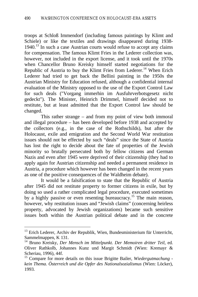troops at Schloß Immendorf (including famous paintings by Klimt and Schiele) or like the textiles and drawings disappeared during 1938-  $1940$ <sup>13</sup> In such a case Austrian courts would refuse to accept any claims for compensation. The famous Klimt Fries in the Lederer collection was, however, not included in the export license, and it took until the 1970s when Chancellor Bruno Kreisky himself started negotiations for the Republic of Austria to buy the Klimt Fries from Lederer.<sup>14</sup> When Erich Lederer had tried to get back the Bellini painting in the 1950s the Austrian Ministry for Education refused, although a confidential internal evaluation of the Ministry opposed to the use of the Export Control Law for such deals ("Vorgang immerhin im Ausfuhrverbotsgesetz nicht gedeckt"). The Minister, Heinrich Drimmel, himself decided not to restitute, but at least admitted that the Export Control law should be changed.

This rather strange – and from my point of view both immoral and illegal procedure – has been developed before 1938 and accepted by the collectors (e.g., in the case of the Rothschilds), but after the Holocaust, exile and emigration and the Second World War restitution issues should not be effected by such "deals" since the State of Austria has lost the right to decide about the fate of properties of the Jewish minority so brutally persecuted both by fellow citizens and German Nazis and even after 1945 were deprived of their citizenship (they had to apply again for Austrian citizenship and needed a permanent residence in Austria, a procedure which however has been changed in the recent years as one of the positive consequences of the Waldheim debate).

It would be a falsification to state that the Republic of Austria after 1945 did not restitute property to former citizens in exile, but by doing so used a rather complicated legal procedure, executed sometimes by a highly passive or even resenting bureaucracy.<sup>15</sup> The main reason, however, why restitution issues and "Jewish claims" (concerning heirless property, advocated by Jewish organizations) became such sensitive issues both within the Austrian political debate and in the concrete

<sup>&</sup>lt;sup>13</sup> Erich Lederer, Archiv der Republik, Wien, Bundesministerium für Unterricht, Sammelmappen, K 131.

<sup>14</sup> Bruno Kreisky, *Der Mensch im Mittelpunkt. Der Memoiren dritter Teil*, ed. Oliver Rathkolb, Johannes Kunz und Margit Schmidt (Wien: Kremayr & Scheriau, 1996), 44f.

<sup>15</sup> Compare for more details on this issue Brigitte Bailer, *Wiedergutmachung kein Thema. Österreich und die Opfer des Nationalsozialismus* (Wien: Löcker), 1993.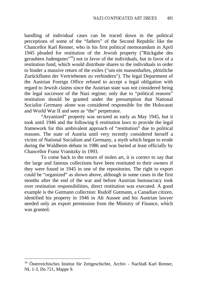handling of individual cases can be traced down in the political perceptions of some of the "fathers" of the Second Republic like the Chancellor Karl Renner, who in his first political memorandum in April 1945 pleaded for restitution of the Jewish property ("Rückgabe des geraubten Judengutes"<sup>16</sup>) not in favor of the individuals, but in favor of a restitution fund, which would distribute shares to the individuals in order to hinder a massive return of the exiles ("um ein massenhaftes, plötzliche Zurückfluten der Vertriebenen zu verhindern"). The legal Department of the Austrian Foreign Office refused to accept a legal obligation with regard to Jewish claims since the Austrian state was not considered being the legal successor of the Nazi regime; only due to "political reasons" restitution should be granted under the presumption that National Socialist Germany alone was considered responsible for the Holocaust and World War II and seen as "the" perpetrator.

"Aryanized" property was secured as early as May 1945, but it took until 1946 and the following 6 restitution laws to provide the legal framework for this ambivalent approach of "restitution" due to political reasons. The state of Austria until very recently considered herself a victim of National Socialism and Germany, a myth which began to erode during the Waldheim debate in 1986 and was buried at least officially by Chancellor Franz Vranitzky in 1993.

To come back to the return of stolen art, it is correct to say that the large and famous collections have been restituted to their owners if they were found in 1945 in one of the repositories. The right to export could be "organized" as shown above, although in some cases in the first months after the end of the war and before Austrian bureaucracy took over restitution responsibilities, direct restitution was executed. A good example is the Gutmann collection: Rudolf Gutmann, a Canadian citizen, identified his property in 1946 in Alt Aussee and his Austrian lawyer needed only an export permission from the Ministry of Finance, which was granted.

<sup>&</sup>lt;sup>16</sup> Österreichisches Institut für Zeitgeschichte, Archiv - Nachlaß Karl Renner, NL 1-3, Do 721, Mappe 9.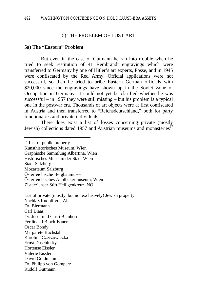#### 5) THE PROBLEM OF LOST ART

#### **5a) The "Eastern" Problem**

But even in the case of Gutmann he ran into trouble when he tried to seek restitution of 41 Rembrandt engravings which were transferred to Germany by one of Hitler's art experts, Posse, and in 1945 were confiscated by the Red Army. Official applications were not successful, so then he tried to bribe Eastern German officials with \$20,000 since the engravings have shown up in the Soviet Zone of Occupation in Germany. It could not yet be clarified whether he was successful – in 1957 they were still missing – but his problem is a typical one in the postwar era. Thousands of art objects were at first confiscated in Austria and then transferred to "Reichsdeutschland," both for party functionaries and private individuals.

There does exist a list of losses concerning private (mostly Jewish) collections dated 1957 and Austrian museums and monasteries<sup>17</sup>

Graphische Sammlung Albertina, Wien

Historisches Museum der Stadt Wien

Stadt Salzburg

 $\overline{a}$ 

Österreichische Bergbaumuseen

Dr. Josef und Gusti Blauhorn

Ferdinand Bloch-Bauer

Oscar Bondy

Margarete Buchstab

Karoline Czeczowiczka

Hortense Eissler

- David Goldmann
- Dr. Philipp von Gomperz
- Rudolf Gutmann

 $17$  List of public property

Kunsthistorisches Museum, Wien

Mozarteum Salzburg

Österreichisches Apothekermuseum, Wien

Zisterzienser Stift Heiligenkreuz, NÖ

List of private (mostly, but not exclusively) Jewish property

Nachlaß Rudolf von Alt

Dr. Biermann

Carl Blaas

Ernst Duschinsky

Valerie Eissler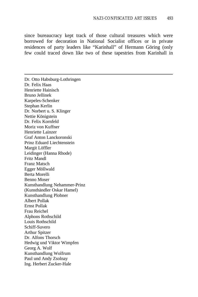since bureaucracy kept track of those cultural treasures which were borrowed for decoration in National Socialist offices or in private residences of party leaders like "Karinhall" of Hermann Göring (only few could traced down like two of these tapestries from Karinhall in

Dr. Otto Habsburg-Lothringen Dr. Felix Haas Henriette Hainisch Bruno Jellinek Karpeles-Schenker Stephan Kerlin Dr. Norbert u. S. Klinger Nettie Königstein Dr. Felix Kornfeld Moriz von Kuffner Henriette Lainzer Graf Anton Lanckoronski Prinz Eduard Liechtenstein Margit Löffler Leidinger (Hanna Rhode) Fritz Mandl Franz Matsch Egger Möllwald Berta Morelli Benno Moser Kunsthandlung Nehammer-Prinz (Kunsthändler Oskar Hamel) Kunsthandlung Plobner Albert Pollak Ernst Pollak Frau Reichel Alphons Rothschild Louis Rothschild Schiff-Suvero Arthur Spitzer Dr. Alfons Thorsch Hedwig und Viktor Wimpfen Georg A. Wolf Kunsthandlung Wolfrum Paul und Andy Zsolnay Ing. Herbert Zucker-Hale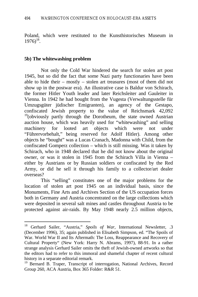Poland, which were restituted to the Kunsthistorisches Museum in  $1976)^{18}$ .

#### **5b) The whitewashing problem**

 $\overline{a}$ 

Not only the Cold War hindered the search for stolen art post 1945, but so did the fact that some Nazi party functionaries have been able to hide their – mostly – stolen art treasures (most of them did not show up in the postwar era). An illustrative case is Baldur von Schirach, the former Hitler Youth leader and later Reichsleiter and Gauleiter in Vienna. In 1942 he had bought from the Vugesta (Verwaltungsstelle für Umzugsgüter jüdischer Emigranten), an agency of the Gestapo, confiscated Jewish property to the value of Reichsmark 42,092  $19$ (obviously partly through the Dorotheum, the state owned Austrian auction house, which was heavily used for "whitewashing" and selling machinery for looted art objects which were not under "Führervorbehalt," being reserved for Adolf Hitler). Among other objects he "bought" was a Lucas Cranach, Madonna with Child, from the confiscated Gomperz collection – which is still missing. Was it taken by Schirach, who in 1948 declared that he did not know about the original owner, or was it stolen in 1945 from the Schirach Villa in Vienna – either by Austrians or by Russian soldiers or confiscated by the Red Army, or did he sell it through his family to a collector/art dealer overseas?

This "selling" constitutes one of the major problems for the location of stolen art post 1945 on an individual basis, since the Monuments, Fine Arts and Archives Section of the US occupation forces both in Germany and Austria concentrated on the large collections which were deposited in several salt mines and castles throughout Austria to be protected against air-raids. By May 1948 nearly 2.5 million objects,

<sup>&</sup>lt;sup>18</sup> Gerhard Sailer, "Austria," Spoils of War, International Newsletter, .3 (December 1996), 35; again published in Elisabeth Simpson, ed. "The Spoils of War. World War II and Its Aftermath: The Loss, Reappearance and Recovery of Cultural Property" (New York: Harry N. Abrams, 1997), 88-91. In a rather strange analysis Gerhard Sailer omits the theft of Jewish-owned artworks so that the editors had to refer to this immoral and shameful chapter of recent cultural history in a separate editorial remark.

<sup>&</sup>lt;sup>19</sup> Bernard B. Traper, Transcript of interrogation, National Archives, Record Group 260, ACA Austria, Box 365 Folder: R&R 51.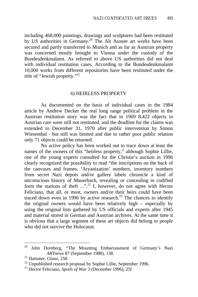including 468,000 paintings, drawings and sculptures had been restituted by US authorities in Germany.<sup>20</sup> The Alt Aussee art works have been secured and partly transferred to Munich and as far as Austrian property was concerned mostly brought to Vienna under the custody of the Bundesdenkmalamt. As referred to above US authorities did not deal with individual restitution cases. According to the Bundesdenkmalamt 10,000 works from different repositories have been restituted under the title of "Jewish property."<sup>21</sup>

#### 6) HEIRLESS PROPERTY

As documented on the basis of individual cases in the 1984 article by Andrew Decker the real long range political problem in the Austrian restitution story was the fact that in 1969 8,422 objects in Austrian care were still not restituted, and the deadline for the claims was extended to December 31, 1970 after public intervention by Simon Wiesenthal - but still was limited and due to rather poor public relation only 71 objects could be returned.

No active policy has been worked out to trace down at least the names of the owners of this "heirless property," although Sophie Lillie, one of the young experts consulted for the Christie's auction in 1996 clearly recognized the possibility to read "the inscriptions on the back of the canvases and frames. 'Aryanization' numbers, inventory numbers from secret Nazi depots and/or gallery labels chronicle a kind of unconscious history of Mauerbach, revealing or concealing in codified form the stations of theft  $\ldots$ <sup>", 22</sup> I, however, do not agree with Hector Feliciano, that all, or most, owners and/or their heirs could have been traced down even in 1996 by active research.<sup>23</sup> The chances to identify the original owners would have been relatively high – especially by using the original lists gathered by US officials and experts after 1945 and material stored in German and Austrian archives. At the same time it is obvious that a large segment of these art objects did belong to people who did not survive the Holocaust.

<sup>20</sup> John Dornberg, "The Mounting Embarrassment of Germany's Nazi *ARTnews* 87 (September 1988), 138.

 $21$  Hammer, Glanz, 258.

<sup>&</sup>lt;sup>22</sup> Unpublished research proposal by Sophie Lillie, September 1996.

<sup>23</sup> Hector Feliciano, *Spoils of War* 3 (December 1996), 25f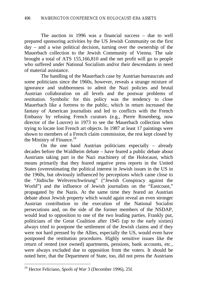The auction in 1996 was a financial success – due to well prepared sponsoring activities by the US Jewish Community on the first day – and a wise political decision, turning over the ownership of the Mauerbach collection to the Jewish Community of Vienna. The sale brought a total of ATS 155,166,810 and the net profit will go to people who suffered under National Socialism and/or their descendants in need of material assistance.

The handling of the Mauerbach case by Austrian bureaucrats and some politicians since the 1960s, however, reveals a strange mixture of ignorance and stubbornness to admit the Nazi policies and brutal Austrian collaboration on all levels and the postwar problems of restitution. Symbolic for this policy was the tendency to close Mauerbach like a fortress to the public, which in return increased the fantasy of American journalists and led to conflicts with the French Embassy by refusing French curators (e.g., Pierre Rosenberg, now director of the Louvre) in 1973 to see the Mauerbach collection when trying to locate lost French art objects. In 1987 at least 17 paintings were shown to members of a French claim commission, the rest kept closed by the Ministry of Finance. $^{24}$ 

On the one hand Austrian politicians especially – already decades before the Waldheim debate – have feared a public debate about Austrians taking part in the Nazi machinery of the Holocaust, which means primarily that they feared negative press reports in the United States (overestimating the political interest in Jewish issues in the US in the 1960s, but obviously influenced by perceptions which came close to the "Jüdische Weltverschwörung" ("Jewish Conspiracy against the World") and the influence of Jewish journalists on the "Eastcoast," propagated by the Nazis. At the same time they feared an Austrian debate about Jewish property which would again reveal an even stronger Austrian contribution to the execution of the National Socialist persecutions and, on the side of the former members of the NSDAP, would lead to opposition to one of the two leading parties. Frankly put, politicians of the Great Coalition after 1945 (up to the early sixties) always tried to postpone the settlement of the Jewish claims and if they were not hard pressed by the Allies, especially the US, would even have postponed the restitution procedures. Highly sensitive issues like the return of rented (not owned) apartments, pensions, bank accounts, etc., were always excluded due to opposition from the voters. It should be noted here, that the Department of State, too, did not press the Austrians

<sup>24</sup> Hector Feliciano, *Spoils of War* 3 (December 1996), 25f.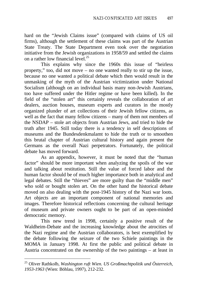hard on the "Jewish Claims issue" (compared with claims of US oil firms), although the settlement of these claims was part of the Austrian State Treaty. The State Department even took over the negotiation initiative from the Jewish organizations in 1958/59 and settled the claims on a rather low financial level.<sup>25</sup>

This explains why since the 1960s this issue of "heirless property," too, did not move – no one wanted really to stir up the issue, because no one wanted a political debate which then would result in the unmasking of the myth of the Austrian victimization under National Socialism (although on an individual basis many non-Jewish Austrians, too have suffered under the Hitler regime or have been killed). In the field of the "stolen art" this certainly reveals the collaboration of art dealers, auction houses, museum experts and curators in the mostly organized plunder of art collections of their Jewish fellow citizens, as well as the fact that many fellow citizens – many of them not members of the NSDAP – stole art objects from Austrian Jews, and tried to hide the truth after 1945. Still today there is a tendency in self descriptions of museums and the Bundesdenkmalamt to hide the truth or to smoothen this brutal chapter of Austrian cultural history and again present the Germans as the overall Nazi perpetrators. Fortunately, the political debate has moved forward.

As an appendix, however, it must be noted that the "human factor" should be more important when analyzing the spoils of the war and talking about restitution. Still the value of forced labor and the human factor should be of much higher importance both in analytical and legal debates. Still the "thieves" are more guilty than the "middle men" who sold or bought stolen art. On the other hand the historical debate moved on also dealing with the post-1945 history of the Nazi war loots. Art objects are an important component of national memories and images. Therefore historical reflections concerning the cultural heritage of museum and private owners ought to be part of an open-minded democratic memory.

This new trend in 1998, certainly a positive result of the Waldheim-Debate and the increasing knowledge about the atrocities of the Nazi regime and the Austrian collaborators, is best exemplified by the debate following the seizure of the two Schiele paintings in the MOMA in January 1998. At first the public and political debate in Austria concentrated on the ownership of the two paintings – at least in

<sup>25</sup> Oliver Rathkolb, *Washington ruft Wien. US Großmachtpolitik und Österreich, 1953-1963* (Wien: Böhlau, 1997), 212-232.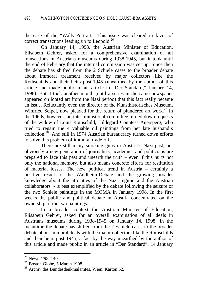the case of the "Wally-Portrait." This issue was cleared in favor of correct transactions leading up to Leopold. $^{26}$ 

On January 14, 1998, the Austrian Minister of Education, Elisabeth Gehrer, asked for a comprehensive examination of all transactions in Austrians museums during 1938-1945, but it took until the end of February that the internal commission was set up. Since then the debate has shifted from the 2 Schiele cases to the broader debate about immoral treatment received by major collectors like the Rothschilds and their heirs post-1945 (unearthed by the author of this article and made public in an article in "Der Standard," January 14, 1998). But it took another month (until a series in the same newspaper appeared on looted art from the Nazi period) that this fact really became an issue. Reluctantly even the director of the Kunsthistorisches Museum, Winfried Seipel, now pleaded for the return of plundered art work.<sup>27</sup> In the 1960s, however, an inter-ministerial committee turned down requests of the widow of Louis Rothschild, Hildegard Countess Auersperg, who tried to regain the 4 valuable oil paintings from her late husband's collection.<sup>28</sup> And still in 1974 Austrian bureaucracy turned down efforts to solve this problem of immoral trade-offs.

There are still many smoking guns in Austria's Nazi past, but obviously a new generation of journalists, academics and politicians are prepared to face this past and unearth the truth – even if this hurts not only the national memory, but also means concrete efforts for restitution of material losses. The new political trend in Austria – certainly a positive result of the Waldheim-Debate and the growing broader knowledge about the atrocities of the Nazi regime and the Austrian collaborators - is best exemplified by the debate following the seizure of the two Schiele paintings in the MOMA in January 1998. In the first weeks the public and political debate in Austria concentrated on the ownership of the two paintings.

In a broader context the Austrian Minister of Education, Elisabeth Gehrer, asked for an overall examination of all deals in Austrians museums during 1938-1945 on January 14, 1998. In the meantime the debate has shifted from the 2 Schiele cases to the broader debate about immoral deals with the major collectors like the Rothschilds and their heirs post 1945, a fact by the way unearthed by the author of this article and made public in an article in "Der Standard", 14 January

 $26$  News 4/98, 140.

 $27$  Boston Globe, 5 March 1998.

<sup>&</sup>lt;sup>28</sup> Archiv des Bundesdenkmalamtes, Wien, Karton 52.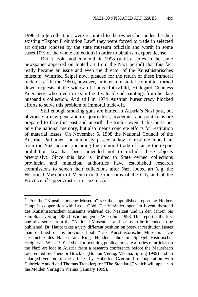1998: Large collections were restituted to the owners but under the then existing "Export Prohibition Law" they were forced to trade in selected art objects (chosen by the state museum officials and worth in some cases 10% of the whole collection) in order to obtain an export license.

But it took another month in 1998 (until a series in the same newspaper appeared on looted art from the Nazi period) that this fact really became an issue and even the director of the Kunsthistorisches museum, Winfried Seipel now, pleaded for the return of these immoral trade offs.<sup>29</sup> In the 1960s, however, an inter-ministerial committee turned down requests of the widow of Louis Rothschild, Hildegard Countess Auersperg, who tried to regain the 4 valuable oil paintings from her late husband's collection. And still in 1974 Austrian bureaucracy blocked efforts to solve this problem of immoral trade-off.

Still enough smoking guns are buried in Austria's Nazi past, but obviously a new generation of journalists, academics and politicians are prepared to face this past and unearth the truth - even if this hurts not only the national memory, but also means concrete efforts for restitution of material losses. On November 5, 1998 the National Council of the Austrian Parliament unanimously passed a law to restitute looted art from the Nazi period (including the immoral trade off since the export prohibition law has been amended not to include these objects previously). Since this law is limited to State owned collections provincial and municipal authorities have established research commissions to screen their collections after Nazi looted art (e.g. the Historical Museum of Vienna or the museums of the City and of the Province of Upper Austria in Linz, etc.).

<sup>&</sup>lt;sup>29</sup> For the "Kunsthistorische Museum" see the unpublished report by Herbert Haupt in cooperation with Lydia Göbl, Die Veränderungen im Inventarbestand des Kunsthistorischen Museums während der Nazizeit und in den Jahren bis zum Staatsvertrag 1955 ("Widmungen"), Wien June 1998. This report is the first one of a series from the "National Museums" and seems to be intended to be published. Dr. Haupt takes a very different position on postwar restitution issues than outlined in his previous book "Das Kunsthistorische Museum." Die Geschichte des Hauses am Ring. Hundert Jahre im Spiegel Historischer Ereignisse, Wien 1991. Other forthcoming publications are a series of articles on the Nazi art loot in Austria from a research conference before the Mauerbach sale, edited by Theodor Brückler (Böhlau Verlag, Vienna, Spring 1999) and an enlarged version of the articles by Hubertus Czernin (in cooperation with Gabriele Anderl and Thomas Trenkler) for "The Standard," which will appear in the Molden Verlag in Vienna (January 1999).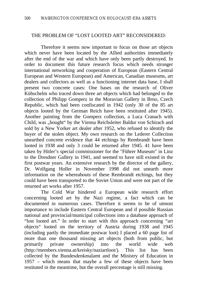#### THE PROBLEM OF "LOST LOOTED ART" RECONSIDERED:

Therefore it seems now important to focus on those art objects which never have been located by the Allied authorities immediately after the end of the war and which have only been partly destroyed. In order to document this future research focus which needs stronger international networking and cooperation of European (Eastern Central European and Western European) and American, Canadian museums, art dealers and collectors as well as a functioning internet data base, I shall present two concrete cases: One bases on the research of Oliver Kühschelm who traced down three art objects which had belonged to the collection of Philipp Gomperz in the Moravian Gallery in Brno, Czech Republic, which had been confiscated in 1942 (only 30 of the 85 art objects looted by the German Reich have been restituted after 1945). Another painting from the Gomperz collection, a Luca Cranach with Child, was "bought" by the Vienna Reichsleiter Baldur von Schirach and sold by a New Yorker art dealer after 1952, who refused to identify the buyer of the stolen object. My own research on the Lederer Collection unearthed concrete evidence that 44 etchings by Rembrandt have been looted in 1938 and only 3 could be returned after 1945. 41 have been taken by Hitler's special commissioner for the "Führer Museum" in Linz to the Dresdner Gallery in 1941, and seemed to have still existed in the first postwar years. An extensive research by the director of the gallery, Dr. Wolfgang Holler in November 1998 did not unearth more information on the whereabouts of these Rembrandt etchings, but they could have been transported to the Soviet Union and were not part of the returned art works after 1957.

The Cold War hindered a European wide research effort concerning looted art by the Nazi regime, a fact which can be documented in numerous cases. Therefore it seems to be of utmost importance to include Eastern Central European and if possible Russian national and provincial/municipal collections into a database approach of "lost looted art." In order to start with this approach concerning "art objects" looted on the territory of Austria during 1938 and 1945 (including partly the immediate postwar loot) I placed a 60 page list of more than one thousand missing art objects (both from public, but primarily private ownership) into the world wide web (http://members.vienna.at/kreisky/naziartloot/). This list has been collected by the Bundesdenkmalamt and the Ministry of Education in 1957 – which means that maybe a few of these objects have been restituted in the meantime, but the overall percentage is still missing.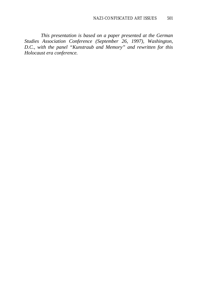*This presentation is based on a paper presented at the German Studies Association Conference (September 26, 1997), Washington, D.C., with the panel "Kunstraub and Memory" and rewritten for this Holocaust era conference.*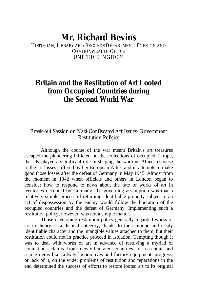# **Mr. Richard Bevins**

HISTORIAN, LIBRARY AND RECORDS DEPARTMENT, FOREIGN AND COMMONWEALTH OFFICE UNITED KINGDOM

# **Britain and the Restitution of Art Looted from Occupied Countries during the Second World War**

### Break-out Session on Nazi-Confiscated Art Issues: Government Restitution Policies

Although the course of the war meant Britain's art treasures escaped the plundering inflicted on the collections of occupied Europe, the UK played a significant role in shaping the wartime Allied response to the art losses suffered by her European Allies and in attempts to make good those losses after the defeat of Germany in May 1945. Almost from the moment in 1942 when officials and others in London began to consider how to respond to news about the fate of works of art in territories occupied by Germany, the governing assumption was that a relatively simple process of returning identifiable property subject to an act of dispossession by the enemy would follow the liberation of the occupied countries and the defeat of Germany. Implementing such a restitution policy, however, was not a simple matter.

Those developing restitution policy generally regarded works of art in theory as a distinct category, thanks to their unique and easily identifiable character and the intangible values attached to them, but their restitution could not in practice proceed in isolation. Tempting though it was to deal with works of art in advance of resolving a myriad of contentious claims from newly-liberated countries for essential and scarce items like railway locomotives and factory equipment, progress, or lack of it, on the wider problems of restitution and reparations in the end determined the success of efforts to restore looted art to its original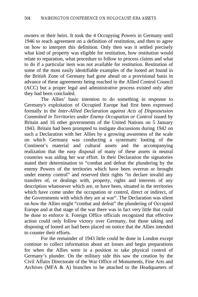owners or their heirs. It took the 4 Occupying Powers in Germany until 1946 to reach agreement on a definition of restitution, and then to agree on how to interpret this definition. Only then was it settled precisely what kind of property was eligible for restitution, how restitution would relate to reparation, what procedure to follow to process claims and what to do if a particular item was not available for restitution. Restitution of some of the most easily identifiable examples of the looted art found in the British Zone of Germany had gone ahead on a provisional basis in advance of these agreements being reached in the Allied Control Council (ACC) but a proper legal and administrative process existed only after they had been concluded.

The Allies' basic intention to do something in response to Germany's exploitation of Occupied Europe had first been expressed formally in the *Inter-Allied Declaration against Acts of Dispossession Committed in Territories under Enemy Occupation or Control* issued by Britain and 16 other governments of the United Nations on 5 January 1943. Britain had been prompted to instigate discussions during 1942 on such a Declaration with her Allies by a growing awareness of the scale on which Germany was conducting a systematic looting of the Continent's material and cultural assets and the accompanying realization that the easy disposal of many of these assets in neutral countries was aiding her war effort. In their Declaration the signatories stated their determination to "combat and defeat the plundering by the enemy Powers of the territories which have been overrun or brought under enemy control" and reserved their rights "to declare invalid any transfers of, or dealings with, property, rights and interests of any description whatsoever which are, or have been, situated in the territories which have come under the occupation or control, direct or indirect, of the Governments with which they are at war". The Declaration was silent on *how* the Allies might "combat and defeat" the plundering of Occupied Europe and at that stage of the war there was in fact very little that could be done to enforce it. Foreign Office officials recognized that effective action could only follow victory over Germany, but those taking and disposing of looted art had been placed on notice that the Allies intended to counter their efforts.

For the remainder of 1943 little could be done in London except continue to collect information about art losses and begin preparations for when the Allies were in a position to take physical control of Germany's plunder. On the military side this saw the creation by the Civil Affairs Directorate of the War Office of Monuments, Fine Arts and Archives (MFA & A) branches to be attached to the Headquarters of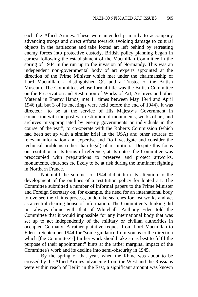each the Allied Armies. These were intended primarily to accompany advancing troops and direct efforts towards avoiding damage to cultural objects in the battlezone and take looted art left behind by retreating enemy forces into protective custody. British policy planning began in earnest following the establishment of the Macmillan Committee in the spring of 1944 in the run up to the invasion of Normandy. This was an independent non-governmental body of art experts appointed at the direction of the Prime Minister which met under the chairmanship of Lord Macmillan, a distinguished QC and a Trustee of the British Museum. The Committee, whose formal title was the British Committee on the Preservation and Restitution of Works of Art, Archives and other Material in Enemy Hands, met 11 times between May 1944 and April 1946 (all but 3 of its meetings were held before the end of 1944). It was directed: "to be at the service of His Majesty's Government in connection with the post-war restitution of monuments, works of art, and archives misappropriated by enemy governments or individuals in the course of the war"; to co-operate with the Roberts Commission (which had been set up with a similar brief in the USA) and other sources of relevant information and expertise and "to investigate and consider the technical problems (other than legal) of restitution." Despite this focus on restitution in its terms of reference, at its outset the Committee was preoccupied with preparations to preserve and protect artworks, monuments, churches etc likely to be at risk during the imminent fighting in Northern France.

Not until the summer of 1944 did it turn its attention to the development of the outlines of a restitution policy for looted art. The Committee submitted a number of informal papers to the Prime Minister and Foreign Secretary on, for example, the need for an international body to oversee the claims process, undertake searches for lost works and act as a central clearing-house of information. The Committee's thinking did not always chime with that of Whitehall- Anthony Eden told the Committee that it would impossible for any international body that was set up to act independently of the military or civilian authorities in occupied Germany. A rather plaintive request from Lord Macmillan to Eden in September 1944 for "some guidance from you as to the direction which [the Committee's] further work should take so as best to fulfil the purpose of their appointment" hints at the rather marginal impact of the Committee's work and its decline into semi-obscurity in 1945.

By the spring of that year, when the Rhine was about to be crossed by the Allied Armies advancing from the West and the Russians were within reach of Berlin in the East, a significant amount was known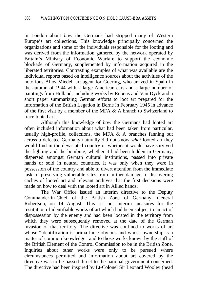in London about *how* the Germans had stripped many of Western Europe's art collections. This knowledge principally concerned the organizations and some of the individuals responsible for the looting and was derived from the information gathered by the network operated by Britain's Ministry of Economic Warfare to support the economic blockade of Germany, supplemented by information acquired in the liberated territories. Contrasting examples of what was available are the individual reports based on intelligence sources about the activities of the notorious Alios Miedel, art agent for Goering, who arrived in Spain in the autumn of 1944 with 2 large American cars and a large number of paintings from Holland, including works by Rubens and Van Dyck and a short paper summarizing German efforts to loot art prepared for the information of the British Legation in Berne in February 1945 in advance of the first visit by a member of the MFA & A branch to Switzerland to trace looted art.

Although this knowledge of *how* the Germans had looted art often included information about what had been taken from particular, usually high-profile, collections, the MFA  $\&$  A branches fanning out across a defeated Germany naturally did not know *what* looted art they would find in the devastated country or whether it would have survived the fighting and the bombing, whether it had been hidden in Germany, dispersed amongst German cultural institutions, passed into private hands or sold in neutral countries. It was only when they were in possession of the country and able to divert attention from the immediate task of preserving vulnerable sites from further damage to discovering caches of looted art and relevant archives that the first decisions were made on how to deal with the looted art in Allied hands.

The War Office issued an interim directive to the Deputy Commander-in-Chief of the British Zone of Germany, General Robertson, on 14 August. This set out interim measures for the restitution of identifiable works of art which had been subject to an act of dispossession by the enemy and had been located in the territory from which they were subsequently removed at the date of the German invasion of that territory. The directive was confined to works of art whose "identification is prima facie obvious and whose ownership is a matter of common knowledge" and to those works known by the staff of the British Element of the Control Commission to be in the British Zone. Inquiries about other works were only to be pursued where circumstances permitted and information about art covered by the directive was to be passed direct to the national government concerned. The directive had been inspired by Lt-Colonel Sir Leonard Wooley (head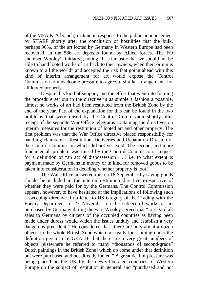of the MFA & A branch) in June in response to the public announcement by SHAEF shortly after the conclusion of hostilities that the bulk, perhaps 90%, of the art looted by Germany in Western Europe had been recovered, in the 586 art deposits found by Allied forces. The FO endorsed Wooley's initiative, noting "It is fantastic that we should not be able to hand looted works of art back to their owners, when their origin is known to all the world" and accepted the risk that going ahead with this kind of interim arrangement for art would expose the Control Commission to unwelcome pressure to agree to similar arrangements for all looted property.

Despite this kind of support, and the effort that went into framing the procedure set out in the directive in as simple a fashion a possible, almost no works of art had been restituted from the British Zone by the end of the year. Part of the explanation for this can be found in the two problems that were raised by the Control Commission shortly after receipt of the separate War Office telegrams containing the directives on interim measures for the restitution of looted art and other property. The first problem was that the War Office directive placed responsibility for handling claims on a Restitution, Deliveries and Reparation Division of the Control Commission which did not yet exist. The second, and more fundamental, problem was raised by the Control Commission's request for a definition of "an act of dispossession . . . i.e. to what extent is payment made by Germans in money or in kind for removed goods to be taken into consideration in deciding whether property is loot."

The War Office answered this on 18 September by saying goods should be included in the interim restitution directive irrespective of whether they were paid for by the Germans. The Control Commission appears, however, to have hesitated at the implications of following such a sweeping directive. In a letter to HS Gregory of the Trading with the Enemy Department of 27 November on the subject of works of art purchased by Germany during the war, Wooley agreed that "to regard all sales to Germans by citizens of the occupied countries as having been made under duress would widen the issues unduly and establish a very dangerous precedent." He considered that "there are only about a dozen objects in the whole British Zone which are really loot coming under the definition given in SUGRA 18, but there are a very great numbers of objects [elsewhere he referred to many "thousands of second-grade" Dutch paintings in the British Zone] which do come under that definition but were purchased and not directly looted." A great deal of pressure was being placed on the UK by the newly-liberated countries of Western Europe on the subject of restitution in general and "purchased and not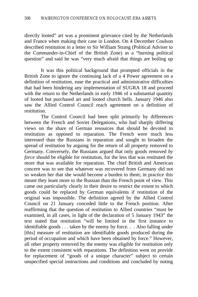directly looted" art was a prominent grievance cited by the Netherlands and France when making their case in London. On 4 December Coulson described restitution in a letter to Sir William Strang (Political Adviser to the Commander-in-Chief of the British Zone) as a "burning political question" and said he was "very much afraid that things are boiling up

It was this political background that prompted officials in the British Zone to ignore the continuing lack of a 4 Power agreement on a definition of restitution, ease the practical and administrative difficulties that had been hindering any implementation of SUGRA 18 and proceed with the return to the Netherlands in early 1946 of a substantial quantity of looted but purchased art and looted church bells. January 1946 also saw the Allied Control Council reach agreement on a definition of restitution.

The Control Council had been split primarily by differences between the French and Soviet Delegations, who had sharply differing views on the share of German resources that should be devoted to restitution as opposed to reparation. The French were much less interested than the Russians in reparation and sought to broaden the spread of restitution by arguing for the return of all property removed to Germany. Conversely, the Russians argued that only goods removed *by force* should be eligible for restitution, for the less that was restituted the more that was available for reparation. The chief British and American concern was to see that whatever was recovered from Germany did not so weaken her that she would become a burden to them; in practice this meant they leant more to the Russian than the French point of view. This came out particularly clearly in their desire to restrict the extent to which goods could be replaced by German equivalents if restitution of the original was impossible. The definition agreed by the Allied Control Council on 21 January conceded little to the French position. After reaffirming that the question of restitution to Allied countries "must be examined, in all cases, in light of the declaration of 5 January 1943" the text stated that restitution "will be limited in the first instance to identifiable goods . . . taken by the enemy by force. . . Also falling under [this] measure of restitution are identifiable goods produced during the period of occupation and which have been obtained by force." However, all other property removed by the enemy was eligible for restitution only to the extent consistent with reparations. The definition went on provide for replacement of "goods of a unique character" subject to certain unspecified special instructions and conditions and concluded by noting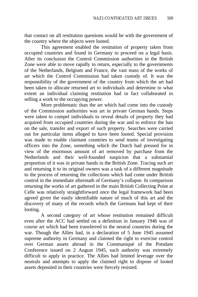that contact on all restitution questions would be with the government of the country where the objects were looted.

This agreement enabled the restitution of property taken from occupied countries and found in Germany to proceed on a legal basis. After its conclusion the Control Commission authorities in the British Zone were able to move rapidly to return, especially to the governments of the Netherlands, Belgium and France, the vast mass of the works of art which the Control Commission had taken custody of. It was the responsibility of the government of the country from which the art had been taken to allocate returned art to individuals and determine to what extent an individual claiming restitution had in fact collaborated in selling a work to the occupying power.

More problematic than the art which had come into the custody of the Commission authorities was art in private German hands. Steps were taken to compel individuals to reveal details of property they had acquired from occupied countries during the war and to enforce the ban on the sale, transfer and export of such property. Searches were carried out for particular items alleged to have been looted. Special provision was made to enable claimant countries to send teams of investigating officers into the Zone, something which the Dutch had pressed for in view of the enormous amount of art removed by purchase from the Netherlands and their well-founded suspicion that a substantial proportion of it was in private hands in the British Zone. Tracing such art and returning it to its original owners was a task of a different magnitude to the process of returning the collections which had come under British control in the immediate aftermath of Germany's collapse. In comparison returning the works of art gathered in the main British Collecting Point at Celle was relatively straightforward once the legal framework had been agreed given the easily identifiable nature of much of this art and the discovery of many of the records which the Germans had kept of their looting.

A second category of art whose restitution remained difficult even after the ACC had settled on a definition in January 1946 was of course art which had been transferred to the neutral countries during the war. Though the Allies had, in a declaration of 5 June 1945 assumed supreme authority in Germany and claimed the right to exercise control over German assets abroad in the Communiqué of the Potsdam Conference issued on 2 August 1945, such authority was extremely difficult to apply in practice. The Allies had limited leverage over the neutrals and attempts to apply the claimed right to dispose of looted assets deposited in their countries were fiercely resisted.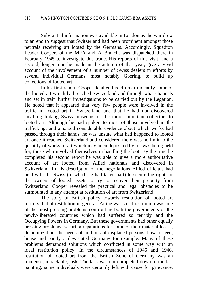Substantial information was available in London as the war drew to an end to suggest that Switzerland had been prominent amongst those neutrals receiving art looted by the Germans. Accordingly, Squadron Leader Cooper, of the MFA and A Branch, was dispatched there in February 1945 to investigate this trade. His reports of this visit, and a second, longer, one he made in the autumn of that year, give a vivid account of the involvement of a number of Swiss dealers in efforts by several individual Germans, most notably Goering, to build up collections of looted art.

In his first report, Cooper detailed his efforts to identify some of the looted art which had reached Switzerland and through what channels and set in train further investigations to be carried out by the Legation. He noted that it appeared that very few people were involved in the traffic in looted art in Switzerland and that he had not discovered anything linking Swiss museums or the more important collectors to looted art. Although he had spoken to most of those involved in the trafficking, and amassed considerable evidence about which works had passed through their hands, he was unsure what had happened to looted art once it reached Switzerland and considered there was no limit to the quantity of works of art which may been deposited by, or was being held for, those who involved themselves in handling the loot. By the time he completed his second report he was able to give a more authoritative account of art looted from Allied nationals and discovered in Switzerland. In his description of the negotiations Allied officials had held with the Swiss (in which he had taken part) to secure the right for the owners of looted assets to try to recover their property from Switzerland, Cooper revealed the practical and legal obstacles to be surmounted in any attempt at restitution of art from Switzerland.

The story of British policy towards restitution of looted art mirrors that of restitution in general. At the war's end restitution was one of the most pressing problems confronting both the governments of the newly-liberated countries which had suffered so terribly and the Occupying Powers in Germany. But these governments had other equally pressing problems- securing reparations for some of their material losses, demobilization, the needs of millions of displaced persons, how to feed, house and pacify a devastated Germany for example. Many of these problems demanded solutions which conflicted in some way with an ideal restitution policy. In the circumstances of 1945 and 1946, restitution of looted art from the British Zone of Germany was an immense, intractable, task. The task was not completed down to the last painting, some individuals were certainly left with cause for grievance,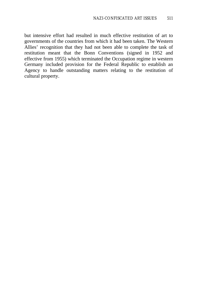but intensive effort had resulted in much effective restitution of art to governments of the countries from which it had been taken. The Western Allies' recognition that they had not been able to complete the task of restitution meant that the Bonn Conventions (signed in 1952 and effective from 1955) which terminated the Occupation regime in western Germany included provision for the Federal Republic to establish an Agency to handle outstanding matters relating to the restitution of cultural property.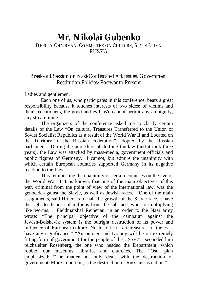# **Mr. Nikolai Gubenko**

### DEPUTY CHAIRMAN, COMMITTEE ON CULTURE, STATE DUMA RUSSIA

### Break-out Session on Nazi-Confiscated Art Issues: Government Restitution Policies: Postwar to Present

Ladies and gentlemen,

Each one of us, who participates in this conference, bears a great responsibility because it touches interests of two sides: of victims and their executioners, the good and evil. We cannot permit any ambiguity, any streamlining.

The organizers of the conference asked me to clarify certain details of the Law "On cultural Treasures Transferred to the Union of Soviet Socialist Republics as a result of the World War II and Located on the Territory of the Russian Federation" adopted by the Russian parliament. During the procedure of drafting the law (and it took three years), the Law was attacked by mass-media, government officials and public figures of Germany. I cannot, but admire the unanimity with which certain European countries supported Germany in its negative reaction to the Law.

This reminds me the unanimity of certain countries on the eve of the World War II. It is known, that one of the main objectives of this war, criminal from the point of view of the international law, was the genocide against the Slavic, as well as Jewish races. "One of the main assignments, said Hitler, is to halt the growth of the Slavic race. I have the right to dispose of millions from the sub-race, who are multiplying like worms." Fieldmarshal Reihenau, in an order to the Nazi army wrote: "The principal objective of the campaign against the Jewish-Bolshevik system is the outright destruction of its power and influence of European culture. No historic or art treasures of the East have any significance." "An outrage and tyranny will be on extremely fitting form of government for the people of the USSR," - seconded him relchsleiter Rosenberg, the one who headed the Department, which robbed our museums, libraries and churches. The "Ost" plan emphasized: "The matter not only deals with the destruction of government. More important, is the destruction of Russians as nation."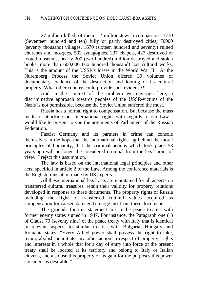27 million killed, of them - 2 million Jewish compatriots; 1710 (Seventeen hundred and ten) fully or partly destroyed cities, 70000 (seventy thousand) villages, 1670 (sixteen hundred and seventy) ruined churches and mosques, 532 synagogues, 237 chapels, 427 destroyed or looted museums, nearly 200 (two hundred) million destroyed and stolen books, more than 600,000 (six hundred thousand) lost cultural works. This is the amount of the USSR's losses in the World War II. At the Nuremberg Process the Soviet Union offered 39 volumes of documentary evidence of the destruction and looting of its cultural property. What other country could provide such evidence?!

And in the context of the problem we envisage here, a discriminative approach towards peoples of the USSR-victims of the Nazis is not permissible, because the Soviet Union suffered the most.

Russia has a normal right to compensation. But because the mass media is attacking our international rights with regards to our Law I would like to present to you the arguments of Parliament of the Russian Federation.

Fascist Germany and its partners in crime can console themselves in the hope that the international rights lag behind the moral principles of humanity; that the criminal actions which took place 53 years ago will no longer be considered criminal from the legal point of view. I reject this assumption.

The law is based on the international legal principles and other acts, specified in article 2 of the Law. Among the conference materials is the English translation made by US experts.

All these international legal acts are maintained for all aspects on transferred cultural treasures, retain their validity for property relations developed in response to these documents. The property rights of Russia including the right to transferred cultural values acquired as compensation for caused damaged emerge just from these documents.

The grounds for this statement are in the peace treaties with former enemy states signed in 1947. For instance, the Paragraph one (1) of Clause 79 (seventy nine) of the peace treaty with Italy that is identical in relevant aspects to similar treaties with Bulgaria, Hungary and Romania states: "Every Allied power shall possess the right to take, retain, abolish or initiate any other action in respect of property, rights and interests in a whole that for a day of entry into force of the present treaty shall be located at its territory and belong to Italy or Italian citizens, and also use this property or its gain for the purposes this power considers as desirable."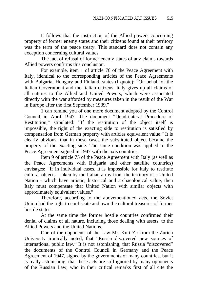It follows that the instruction of the Allied powers concerning property of former enemy states and their citizens found at their territory was the term of the peace treaty. This standard does not contain any exception concerning cultural values.

The fact of refusal of former enemy states of any claims towards Allied powers confirms this conclusion.

For example, item 1 of article 76 of the Peace Agreement with Italy, identical to the corresponding articles of the Peace Agreements with Bulgaria, Hungary and Finland, states (I quote): "On behalf of the Italian Government and the Italian citizens, Italy gives up all claims of all natures to the Allied and United Powers, which were associated directly with the war afforded by measures taken in the result of the War in Europe after the first September 1939."

1 can remind you of one more document adopted by the Control Council in April 1947. The document "Quadrilateral Procedure of Restitution," stipulated: "If the restitution of the object itself is impossible, the right of the exacting side to restitution is satisfied by compensation from German property with articles equivalent value." It is clearly obvious, that in these cases the substituted object became the property of the exacting side. The same condition was applied to the Peace Agreement signed in 1947 with the axis countries.

Item 9 of article 75 of the Peace Agreement with Italy (as well as the Peace Agreements with Bulgaria and other satellite countries) envisages: "If in individual cases, it is impossible for Italy to restitute cultural objects - taken by the Italian army from the territory of a United Nation - which have artistic, historical and archaeological value, then Italy must compensate that United Nation with similar objects with approximately equivalent values."

Therefore, according to the abovementioned acts, the Soviet Union had the right to confiscate and own the cultural treasures of former hostile states.

At the same time the former hostile countries confirmed their denial of claims of all nature, including those dealing with assets, to the Allied Powers and the United Nations.

One of the opponents of the Law Mr. Kurt Zir from the Zurich University ironically noted, that "Russia discovered new sources of international public law." It is not astonishing, that Russia "discovered" the documents of the Control Council in Germany and the Peace Agreement of 1947, signed by the governments of many countries, but it is really astonishing, that these acts are still ignored by many opponents of the Russian Law, who in their critical remarks first of all cite the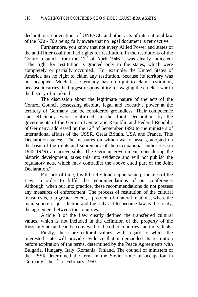declarations, conventions of UNESCO and other acts of international law of the 50's - 70's being fully aware that no legal document is retroactive.

Furthermore, you know that not every Allied Power and states of the anti-Hitler coalition had rights for restitution. In the resolutions of the Control Council from the  $17<sup>th</sup>$  of April 1946 it was clearly indicated: "The right for restitution is granted only to the states, which were completely or partially occupied." For example, the United States of America has no right to claim any restitution, because its territory was not occupied. Much less Germany has no right to claim restitution, because it carries the biggest responsibility for waging the cruelest war in the history of mankind.

The discussion about the legitimate nature of the acts of the Control Council possessing absolute legal and executive power at the territory of Germany can be considered groundless. Their competence and efficiency were confirmed in the Joint Declaration by the governments of the German Democratic Republic and Federal Republic of Germany, addressed on the  $12<sup>th</sup>$  of September 1990 to the ministers of international affairs of the USSR, Great Britain, USA and France. This Declaration states: "The measures on withdrawal of assets, adopted on the basis of the rights and supremacy of the occupational authorities (in 1945-1949) are irreversible. The German government, considering the historic development, takes this into evidence and will not publish the regulatory acts, which may contradict the above cited part of the Joint Declaration."

For lack of time, I will briefly touch upon some principles of the Law, in order to fulfill the recommendations of our conference. Although, when put into practice, these recommendations do not possess any measures of enforcement. The process of restitution of the cultural treasures is, to a greater extent, a problem of bilateral relations, where the main source of jurisdiction and the only act to become law is the treaty, the agreement between the countries.

Article 8 of the Law clearly defined the transferred cultural values, which is not included in the definition of the property of the Russian State and can be conveyed to the other countries and individuals.

Firstly, these are cultural values, with regard to which the interested state will provide evidence that it demanded its restitution before expiration of the terms, determined by the Peace Agreements with Bulgaria, Hungary, Italy, Romania, Finland. The council of ministers of the USSR determined the term in the Soviet zone of occupation in Germany - the  $1<sup>st</sup>$  of February 1950.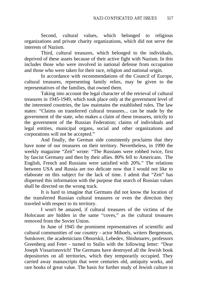Second, cultural values, which belonged to religious organizations and private charity organizations, which did not serve the interests of Nazism.

Third, cultural treasures, which belonged to the individuals, deprived of these assets because of their active fight with Nazism. In this includes those who were involved in national defense from occupation and those who were taken for their race, religion and national origin.

In accordance with recommendations of the Council of Europe, cultural treasures, representing family relies, may be given to the representatives of the families, that owned them.

Taking into account the legal character of the retrieval of cultural treasures in 1945-1949, which took place only at the government level of the interested countries, the law maintains the established rules. The law states: "Claims on transferred cultural treasures... can be made by the government of the state, who makes a claim of these treasures, strictly to the government of the Russian Federation; claims of individuals and legal entities, municipal organs, social and other organizations and corporations will not be accepted."

And finally, the German side consistently proclaims that they have none of our treasures on their territory. Nevertheless, in 1990 the weekly magazine "Zeit" wrote: "The Russians were robbed twice, first by fascist Germany and then by their allies. 80% fell to Americans. The English, French and Russians were satisfied with 20%." The relations between USA and Russia are too delicate now that I would not like to elaborate on this subject for the lack of time. I admit that "Zeit" has dispersed this information with the purpose that search of Russian values shall be directed on the wrong track.

It is hard to imagine that Germans did not know the location of the transferred Russian cultural treasures or even the direction they traveled with respect to its territory.

I won't be amazed, if cultural treasures of the victims of the Holocaust are hidden in the same "coves," as the cultural treasures removed from the Soviet Union.

In June of 1945 the prominent representatives of scientific and cultural communities of our country - actor Mihoels, writers Bergemson, Sutskover, the academicians Obnorskii, Lebedev, Shishmarev, professors Greenberg and Feter - turned to Stalin with the following letter: "Dear Joseph Vissarionovich! The Germans have destroyed all the Jewish book depositories on all territories, which they temporarily occupied. They carried away manuscripts that were centuries old, antiquity works, and rare books of great value. The basis for further study of Jewish culture in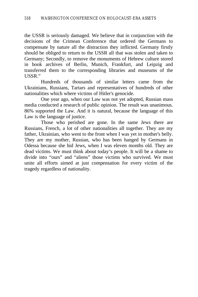the USSR is seriously damaged. We believe that in conjunction with the decisions of the Crimean Conference that ordered the Germans to compensate by nature all the distraction they inflicted. Germany firstly should be obliged to return to the USSR all that was stolen and taken to Germany; Secondly, to remove the monuments of Hebrew culture stored in book archives of Berlin, Munich, Frankfurt, and Leipzig and transferred them to the corresponding libraries and museums of the USSR."

Hundreds of thousands of similar letters came from the Ukrainians, Russians, Tartars and representatives of hundreds of other nationalities which where victims of Hitler's genocide.

One year ago, when our Law was not yet adopted, Russian mass media conducted a research of public opinion. The result was unanimous. 86% supported the Law. And it is natural, because the language of this Law is the language of justice.

Those who perished are gone. In the same Jews there are Russians, French, a lot of other nationalities all together. They are my father, Ukrainian, who went to the front when I was yet in mother's belly. They are my mother, Russian, who has been hanged by Germans in Odessa because she hid Jews, when I was eleven months old. They are dead victims. We must think about today's people. It will be a shame to divide into "ours" and "aliens" those victims who survived. We must unite all efforts aimed at just compensation for every victim of the tragedy regardless of nationality.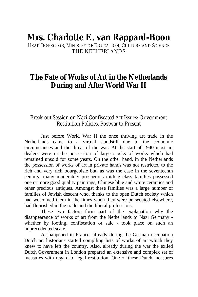# **Mrs. Charlotte E. van Rappard-Boon**

HEAD INSPECTOR, MINISTRY OF EDUCATION, CULTURE AND SCIENCE THE NETHERLANDS

# **The Fate of Works of Art in the Netherlands During and After World War II**

### Break-out Session on Nazi-Confiscated Art Issues: Government Restitution Policies, Postwar to Present

Just before World War II the once thriving art trade in the Netherlands came to a virtual standstill due to the economic circumstances and the threat of the war. At the start of 1940 most art dealers were in the possession of large stocks of works which had remained unsold for some years. On the other hand, in the Netherlands the possession of works of art in private hands was not restricted to the rich and very rich bourgeoisie but, as was the case in the seventeenth century, many moderately prosperous middle class families possessed one or more good quality paintings, Chinese blue and white ceramics and other precious antiques. Amongst these families was a large number of families of Jewish descent who, thanks to the open Dutch society which had welcomed them in the times when they were persecuted elsewhere, had flourished in the trade and the liberal professions.

These two factors form part of the explanation why the disappearance of works of art from the Netherlands to Nazi Germany whether by looting, confiscation or sale - took place on such an unprecedented scale.

As happened in France, already during the German occupation Dutch art historians started compiling lists of works of art which they knew to have left the country. Also, already during the war the exiled Dutch Government in London prepared an extensive and complex set of measures with regard to legal restitution. One of these Dutch measures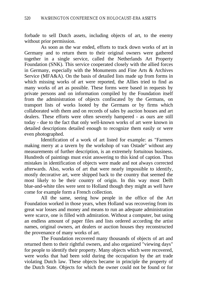forbade to sell Dutch assets, including objects of art, to the enemy without prior permission.

As soon as the war ended, efforts to track down works of art in Germany and to return them to their original owners were gathered together in a single service, called the Netherlands Art Property Foundation (SNK). This service cooperated closely with the allied forces in Germany, especially with the Monuments and Fine Arts & Archives Service (MFA&A). On the basis of detailed lists made up from forms in which missing works of art were reported, the Allies tried to find as many works of art as possible. These forms were based in requests by private persons and on information compiled by the Foundation itself from the administration of objects confiscated by the Germans, on transport lists of works looted by the Germans or by firms which collaborated with them and on records of sales by auction houses and art dealers. These efforts were often severely hampered - as ours are still today - due to the fact that only well-known works of art were known in detailed descriptions detailed enough to recognize them easily or were even photographed.

Identification of a work of art listed for example: as "Farmers making merry at a tavern by the workshop of van Ostade" without any measurements of further description, is an extremely fortuitous business. Hundreds of paintings must exist answering to this kind of caption. Thus mistakes in identification of objects were made and not always corrected afterwards. Also, works of art that were nearly impossible to identify, mostly decorative art, were shipped back to the country that seemed the most likely to be their country of origin. In this way most Delft blue-and-white tiles were sent to Holland though they might as well have come for example form a French collection.

All the same, seeing how people in the office of the Art Foundation worked in those years, when Holland was recovering from its great war losses and money and means to run an adequate administration were scarce, one is filled with admiration. Without a computer, but using an endless amount of paper files and lists ordered according the artist names, original owners, art dealers or auction houses they reconstructed the provenance of many works of art.

The Foundation recovered many thousands of objects of art and returned them to their rightful owners, and also organized "viewing days" for people to identify their property. Many objects which were recovered, were works that had been sold during the occupation by the art trade violating Dutch law. These objects became in principle the property of the Dutch State. Objects for which the owner could not be found or for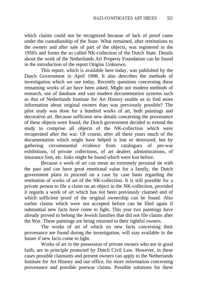which claims could not be recognized because of lack of proof came under the custodianship of the State. What remained, after restitutions to the owners and after sale of part of the objects, was registered in the 1950's and forms the so called NK-collection of the Dutch State. Details about the work of the Netherlands Art Property Foundation can be found in the introduction of the report Origins Unknown.

This report, which is available here today, was published by the Dutch Government in April 1998. It also describes the methods of investigation which we use today. Recently questions concerning these remaining works of art have been asked. Might not modern methods of research, use of database and vast modern documentation systems such as that of Netherlands Institute for Art History enable us to find more information about original owners than was previously possible? The pilot study was done for a hundred works of art, both paintings and decorative art. Because sufficient new details concerning the provenance of these objects were found, the Dutch government decided to extend the study to comprise all objects of the NK-collection which were recuperated after the war. Of course, after all these years much of the documentation which might have helped is lost or destroyed, but by gathering circumstantial evidence from catalogues of pre-war exhibitions, of private collections, of art dealers administrations, of insurance lists, etc. links might be found which were lost before.

Because a work of art can mean an extremely personal tie with the past and can have great emotional value for a family, the Dutch government plans to proceed on a case by case basis regarding the restitution of works of art of the NK-collection. It is still possible for a private person to file a claim on an object in the NK-collection, provided it regards a work of art which has not been previously claimed and of which sufficient proof of the original ownership can be found. Also earlier claims which were not accepted before can be filed again if substantial new facts have come to light. This year two paintings have already proved to belong the Jewish families that did not file claims after the War. These paintings are being returned to their rightful owners.

The works of art of which no new facts concerning their provenance are found during the investigation, will stay available in the future if new facts come to light.

Works of art in the possession of private owners who are in good faith, are in principle protected by Dutch Civil Law. However, in these cases possible claimants and present owners can apply to the Netherlands Institute for Art History and our office, for more information concerning provenance and possible postwar claims. Possible solutions for these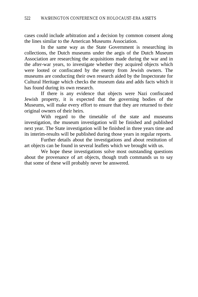cases could include arbitration and a decision by common consent along the lines similar to the American Museums Association.

In the same way as the State Government is researching its collections, the Dutch museums under the aegis of the Dutch Museum Association are researching the acquisitions made during the war and in the after-war years, to investigate whether they acquired objects which were looted or confiscated by the enemy from Jewish owners. The museums are conducting their own research aided by the Inspectorate for Cultural Heritage which checks the museum data and adds facts which it has found during its own research.

If there is any evidence that objects were Nazi confiscated Jewish property, it is expected that the governing bodies of the Museums, will make every effort to ensure that they are returned to their original owners of their heirs.

With regard to the timetable of the state and museums investigation, the museum investigation will be finished and published next year. The State investigation will be finished in three years time and its interim-results will be published during those years in regular reports.

Further details about the investigations and about restitution of art objects can be found in several leaflets which we brought with us.

We hope these investigations solve most outstanding questions about the provenance of art objects, though truth commands us to say that some of these will probably never be answered.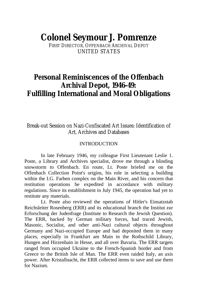# **Colonel Seymour J. Pomrenze**

FIRST DIRECTOR, OFFENBACH ARCHIVAL DEPOT UNITED STATES

# **Personal Reminiscences of the Offenbach Archival Depot, 1946-49: Fulfilling International and Moral Obligations**

### Break-out Session on Nazi-Confiscated Art Issues: Identification of Art, Archives and Databases

#### **INTRODUCTION**

In late February 1946, my colleague First Lieutenant Leslie 1. Poste, a Library and Archives specialist, drove me through a blinding snowstorm to Offenbach. En route, Lt. Poste briefed me on the Offenbach Collection Point's origins, his role in selecting a building within the I.G. Farben complex on the Main River, and his concern that restitution operations be expedited in accordance with military regulations. Since its establishment in July 1945, the operation had yet to restitute any materials.

Lt. Poste also reviewed the operations of Hitler's Einsatzstab Reichsleiter Rosenberg (ERR) and its educational branch the Institut zur Erforschung der Judenfrage (Institute to Research the Jewish Question). The ERR, backed by German military forces, had traced Jewish, Masonic, Socialist, and other anti-Nazi cultural objects throughout Germany and Nazi-occupied Europe and had deposited them in many places, especially in Frankfurt am Main in the Rothschild Library, Hungen and Hirzenhain in Hesse, and all over Bavaria. The ERR targets ranged from occupied Ukraine to the French-Spanish border and from Greece to the British Isle of Man. The ERR even raided Italy, an axis power. After Kristallnacht, the ERR collected items to save and use them for Nazism.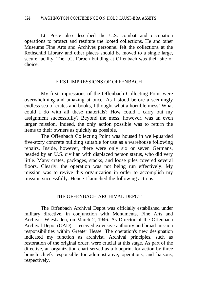Lt. Poste also described the U.S. combat and occupation operations to protect and restitute the looted collections. He and other Museums Fine Arts and Archives personnel felt the collections at the Rothschild Library and other places should be moved to a single large, secure facility. The I.G. Farben building at Offenbach was their site of choice.

#### FIRST IMPRESSIONS OF OFFENBACH

My first impressions of the Offenbach Collecting Point were overwhelming and amazing at once. As I stood before a seemingly endless sea of crates and books, I thought what a horrible mess! What could I do with all these materials? How could I carry out my assignment successfully? Beyond the mess, however, was an even larger mission. Indeed, the only action possible was to return the items to their owners as quickly as possible.

The Offenbach Collecting Point was housed in well-guarded five-story concrete building suitable for use as a warehouse following repairs. Inside, however, there were only six or seven Germans, headed by an U.S. civilian with displaced person status, who did very little. Many crates, packages, stacks, and loose piles covered several floors. Clearly, the operation was not being run effectively. My mission was to revive this organization in order to accomplish my mission successfully. Hence I launched the following actions.

#### THE OFFENBACH ARCHIVAL DEPOT

The Offenbach Archival Depot was officially established under military directive, in conjunction with Monuments, Fine Arts and Archives Wiesbaden, on March 2, 1946. As Director of the Offenbach Archival Depot (OAD), I received extensive authority and broad mission responsibilities within Greater Hesse. The operation's new designation indicated my function as archivist. Archival principles, such as restoration of the original order, were crucial at this stage. As part of the directive, an organization chart served as a blueprint for action by three branch chiefs responsible for administrative, operations, and liaisons, respectively.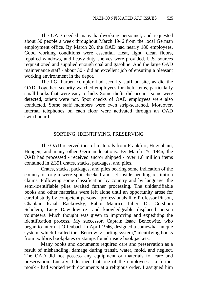The OAD needed many hardworking personnel, and requested about 50 people a week throughout March 1946 from the local German employment office. By March 28, the OAD had nearly 180 employees. Good working conditions were essential. Heat, light, clean floors, repaired windows, and heavy-duty shelves were provided. U.S. sources requisitioned and supplied enough coal and gasoline. And the large OAD maintenance staff - about 30 - did an excellent job of ensuring a pleasant working environment in the depot.

The I.G. Farben complex had security staff on site, as did the OAD. Together, security watched employees for theft items, particularly small books that were easy to hide. Some thefts did occur - some were detected, others were not. Spot checks of OAD employees were also conducted. Some staff members were even strip-searched. Moreover, internal telephones on each floor were activated through an OAD switchboard.

#### SORTING, IDENTIFYING, PRESERVING

The OAD received tons of materials from Frankfurt, Hirzenhain, Hungen, and many other German locations. By March 25, 1946, the OAD had processed - received and/or shipped - over 1.8 million items contained in 2,351 crates, stacks, packages, and piles.

Crates, stacks, packages, and piles bearing some indication of the country of origin were spot checked and set inside pending restitution claims. Following some classification by country and by language, the semi-identifiable piles awaited further processing. The unidentifiable books and other materials were left alone until an opportunity arose for careful study by competent persons - professionals like Professor Pinson, Chaplain Isaiah Rackovsky, Rabbi Maurice Liber, Dr. Gershom Scholem, Lucy Dawidowitcz, and knowledgeable displaced person volunteers. Much thought was given to improving and expediting the identification process. My successor, Captain Isaac Bencowitz, who began to intern at Offenbach in April 1946, designed a somewhat unique system, which I called the "Bencowitz sorting system," identifying books from ex libris bookplates or stamps found inside book jackets.

Many books and documents required care and preservation as a result of mishandling, damage during transit, water, mold, and neglect. The OAD did not possess any equipment or materials for care and preservation. Luckily, I learned that one of the employees - a former monk - had worked with documents at a religious order. I assigned him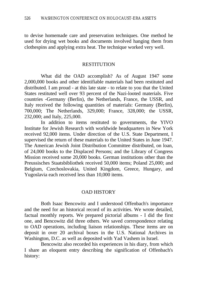to devise homemade care and preservation techniques. One method he used for drying wet books and documents involved hanging them from clothespins and applying extra heat. The technique worked very well.

#### **RESTITUTION**

What did the OAD accomplish? As of August 1947 some 2,000,000 books and other identifiable materials had been restituted and distributed. I am proud - at this late state - to relate to you that the United States restituted well over 93 percent of the Nazi-looted materials. Five countries -Germany (Berlin), the Netherlands, France, the USSR, and Italy received the following quantities of materials: Germany (Berlin), 700,000; The Netherlands, 329,000; France, 328,000; the USSR, 232,000; and Italy, 225,000.

In addition to items restituted to governments, the YIVO Institute for Jewish Research with worldwide headquarters in New York received 92,000 items. Under direction of the U.S. State Department, I supervised the return of these materials to the United States in June 1947. The American Jewish Joint Distribution Committee distributed, on loan, of 24,000 books to the Displaced Persons; and the Library of Congress Mission received some 20,000 books. German institutions other than the Preussisches Staatsbibliothek received 50,000 items; Poland 25,000; and Belgium, Czechoslovakia, United Kingdom, Greece, Hungary, and Yugoslavia each received less than 10,000 items.

#### OAD HISTORY

Both Isaac Bencowitz and I understood Offenbach's importance and the need for an historical record of its activities. We wrote detailed, factual monthly reports. We prepared pictorial albums - I did the first one, and Bencowitz did three others. We saved correspondence relating to OAD operations, including liaison relationships. These items are on deposit in over 20 archival boxes in the U.S. National Archives in Washington, D.C. as well as deposited with Yad Vashem in Israel.

Bencowitz also recorded his experiences in his diary, from which I share an eloquent entry describing the signification of Offenbach's history: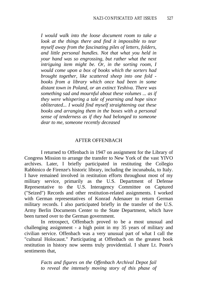*I would walk into the loose document room to take a look at the things there and find it impossible to tear myself away from the fascinating piles of letters, folders, and little personal bundles. Not that what you held in your hand was so engrossing, but rather what the next intriguing item might be. Or, in the sorting room, I would come upon a box of books which the sorters had brought together, like scattered sheep into one fold books from a library which once had been in some distant town in Poland, or an extinct Yeshiva. There was something sad and mournful about these volumes ... as if they were whispering a tale of yearning and hope since obliterated... I would find myself straightening out these books and arranging them in the boxes with a personal sense of tenderness as if they had belonged to someone dear to me, someone recently deceased*

#### AFTER OFFENBACH

I returned to Offenbach in 1947 on assignment for the Library of Congress Mission to arrange the transfer to New York of the vast YIVO archives. Later, I briefly participated in restituting the Collegio Rabbinico de Firenze's historic library, including the incunabula, to Italy. I have remained involved in restitution efforts throughout most of my military service, primarily as the U.S. Department of Defense Representative to the U.S. Interagency Committee on Captured ("Seized") Records and other restitution-related assignments. I worked with German representatives of Konrad Adenauer to return German military records. I also participated briefly in the transfer of the U.S. Army Berlin Documents Center to the State Department, which have been turned over to the German government.

In retrospect, Offenbach proved to be a most unusual and challenging assignment - a high point in my 35 years of military and civilian service. Offenbach was a very unusual part of what I call the "cultural Holocaust." Participating at Offenbach on the greatest book restitution in history now seems truly providential. I share Lt. Poste's sentiments that

> *Facts and figures on the Offenbach Archival Depot fail to reveal the intensely moving story of this phase of*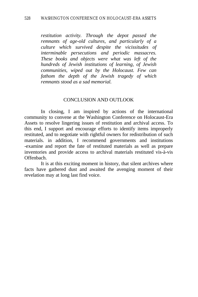*restitution activity. Through the depot passed the remnants of age-old cultures, and particularly of a culture which survived despite the vicissitudes of interminable persecutions and periodic massacres. These books and objects were what was left of the hundreds of Jewish institutions of learning, of Jewish communities, wiped out by the Holocaust. Few can fathom the depth of the Jewish tragedy of which remnants stood as a sad memorial.*

#### CONCLUSION AND OUTLOOK

In closing, I am inspired by actions of the international community to convene at the Washington Conference on Holocaust-Era Assets to resolve lingering issues of restitution and archival access. To this end, I support and encourage efforts to identify items improperly restituted, and to negotiate with rightful owners for redistribution of such materials. in addition, I recommend governments and institutions -examine and report the fate of restituted materials as well as prepare inventories and provide access to archival materials restituted vis-à-vis Offenbach.

It is at this exciting moment in history, that silent archives where facts have gathered dust and awaited the avenging moment of their revelation may at long last find voice.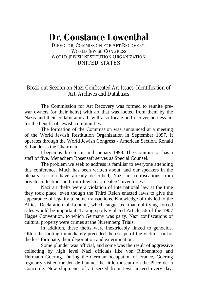# **Dr. Constance Lowenthal**

DIRECTOR, COMMISSION FOR ART RECOVERY WORLD JEWISH CONGRESS WORLD JEWISH RESTITUTION ORGANIZATION UNITED STATES

## Break-out Session on Nazi-Confiscated Art Issues: Identification of Art, Archives and Databases

The Commission for Art Recovery was formed to reunite prewar owners (or their heirs) with art that was looted from them by the Nazis and their collaborators. It will also locate and recover heirless art for the benefit of Jewish communities.

The formation of the Commission was announced at a meeting of the World Jewish Restitution Organization in September 1997. It operates through the World Jewish Congress - American Section. Ronald S. Lauder is the Chairman.

I began as director in mid-January 1998. The Commission has a staff of five. Menachem Rosensaft serves as Special Counsel.

The problem we seek to address is familiar to everyone attending this conference. Much has been written about, and our speakers in the plenary session have already described, Nazi art confiscations from private collections and from Jewish art dealers' inventories.

Nazi art thefts were a violation of international law at the time they took place, even though the Third Reich enacted laws to give the appearance of legality to some transactions. Knowledge of this led to the Allies' Declaration of London, which suggested that nullifying forced sales would be important. Taking spoils violated Article 56 of the 1907 Hague Convention, to which Germany was party. Nazi confiscations of cultural property were crimes at the Nuremberg Trials.

In addition, these thefts were inextricably linked to genocide. Often the looting immediately preceded the escape of the victims, or for the less fortunate, their deportation and extermination.

Some plunder was official, and some was the result of aggressive collecting by high level Nazi officials like von Ribbenntrop and Hermann Goering. During the German occupation of France, Goering regularly visited the Jeu de Paume, the little museum on the Place de la Concorde. New shipments of art seized from Jews arrived every day.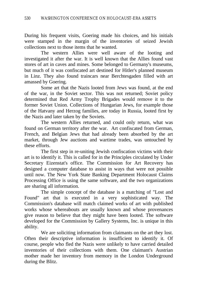During his frequent visits, Goering made his choices, and his initials were stamped in the margin of the inventories of seized Jewish collections next to those items that he wanted.

The western Allies were well aware of the looting and investigated it after the war. It is well known that the Allies found vast stores of art in caves and mines. Some belonged to Germany's museums, but much of it was confiscated art destined for Hitler's planned museum in Linz. They also found traincars near Berchtesgaden filled with art amassed by Goering.

Some art that the Nazis looted from Jews was found, at the end of the war, in the Soviet sector. This was not returned; Soviet policy determined that Red Army Trophy Brigades would remove it to the former Soviet Union. Collections of Hungarian Jews, for example those of the Hatvany and Herzog families, are today in Russia, looted first by the Nazis and later taken by the Soviets.

The western Allies returned, and could only return, what was found on German territory after the war. Art confiscated from German, French, and Belgian Jews that had already been absorbed by the art market, through Jew auctions and wartime trades, was untouched by these efforts.

The first step in re-uniting Jewish confiscation victims with their art is to identify it. This is called for in the Principles circulated by Under Secretary Eizenstat's office. The Commission for Art Recovery has designed a computer database to assist in ways that were not possible until now. The New York State Banking Department Holocaust Claims Processing Office is using the same software, and the two organizations are sharing all information.

The simple concept of the database is a matching of "Lost and Found" art that is executed in a very sophisticated way. The Commission's database will match claimed works of art with published works whose whereabouts are usually known and whose provenances give reason to believe that they might have been looted. The software developed for the Commission by Gallery Systems, Inc. is unique in this ability.

We are soliciting information from claimants on the art they lost. Often their descriptive information is insufficient to identify it. Of course, people who fled the Nazis were unlikely to have carried detailed inventories of their collections with them. One claimant's Austrian mother made her inventory from memory in the London Underground during the Blitz.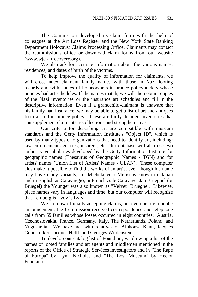The Commission developed its claim form with the help of colleagues at the Art Loss Register and the New York State Banking Department Holocaust Claims Processing Office. Claimants may contact the Commission's office or download claim forms from our website (www.wjc-artrecovery.org).

We also ask for accurate information about the various names, residences, and dates of birth of the victims.

To help improve the quality of information for claimants, we will cross-index claimant family names with those in Nazi looting records and with names of homeowners insurance policyholders whose policies had art schedules. If the names match, we will then obtain copies of the Nazi inventories or the insurance art schedules and fill in the descriptive information. Even if a grandchild-claimant is unaware that his family had insurance, we may be able to get a list of art and antiques from an old insurance policy. These are fairly detailed inventories that can supplement claimants' recollections and strengthen a case.

Our criteria for describing art are compatible with museum standards and the Getty Information Institute's "Object ID", which is used by many types of organizations that need to identify art, including: law enforcement agencies, insurers, etc. Our database will also use two authority vocabularies developed by the Getty Information Institute for geographic names (Thesaurus of Geographic Names - TGN) and for artists' names (Union List of Artists' Names - ULAN). These computer aids make it possible to find the works of an artist even though his name may have many variants, i.e. Michelangelo Merisi is known in Italian and in English as Caravaggio, in French as le Caravage. Jan Brueghel (or Bruegel) the Younger was also known as "Velvet" Brueghel. Likewise, place names vary in languages and time, but our computer will recognize that Lemberg is Lvov is Lviv.

We are now officially accepting claims, but even before a public announcement, the Commission received correspondence and telephone calls from 55 families whose losses occurred in eight countries: Austria, Czechoslovakia, France, Germany, Italy, The Netherlands, Poland, and Yugoslavia. We have met with relatives of Alphonse Kann, Jacques Goudstikker, Jacques Helft, and Georges Wildenstein.

To develop our catalog list of Found art, we drew up a list of the names of looted families and art agents and middlemen mentioned in the reports of the Office of Strategic Services investigators and in "The Rape of Europa" by Lynn Nicholas and "The Lost Museum" by Hector Feliciano.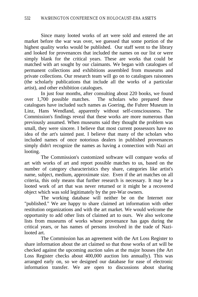Since many looted works of art were sold and entered the art market before the war was over, we guessed that some portion of the highest quality works would be published. Our staff went to the library and looked for provenances that included the names on our list or were simply blank for the critical years. These are works that could be matched with art sought by our claimants. We began with catalogues of permanent collections and exhibitions assembled from museums and private collections. Our research team will go on to catalogues raisonnes (the scholarly publications that include all the works of a particular artist), and other exhibition catalogues.

In just four months, after consulting about 220 books, we found over 1,700 possible matches. The scholars who prepared these catalogues have included such names as Goering, the Fuhrer Museum in Linz, Hans Wendland, apparently without self-consciousness. The Commission's findings reveal that these works are more numerous than previously assumed. When museums said they thought the problem was small, they were sincere. I believe that most current possessors have no idea of the art's tainted past. I believe that many of the scholars who included names of once notorious dealers in published provenances simply didn't recognize the names as having a connection with Nazi art looting.

The Commission's customized software will compare works of art with works of art and report possible matches to us, based on the number of category characteristics they share, categories like artist's name, subject, medium, approximate size. Even if the art matches on all criteria, this only means that further research is necessary. It may be a looted work of art that was never returned or it might be a recovered object which was sold legitimately by the pre-War owners.

The working database will neither be on the Internet nor "published." We are happy to share claimed art information with other restitution organizations and with the art market. We would welcome the opportunity to add other lists of claimed art to ours. We also welcome lists from museums of works whose provenance has gaps during the critical years, or has names of persons involved in the trade of Nazilooted art.

The Commission has an agreement with the Art Loss Register to share information about the art claimed so that those works of art will be checked against the upcoming auction sales at the major houses (the Art Loss Register checks about 400,000 auction lots annually). This was arranged early on, so we designed our database for ease of electronic information transfer. We are open to discussions about sharing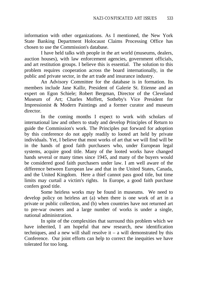information with other organizations. As I mentioned, the New York State Banking Department Holocaust Claims Processing Office has chosen to use the Commission's database.

I have held talks with people in the art world (museums, dealers, auction houses), with law enforcement agencies, government officials, and art restitution groups. I believe this is essential. The solution to this problem requires cooperation across the board internationally, in the public and private sector, in the art trade and insurance industry.

An Advisory Committee for the database is in formation. Its members include Jane Kallir, President of Galerie St. Etienne and an expert on Egon Schiele; Robert Bergman, Director of the Cleveland Museum of Art; Charles Moffett, Sotheby's Vice President for Impressionist & Modern Paintings and a former curator and museum director.

In the coming months I expect to work with scholars of international law and others to study and develop Principles of Return to guide the Commission's work. The Principles put forward for adoption by this conference do not apply readily to looted art held by private individuals. Yet, I believe that most works of art that we will find will be in the hands of good faith purchasers who, under European legal systems, acquire good title. Many of the looted works have changed hands several or many times since 1945, and many of the buyers would be considered good faith purchasers under law. I am well aware of the difference between European law and that in the United States, Canada, and the United Kingdom. Here a thief cannot pass good title, but time limits may curtail a victim's rights. In Europe, a good faith purchase confers good title.

Some heirless works may be found in museums. We need to develop policy on heirless art (a) when there is one work of art in a private or public collection, and (b) when countries have not returned art to pre-war owners and a large number of works is under a single, national administration.

In spite of the complexities that surround this problem which we have inherited, I am hopeful that new research, new identification techniques, and a new will shall resolve it – a will demonstrated by this Conference. Our joint efforts can help to correct the inequities we have tolerated for too long.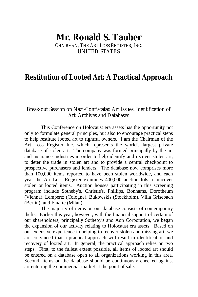# **Mr. Ronald S. Tauber**

CHAIRMAN, THE ART LOSS REGISTER, INC. UNITED STATES

## **Restitution of Looted Art: A Practical Approach**

### Break-out Session on Nazi-Confiscated Art Issues: Identification of Art, Archives and Databases

This Conference on Holocaust era assets has the opportunity not only to formulate general principles, but also to encourage practical steps to help restitute looted art to rightful owners. I am the Chairman of the Art Loss Register Inc. which represents the world's largest private database of stolen art. The company was formed principally by the art and insurance industries in order to help identify and recover stolen art, to deter the trade in stolen art and to provide a central checkpoint to prospective purchasers and lenders. The database now comprises more than 100,000 items reported to have been stolen worldwide, and each year the Art Loss Register examines 400,000 auction lots to uncover stolen or looted items. Auction houses participating in this screening program include Sotheby's, Christie's, Phillips, Bonhams, Dorotheum (Vienna), Lempertz (Cologne), Bukowskis (Stockholm), Villa Grisebach (Berlin), and Finarte (Milan).

The majority of items on our database consists of contemporary thefts. Earlier this year, however, with the financial support of certain of our shareholders, principally Sotheby's and Aon Corporation, we began the expansion of our activity relating to Holocaust era assets. Based on our extensive experience in helping to recover stolen and missing art, we are convinced that a practical approach will result in identification and recovery of looted art. In general, the practical approach relies on two steps. First, to the fullest extent possible, all items of looted art should be entered on a database open to all organizations working in this area. Second, items on the database should be continuously checked against art entering the commercial market at the point of sale.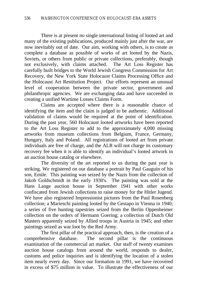There is at present no single international listing of looted art and many of the existing publications, produced mainly just after the war, are now inevitably out of date. Our aim, working with others, is to create as complete a database as possible of works of art looted by the Nazis, Soviets, or others from public or private collections, preferably, though not exclusively, with claims attached. The Art Loss Register has carefully built bridges to the World Jewish Congress Commission for Art Recovery, the New York State Holocaust Claims Processing Office and the Holocaust Art Restitution Project. Our efforts represent an unusual level of cooperation between the private sector, government and philanthropic agencies. We are exchanging data and have succeeded in creating a unified Wartime Losses Claims Form.

Claims are accepted where there is a reasonable chance of identifying the item and the claim is judged to be authentic. Additional validation of claims would be required at the point of identification. During the past year, 560 Holocaust looted artworks have been reported to the Art Loss Register to add to the approximately 4,000 missing artworks from museum collections from Belgium, France, Germany, Hungary, Italy and Poland. All registrations of looted art from private individuals are free of charge, and the ALR will not charge its customary recovery fee when it is able to identify an individual's looted artwork in an auction house catalog or elsewhere.

The diversity of the art reported to us during the past year is striking. We registered on our database a portrait by Paul Gauguin of his son, Emile. This painting was seized by the Nazis from the collection of Jakob Goldschmidt in the early 1930's. The painting was sold at the Hans Lange auction house in September 1941 with other works confiscated from Jewish collections to raise money for the Hitler Jugend. We have also registered Impressionist pictures from the Paul Rosenberg collection; a Marieschi painting looted by the Gestapo in Vienna in 1940; a series of five hunting tapestries seized from the Berlin Oppenheimer collection on the orders of Hermann Goering; a collection of Dutch Old Masters apparently seized by Allied troops in Austria in 1945; and other paintings seized as war loot by the Red Army.

The first pillar of the practical approach, then, is the creation of a comprehensive database. The second pillar is the continuous examination of the commercial art market. Our staff of twenty examines auction house catalogs from around the world, responds to dealer, customs and police inquiries and is identifying the location of a stolen item nearly every day. Since our formation in 1991, we have recovered in excess of \$75 million in value. To illustrate the effectiveness of our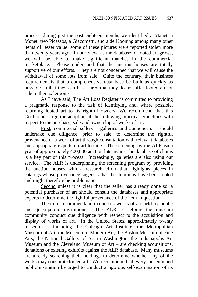process, during just the past eighteen months we identified a Manet, a Monet, two Picassos, a Giacometti, and a de Kooning among many other items of lesser value; some of these pictures were reported stolen more than twenty years ago. In our view, as the database of looted art grows, we will be able to make significant matches in the commercial marketplace. Please understand that the auction houses are totally supportive of our efforts. They are not concerned that we will cause the withdrawal of some lots from sale. Quite the contrary, their business requirement is that a comprehensive data base be built as quickly as possible so that they can be assured that they do not offer looted art for sale in their salerooms.

As I have said, The Art Loss Register is committed to providing a pragmatic response to the task of identifying and, where possible, returning looted art to its rightful owners. We recommend that this Conference urge the adoption of the following practical guidelines with respect to the purchase, sale and ownership of works of art:

First, commercial sellers – galleries and auctioneers – should undertake due diligence, prior to sale, to determine the rightful provenance of a work of art through consultation with relevant databases and appropriate experts on art looting. The screening by the ALR each year of approximately 400,000 auction lots against the database of claims is a key part of this process. Increasingly, galleries are also using our service. The ALR is underpinning the screening program by providing the auction houses with a research effort that highlights pieces in catalogs whose provenance suggests that the item may have been looted and might therefore be problematic.

Second unless it is clear that the seller has already done so, a potential purchaser of art should consult the databases and appropriate experts to determine the rightful provenance of the item in question.

The third recommendation concerns works of art held by public and quasi-public institutions. The ALR is helping the museum community conduct due diligence with respect to the acquisition and display of works of art. In the United States, approximately twenty museums – including the Chicago Art Institute, the Metropolitan Museum of Art, the Museum of Modern Art, the Boston Museum of Fine Arts, the National Gallery of Art in Washington, the Indianapolis Art Museum and the Cleveland Museum of Art – are checking acquisitions, donations or existing exhibits against the ALR database. Many museums are already searching their holdings to determine whether any of the works may constitute looted art. We recommend that every museum and public institution be urged to conduct a rigorous self-examination of its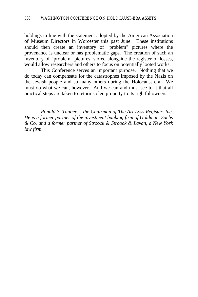holdings in line with the statement adopted by the American Association of Museum Directors in Worcester this past June. These institutions should then create an inventory of "problem" pictures where the provenance is unclear or has problematic gaps. The creation of such an inventory of "problem" pictures, stored alongside the register of losses, would allow researchers and others to focus on potentially looted works.

This Conference serves an important purpose. Nothing that we do today can compensate for the catastrophes imposed by the Nazis on the Jewish people and so many others during the Holocaust era. We must do what we can, however. And we can and must see to it that all practical steps are taken to return stolen property to its rightful owners.

*Ronald S. Tauber is the Chairman of The Art Loss Register, Inc. He is a former partner of the investment banking firm of Goldman, Sachs & Co. and a former partner of Stroock & Stroock & Lavan, a New York law firm.*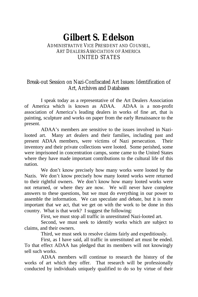## **Gilbert S. Edelson** ADMINISTRATIVE VICE PRESIDENT AND COUNSEL,

# ART DEALERS ASSOCIATION OF AMERICA UNITED STATES

## Break-out Session on Nazi-Confiscated Art Issues: Identification of Art, Archives and Databases

I speak today as a representative of the Art Dealers Association of America which is known as ADAA. ADAA is a non-profit association of America's leading dealers in works of fine art, that is painting, sculpture and works on paper from the early Renaissance to the present.

ADAA's members are sensitive to the issues involved in Nazilooted art. Many art dealers and their families, including past and present ADAA members, were victims of Nazi persecution. Their inventory and their private collections were looted. Some perished, some were imprisoned in concentration camps, some came to the United States where they have made important contributions to the cultural life of this nation.

We don't know precisely how many works were looted by the Nazis. We don't know precisely how many looted works were returned to their rightful owners. We don't know how many looted works were not returned, or where they are now. We will never have complete answers to these questions, but we must do everything in our power to assemble the information. We can speculate and debate, but it is more important that we act, that we get on with the work to be done in this country. What is that work? I suggest the following:

First, we must stop all traffic in unrestituted Nazi-looted art.

Second, we must seek to identify works which are subject to claims, and their owners.

Third, we must seek to resolve claims fairly and expeditiously.

First, as I have said, all traffic in unrestituted art must be ended. To that effect ADAA has pledged that its members will not knowingly sell such works.

ADAA members will continue to research the history of the works of art which they offer. That research will be professionally conducted by individuals uniquely qualified to do so by virtue of their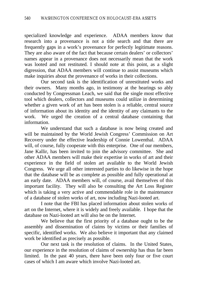specialized knowledge and experience. ADAA members know that research into a provenance is not a title search and that there are frequently gaps in a work's provenance for perfectly legitimate reasons. They are also aware of the fact that because certain dealers' or collectors' names appear in a provenance does not necessarily mean that the work was looted and not restituted. I should note at this point, as a slight digression, that ADAA members will continue to assist museums which make inquiries about the provenance of works in their collections.

Our second task is the identification of unrestituted works and their owners. Many months ago, in testimony at the hearings so ably conducted by Congressman Leach, we said that the single most effective tool which dealers, collectors and museums could utilize in determining whether a given work of art has been stolen is a reliable, central source of information about its identity and the identity of any claimants to the work. We urged the creation of a central database containing that information.

We understand that such a database is now being created and will be maintained by the World Jewish Congress' Commission on Art Recovery under the effective leadership of Connie Lowenthal. ADAA will, of course, fully cooperate with this enterprise. One of our members, Jane Kallir, has been invited to join the advisory committee. She and other ADAA members will make their expertise in works of art and their experience in the field of stolen art available to the World Jewish Congress. We urge all other interested parties to do likewise in the hope that the database will be as complete as possible and fully operational at an early date. ADAA members will, of course, avail themselves of this important facility. They will also be consulting the Art Loss Register which is taking a very active and commendable role in the maintenance of a database of stolen works of art, now including Nazi-looted art.

I note that the FBI has placed information about stolen works of art on the Internet, where it is widely and freely available. I hope that the database on Nazi-looted art will also be on the Internet.

We believe that the first priority of a database ought to be the assembly and dissemination of claims by victims or their families of specific, identified works. We also believe it important that any claimed work be identified as precisely as possible.

Our next task is the resolution of claims. In the United States, our experience in the resolution of claims of ownership has thus far been limited. In the past 40 years, there have been only four or five court cases of which I am aware which involve Nazi-looted art.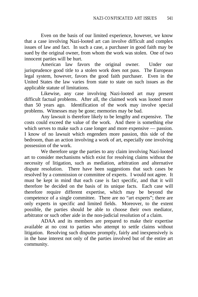Even on the basis of our limited experience, however, we know that a case involving Nazi-looted art can involve difficult and complex issues of law and fact. In such a case, a purchaser in good faith may be sued by the original owner, from whom the work was stolen. One of two innocent parties will be hurt.

American law favors the original owner. Under our jurisprudence good title to a stolen work does not pass. The European legal system, however, favors the good faith purchaser. Even in the United States the law varies from state to state on such issues as the applicable statute of limitations.

Likewise, any case involving Nazi-looted art may present difficult factual problems. After all, the claimed work was looted more than 50 years ago. Identification of the work may involve special problems. Witnesses may be gone; memories may be bad.

Any lawsuit is therefore likely to be lengthy and expensive. The costs could exceed the value of the work. And there is something else which serves to make such a case longer and more expensive — passion. I know of no lawsuit which engenders more passion, this side of the bedroom, than an action involving a work of art, especially one involving possession of the work.

We therefore urge the parties to any claim involving Nazi-looted art to consider mechanisms which exist for resolving claims without the necessity of litigation, such as mediation, arbitration and alternative dispute resolution. There have been suggestions that such cases be resolved by a commission or committee of experts. I would not agree. It must be kept in mind that each case is fact specific, and that it will therefore be decided on the basis of its unique facts. Each case will therefore require different expertise, which may be beyond the competence of a single committee. There are no "art experts"; there are only experts in specific and limited fields. Moreover, to the extent possible, the parties should be able to choose their own mediator, arbitrator or such other aide in the non-judicial resolution of a claim.

ADAA and its members are prepared to make their expertise available at no cost to parties who attempt to settle claims without litigation. Resolving such disputes promptly, fairly and inexpensively is in the base interest not only of the parties involved but of the entire art community.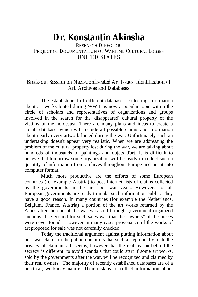# **Dr. Konstantin Akinsha**

RESEARCH DIRECTOR, PROJECT OF DOCUMENTATION OF WARTIME CULTURAL LOSSES UNITED STATES

### Break-out Session on Nazi-Confiscated Art Issues: Identification of Art, Archives and Databases

The establishment of different databases, collecting information about art works looted during WWII, is now a popular topic within the circle of scholars and representatives of organizations and groups involved in the search for the 'disappeared' cultural property of the victims of the holocaust. There are many plans and ideas to create a "total" database, which will include all possible claims and information about nearly every artwork looted during the war. Unfortunately such an undertaking doesn't appear very realistic. When we are addressing the problem of the cultural property lost during the war, we are talking about hundreds of thousands of paintings and objets d'art. It is difficult to believe that tomorrow some organization will be ready to collect such a quantity of information from archives throughout Europe and put it into computer format.

Much more productive are the efforts of some European countries (for example Austria) to post Internet lists of claims collected by the governments in the first post-war years. However, not all European governments are ready to make such information public. They have a good reason. In many countries (for example the Netherlands, Belgium, France, Austria) a portion of the art works returned by the Allies after the end of the war was sold through government organized auctions. The ground for such sales was that the "owners" of the pieces were never found. However in many cases provenance of the works of art proposed for sale was not carefully checked.

Today the traditional argument against putting information about post-war claims in the public domain is that such a step could violate the privacy of claimants. It seems, however that the real reason behind the secrecy is different: to avoid scandals that could start if some art works, sold by the governments after the war, will be recognized and claimed by their real owners. The majority of recently established databases are of a practical, workaday nature. Their task is to collect information about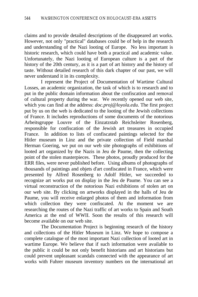claims and to provide detailed descriptions of the disappeared art works. However, not only "practical" databases could be of help in the research and understanding of the Nazi looting of Europe. No less important is historic research, which could have both a practical and academic value. Unfortunately, the Nazi looting of European culture is a part of the history of the 20th century, as it is a part of art history and the history of taste. Without detailed research of this dark chapter of our past, we will never understand it in its complexity.

I represent the Project of Documentation of Wartime Cultural Losses, an academic organization, the task of which is to research and to put in the public domain information about the confiscation and removal of cultural property during the war. We recently opened our web site, which you can find at the address: *doc.proj@loyola.edu*. The first project put by us on the web is dedicated to the looting of the Jewish collections of France. It includes reproductions of some documents of the notorious Arbeitsgruppe Louvre of the Einzatzstab Reichsleiter Rosenberg, responsible for confiscation of the Jewish art treasures in occupied France. In addition to lists of confiscated paintings selected for the Hitler museum in Linz and the private collection of Field marshal Herman Goering, we put on our web site photographs of exhibitions of looted art organized by the Nazis in Jeu de Paume, then the collecting point of the stolen masterpieces. These photos, proudly produced for the ERR files, were never published before. Using albums of photographs of thousands of paintings and objets d'art confiscated in France, which were presented by Alfred Rosenberg to Adolf Hitler, we succeeded to recognize art works put on display in the Jeu de Paume. You can see a virtual reconstruction of the notorious Nazi exhibitions of stolen art on our web site. By clicking on artworks displayed in the halls of Jeu de Paume, you will receive enlarged photos of them and information from which collection they were confiscated. At the moment we are researching the routes of the Nazi traffic of art works to Spain and South America at the end of WWII. Soon the results of this research will become available on our web site.

The Documentation Project is beginning research of the history and collections of the Hitler Museum in Linz. We hope to compose a complete catalogue of the most important Nazi collection of looted art in wartime Europe. We believe that if such information were available to the public it could be not only benefit historians and art historians but could prevent unpleasant scandals connected with the appearance of art works with Fuhrer museum inventory numbers on the international art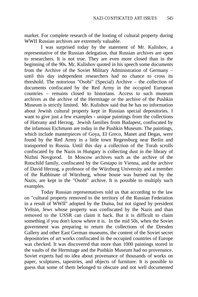market. For complete research of the looting of cultural property during WWII Russian archives are extremely valuable.

I was surprised today by the statement of Mr. Kulishov, a representative of the Russian delegation, that Russian archives are open to researchers. It is not true. They are even more closed than in the beginning of the 90s. Mr. Kulishov quoted in his speech some documents from the Archive of the Soviet Military Administration of Germany – until this day independent researchers had no chance to cross its threshold. The notorious "Osobi" (Special) Archive – the collection of documents confiscated by the Red Army in the occupied European countries – remains closed to historians. Access to such museum archives as the archive of the Hermitage or the archive of the Pushkin Museum is strictly limited. Mr. Kulishov said that he has no information about Jewish cultural property kept in Russian special depositories. I want to give just a few examples - unique paintings from the collections of Hatvany and Herzog, Jewish families from Budapest, confiscated by the infamous Eichmann are today in the Pushkin Museum. The paintings, which include masterpieces of Goya, El Greco, Manet and Degas, were found by the Red Army in a little town Regensburg near Berlin and transported to Russia. Until this day a collection of the Torah scrolls confiscated by the Nazis in Hungary is collecting dust in the library of Nizhni Novgorod. In Moscow archives such as the archive of the Rotschild family, confiscated by the Gestapo in Vienna, and the archive of David Herzog, a professor of the Würzburg University and a member of the Rabbinate of Würzburg, whose house was burned out by the Nazis, are kept in the "Osobi" archive. It is possible to multiply such examples.

Today Russian representatives told us that according to the law on "cultural property removed to the territory of the Russian Federation in a result of WWII" adopted by the Duma, but not signed by president Yeltsin, Jews whose property was confiscated by the Nazis and than removed to the USSR can claim it back. But it is difficult to claim something if you don't know where it is. In the mid 50s, when the Soviet government was preparing to return the collections of the Dresden Gallery and other East German museums, the content of the Soviet secret depositories of art works confiscated in the occupied countries of Europe was checked. It was discovered that more than 1000 paintings stored in the vaults of the Hermitage and the Pushkin Museum had no provenance. Soviet experts had no idea about provenance of thousands of works on paper, sculptures, tapestries, and objects of furniture. It is possible to guess that some of them belonged to obscure and not well documented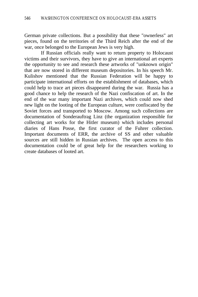German private collections. But a possibility that these "ownerless" art pieces, found on the territories of the Third Reich after the end of the war, once belonged to the European Jews is very high.

If Russian officials really want to return property to Holocaust victims and their survivors, they have to give an international art experts the opportunity to see and research these artworks of "unknown origin" that are now stored in different museum depositories. In his speech Mr. Kulishov mentioned that the Russian Federation will be happy to participate international efforts on the establishment of databases, which could help to trace art pieces disappeared during the war. Russia has a good chance to help the research of the Nazi confiscation of art. In the end of the war many important Nazi archives, which could now shed new light on the looting of the European culture, were confiscated by the Soviet forces and transported to Moscow. Among such collections are documentation of Sonderauftrag Linz (the organization responsible for collecting art works for the Hitler museum) which includes personal diaries of Hans Posse, the first curator of the Fuhrer collection. Important documents of ERR, the archive of SS and other valuable sources are still hidden in Russian archives. The open access to this documentation could be of great help for the researchers working to create databases of looted art.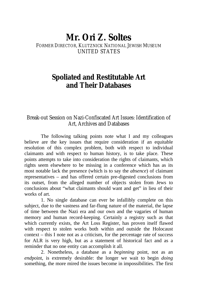## **Mr. Ori Z. Soltes**

### FORMER DIRECTOR, KLUTZNICK NATIONAL JEWISH MUSEUM UNITED STATES

## **Spoliated and Restitutable Art and Their Databases**

### Break-out Session on Nazi-Confiscated Art Issues: Identification of Art, Archives and Databases

The following talking points note what I and my colleagues believe are the key issues that require consideration if an equitable resolution of this complex problem, both with respect to individual claimants and with respect to human history, is to take place. These points attempts to take into consideration the rights of claimants, which rights seem elsewhere to be missing in a conference which has as its most notable lack the presence (which is to say the *absence*) of claimant representatives – and has offered certain pre-digested conclusions from its outset, from the alleged number of objects stolen from Jews to conclusions about "what claimants should want and get" in lieu of their works of art.

1. No single database can ever be infallibly complete on this subject, due to the vastness and far-flung nature of the material, the lapse of time between the Nazi era and our own and the vagaries of human memory and human record-keeping. Certainly a registry such as that which currently exists, the Art Loss Register, has proven itself flawed with respect to stolen works both within and outside the Holocaust context – this I note not as a criticism, for the percentage rate of success for ALR is very high, but as a statement of historical fact and as a reminder that no one entity can accomplish it all.

2. Nonetheless, a database as a *beginning* point, not as an *end*point, is extremely desirable: the longer we wait to begin *doing* something, the more mired the issues become in impossibilities. The first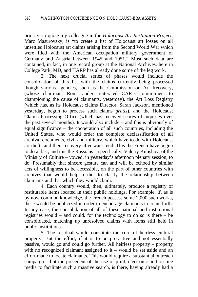priority, to quote my colleague in the *Holocaust Art Restitution Project*, Marc Masurovsky, is "to create a list of Holocaust art losses on all unsettled Holocaust art claims arising from the Second World War which were filed with the American occupation military government of Germany and Austria between 1945 and 1951." Most such data are contained, in fact, in one record group at the National Archives, here in College Park, MD, and HARP has already done some of the leg work.

3. The next crucial series of phases would include the consolidation of this list with the claims currently being processed though various agencies, such as the Commission on Art Recovery, (whose chairman, Ron Lauder, reiterated CAR's commitment to championing the cause of claimants, yesterday), the Art Loss Registry (which has, as its Holocaust claims Director, Sarah Jackson, mentioned yesterday, begun to process such claims *gratis*), and the Holocaust Claims Processing Office (which has received scores of inquiries over the past several months). It would also include – and this is obviously of equal significance – the cooperation of all such countries, including the United States, who would order the complete declassification of all archival documents, civil and military, which have to do with Holocaust art thefts and their recovery after war's end. This the French have begun to do at last, and this the Russians – specifically, Valeriy Kulishov, of the Ministry of Culture – vowed, in yesterday's afternoon plenary session, to do. Presumably that sincere gesture can and will be echoed by similar acts of willingness to be accessible, on the part of other countries with archives that would help further to clarify the relationship between claimants and that which they would claim.

4. Each country would, then, ultimately, produce a registry of restitutable items located in their public holdings. For example, if, as is by now common knowledge, the French possess some 2,000 such works, these would be publicized in order to encourage claimants to come forth. In any case, the consolidation of all of these national and institutional registries would – and could, for the technology to do so is there – be consolidated, matching up unresolved claims with items still held in public institutions.

5. The residual would constitute the core of heirless cultural property. But the effort, if it is to be pro-active and not essentially passive, would go and could go further. All heirless property – property with no recognized claimant assigned to it – would be set aside and an effort made to locate claimants. This would require a substantial outreach campaign – but the precedent of the use of print, electronic and on-line media to facilitate such a massive search, is there, having already had a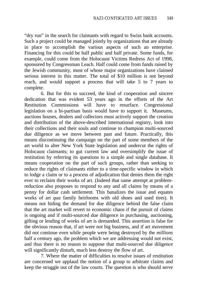"dry run" in the search for claimants with regard to Swiss bank accounts. Such a project could be managed jointly by organizations that are already in place to accomplish the various aspects of such an enterprise. Financing for this could be half public and half private. Some funds, for example, could come from the Holocaust Victims Redress Act of 1998, sponsored by Congressman Leach. Half could come from funds raised by the Jewish community, most of whose major organizations have claimed serious interest in this matter. The total of \$10 million is not beyond reach, and would support a process that will take 5 to 7 years to complete.

6. But for this to succeed, the kind of cooperation and sincere dedication that was evident 53 years ago in the efforts of the Art Restitution Commissions will have to resurface. Congressional legislation on a bi-partisan basis would have to support it. Museums, auctions houses, dealers and collectors must actively support the creation and distribution of the above-described international registry, look into their collections and their souls and continue to champion multi-sourced due diligence as we move between past and future. Practically, this means discontinuing the campaign on the part of some members of the art world to alter New York State legislation and undercut the rights of Holocaust claimants; to gut current law and oversimplify the issue of restitution by referring its questions to a simple and single database. It means cooperation on the part of such groups, rather than seeking to reduce the rights of claimants either to a time-specific window in which to lodge a claim or to a process of adjudication that denies them the right ever to reclaim their works of art. (Indeed that same attempt at problemreduction also proposes to respond to any and all claims by means of a penny for dollar cash settlement. This banalizes the issue and equates works of art *qua* family heirlooms with old shoes and used tires). It means not hiding the demand for due diligence behind the false claim that the art market will revert to economic chaos if the pursuit of claims is ongoing and if multi-sourced due diligence in purchasing, auctioning, gifting or lending of works of art is demanded. This assertion is false for the obvious reason that, if art were *not* big business, and if art movement did *not* continue *even* while people were being destroyed by the *millions* half a century ago, the problem which we are addressing would not exist, and thus there is no reason to suppose that multi-sourced due diligence will significantly disturb, much less destroy the flow of art.

7. Where the matter of difficulties to resolve issues of restitution are concerned we applaud the notion of a group to arbitrate claims and keep the struggle out of the law courts. The question is who should serve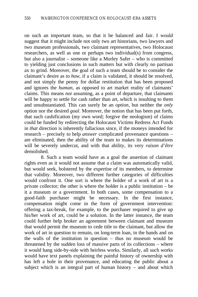on such an important team, so that it be balanced and fair. I would suggest that it might include not only two art historians, two lawyers and two museum professionals, two claimant representatives, two Holocaust researchers, as well as one or perhaps two individual(s) from congress, but also a journalist – someone like a Morley Safer – who is committed to yielding just conclusions in such matters but with clearly no partisan ax to grind. Moreover, the goal of such a team should be to consider the claimant's desire as to *how*, if a claim is validated, it should be resolved, and not simply the penny for dollar restitution that has been proposed and ignores the *human*, as opposed to art market reality of claimants' claims. This means *not* assuming, as a point of departure, that claimants will be happy to settle for cash rather than art, which is insulting to them and unsubstantiated. This can surely be an *option*, but neither the *only* option nor the desired *goal*. Moreover, the notion that has been put forth, that such cashification (my own word; forgive the neologism) of claims could be funded by redirecting the Holocaust Victims Redress Act Funds in *that* direction is inherently fallacious since, if the moneys intended for research – precisely to help *answer* complicated provenance questions – are eliminated, then the ability of the team to makes its determinations will be severely undercut, and with that ability, its very *raison d'être* demolished.

8. Such a team would have as a goal the assertion of claimant rights even as it would not assume that a claim was automatically valid, but would seek, bolstered by the expertise of its members, to determine that validity. Moreover, two different further categories of difficulties would confront it. One sort is where the holder of a work of art is a private collector; the other is where the holder is a public institution – be it a museum or a government. In both cases, some compensation to a good-faith purchaser might be necessary. In the first instance, compensation might come in the form of government intervention: offering a tax-break, for example, to the purchaser required to give up his/her work of art, could be a solution. In the latter instance, the team could further help broker an agreement between claimant and museum that would permit the museum to cede title to the claimant, but allow the work of art in question to remain, on long-term loan, in the hands and on the walls of the institution in question – thus no museum would be threatened by the sudden loss of massive parts of its collections – where it would hang side-by-side with heirless works. Similarly, all such works would have text panels explaining the painful history of ownership with has left a hole in their provenance, and educating the public about a subject which is an integral part of human history – and about which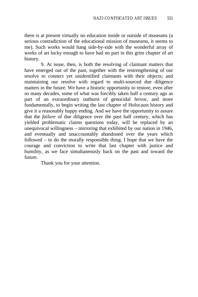there is at present virtually no education inside or outside of museums (a serious contradiction of the educational mission of museums, it seems to me). Such works would hang side-by-side with the wonderful array of works of art lucky enough to have had no part in this grim chapter of art history.

9. At issue, then, is both the resolving of claimant matters that have emerged out of the past, together with the restrengthening of our resolve to connect yet unidentified claimants with their objects; and maintaining our resolve with regard to multi-sourced due diligence matters in the future. We have a historic opportunity to restore, even after so many decades, some of what was forcibly taken half a century ago as part of an extraordinary outburst of genocidal fervor, and more fundamentally, to begin writing the last chapter of Holocaust history and give it a reasonably happy ending. And we have the opportunity to assure that the *failure* of due diligence over the past half century, which has yielded problematic claims questions today, will be replaced by an unequivocal willingness – mirroring that exhibited by our nation in 1946, and eventually and unaccountably abandoned over the years which followed – to do the morally responsible thing. I hope that we have the courage and conviction to write that last chapter with justice and humility, as we face simultaneously back on the past and toward the future.

Thank you for your attention.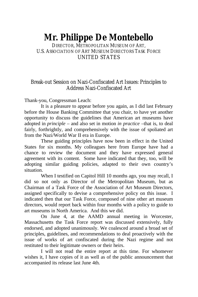# **Mr. Philippe De Montebello**

DIRECTOR, METROPOLITAN MUSEUM OF ART, U.S. ASSOCIATION OF ART MUSEUM DIRECTORS TASK FORCE UNITED STATES

### Break-out Session on Nazi-Confiscated Art Issues: Principles to Address Nazi-Confiscated Art

Thank-you, Congressman Leach:

It is a pleasure to appear before you again, as I did last February before the House Banking Committee that you chair, to have yet another opportunity to discuss the guidelines that American art museums have adopted in *principle* – and also set in motion *in practice* –that is, to deal fairly, forthrightly, and comprehensively with the issue of spoliated art from the Nazi/World War II era in Europe.

These guiding principles have now been in effect in the United States for six months. My colleagues here from Europe have had a chance to review the document and they have expressed general agreement with its content. Some have indicated that they, too, will be adopting similar guiding policies, adapted to their own country's situation.

When I testified on Capitol Hill 10 months ago, you may recall, I did so not only as Director of the Metropolitan Museum, but as Chairman of a Task Force of the Association of Art Museum Directors, assigned specifically to devise a comprehensive policy on this issue. I indicated then that our Task Force, composed of nine other art museum directors, would report back within four months with a policy to guide to art museums in North America. And this we did.

On June 4, at the AAMD annual meeting in Worcester, Massachusetts the Task Force report was discussed extensively, fully endorsed, and adopted unanimously. We coalesced around a broad set of principles, guidelines, and recommendations to deal proactively with the issue of works of art confiscated during the Nazi regime and not restituted to their legitimate owners or their heirs.

I will not read the entire report at this time. For whomever wishes it, I have copies of it as well as of the public announcement that accompanied its release last June 4th.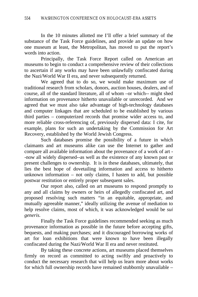In the 10 minutes allotted me I'll offer a brief summary of the substance of the Task Force guidelines, and provide an update on how one museum at least, the Metropolitan, has moved to put the report's words into action.

Principally, the Task Force Report called on American art museums to begin to conduct a comprehensive review of their collections to ascertain if any works may have been unlawfully confiscated during the Nazi/World War II era, and never subsequently returned.

We agreed that to do so, we would make maximum use of traditional research from scholars, donors, auction houses, dealers, and of course, all of the standard literature, all of whom –or which-- might shed information on provenance hitherto unavailable or unrecorded. And we agreed that we must also take advantage of high-technology databases and computer linkages that are scheduled to be established by various third parties – computerized records that promise wider access to, and more reliable cross-referencing of, previously dispersed data: I cite, for example, plans for such an undertaking by the Commission for Art Recovery, established by the World Jewish Congress.

Such databases promise the possibility of a future in which claimants and art museums alike can use the Internet to gather and compare all available information about the provenance of a work of art - -now all widely dispersed--as well as the existence of any known past or present challenges to ownership. It is in these databases, ultimately, that lies the best hope of dovetailing information and access to hitherto unknown information – not only claims, I hasten to add, but possible postwar restitution or entirely proper subsequent sales.

Our report also, called on art museums to respond promptly to any and all claims by owners or heirs of allegedly confiscated art, and proposed resolving such matters "in an equitable, appropriate, and mutually agreeable manner," ideally utilizing the avenue of mediation to help resolve claims, most of which, it was acknowledged would be *sui generis.*

Finally the Task Force guidelines recommended seeking as much provenance information as possible in the future before accepting gifts, bequests, and making purchases; and it discouraged borrowing works of art for loan exhibitions that were known to have been illegally confiscated during the Nazi/World War II era and never restituted.

By taking these concrete actions, art museums placed themselves firmly on record as committed to acting swiftly and proactively to conduct the necessary research that will help us learn more about works for which full ownership records have remained stubbornly unavailable –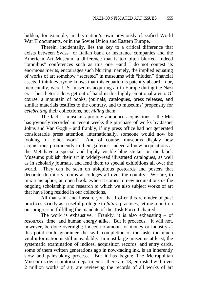hidden, for example, in this nation's own previously classified World War II documents, or in the Soviet Union and Eastern Europe.

Therein, incidentally, lies the key to a critical difference that exists between Swiss or Italian bank or insurance companies and the American Art Museum, a difference that is too often blurred. Indeed "omnibus" conferences such as this one --and I do not contest its enormous merits, encourages such blurring: namely, the implied equating of works of art somehow "secreted" in museums with "hidden" financial assets. I think everyone knows that this equation is patently absurd --nor, incidentally, were U.S. museums acquiring art in Europe during the Nazi era-- but rhetoric does get out of hand in this highly emotional arena. Of course, a mountain of books, journals, catalogues, press releases, and similar materials testifies to the contrary, and to museums' propensity for *celebrating* their collections, not *hiding* them.

The fact is, museums proudly announce acquisitions – the Met has joyously recorded in recent weeks the purchase of works by Jasper Johns and Van Gogh – and frankly, if my press office had not generated considerable press attention, internationally, someone would now be looking for other work! And of course, museums display new And of course, museums display new acquisitions prominently in their galleries, indeed all new acquisitions at the Met have a special and highly visible blue sticker on the label. Museums publish their art in widely-read illustrated catalogues, as well as in scholarly journals, and lend them to special exhibitions all over the world. They can be seen on ubiquitous postcards and posters that decorate dormitory rooms at colleges all over the country. We are, to mix a metaphor, an open book...when it comes to new acquisitions *or* the ongoing scholarship and research to which we also subject works of art that have long resided in our collections.

All that said, and I assure you that I offer this reminder of *past* practices strictly as a useful prologue to *future* practices, let me report on our progress in fulfilling the mandate of the Task Force I chaired.

The work is exhaustive. Frankly, it is also exhausting – of resources, time, and human energy alike. But it proceeds. It will not, however, be done overnight; indeed no amount or money or industry at this point could guarantee the swift completion of the task: too much vital information is still unavailable. In most large museums at least, the systematic examination of indices, acquisition records, and entry cards, some of them written generations ago in now-fading ink, is an inherently slow and painstaking process. But it has begun: The Metropolitan Museum's own curatorial departments –there are 18, entrusted with over 2 million works of art, are reviewing the records of all works of art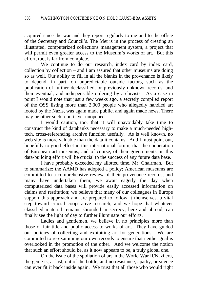acquired since the war and they report regularly to me and to the office of the Secretary and Council's. The Met is in the process of creating an illustrated, computerized collections management system, a project that will permit even greater access to the Museum's works of art. But this effort, too, is far from complete.

We continue to do our research, index card by index card, collection by collection – and I am assured that other museums are doing so as well. Our ability to fill in all the blanks in the provenance is likely to depend, in part, on unpredictable outside factors, such as the publication of further declassified, or previously unknown records, and their eventual, and indispensable ordering by archivists. As a case in point I would note that just a few weeks ago, a secretly compiled report of the OSS listing more than 2,000 people who allegedly handled art looted by the Nazis, was again made public, and again made news. There may be other such reports yet unopened.

I would caution, too, that it will unavoidably take time to construct the kind of databanks necessary to make a much-needed hightech, cross-referencing archive function usefully. As is well known, no web site is more valuable than the data it contains. And I must point out, hopefully to good effect in this international forum, that the cooperation of European art museums, and of course, of their governments, in this data-building effort will be crucial to the success of any future data base.

I have probably exceeded my allotted time, Mr. Chairman. But to summarize: the AAMD has adopted a policy; American museums are committed to a comprehensive review of their provenance records, and many have undertaken them; we await eagerly the day when computerized data bases will provide easily accessed information on claims and restitution; we believe that many of our colleagues in Europe support this approach and are prepared to follow it themselves, a vital step toward crucial cooperative research; and we hope that whatever classified material remains shrouded in secrecy, here and abroad, can finally see the light of day to further illuminate our efforts.

Ladies and gentlemen, we believe in no principles more than those of fair title and public access to works of art. They have guided our policies of collecting and exhibiting art for generations. We are committed to re-examining our own records to ensure that neither goal is overlooked in the promotion of the other. And we welcome the notion that such an effort should be, as it now appears to be, a truly global one.

On the issue of the spoliation of art in the World War II/Nazi era, the genie is, at last, out of the bottle, and no resistance, apathy, or silence can ever fit it back inside again. We trust that all those who would right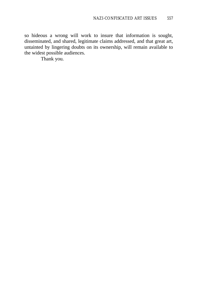so hideous a wrong will work to insure that information is sought, disseminated, and shared, legitimate claims addressed, and that great art, untainted by lingering doubts on its ownership, will remain available to the widest possible audiences.

Thank you.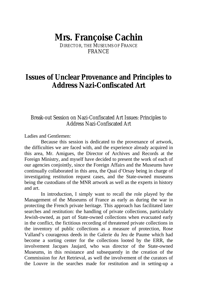## **Mrs. Françoise Cachin**

DIRECTOR, THE MUSEUMS OF FRANCE FRANCE

## **Issues of Unclear Provenance and Principles to Address Nazi-Confiscated Art**

Break-out Session on Nazi-Confiscated Art Issues: Principles to Address Nazi-Confiscated Art

Ladies and Gentlemen:

Because this session is dedicated to the provenance of artwork, the difficulties we are faced with, and the experience already acquired in this area, Mr. Amigues, the Director of Archives and Records at the Foreign Ministry, and myself have decided to present the work of each of our agencies conjointly, since the Foreign Affairs and the Museums have continually collaborated in this area, the Quai d'Orsay being in charge of investigating restitution request cases, and the State-owned museums being the custodians of the MNR artwork as well as the experts in history and art.

In introduction, I simply want to recall the role played by the Management of the Museums of France as early as during the war in protecting the French private heritage. This approach has facilitated later searches and restitution: the handling of private collections, particularly Jewish-owned, as part of State-owned collections when evacuated early in the conflict, the fictitious recording of threatened private collections in the inventory of public collections as a measure of protection, Rose Valland's courageous deeds in the Galerie du Jeu de Paume which had become a sorting center for the collections looted by the ERR, the involvement Jacques Jaujard, who was director of the State-owned Museums, in this resistance and subsequently in the creation of the Commission for Art Retrieval, as well the involvement of the curators of the Louvre in the searches made for restitution and in setting-up a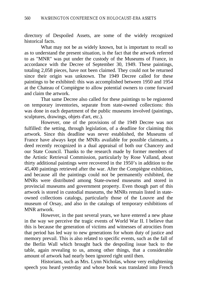directory of Despoiled Assets, are some of the widely recognized historical facts.

What may not be as widely known, but is important to recall so as to understand the present situation, is the fact that the artwork referred to as "MNR" was put under the custody of the Museums of France, in accordance with the Decree of September 30, 1949. These paintings, totaling 2,058 pieces, have not been claimed. They could not be returned since their origin was unknown. The 1949 Decree called for these paintings to be exhibited: this was accomplished between 1950 and 1954 at the Chateau of Compiègne to allow potential owners to come forward and claim the artwork.

That same Decree also called for these paintings to be registered on temporary inventories, separate from state-owned collections: this was done in each department of the public museums involved (paintings, sculptures, drawings, objets d'art, etc.).

However, one of the provisions of the 1949 Decree was not fulfilled: the setting, through legislation, of a deadline for claiming this artwork. Since this deadline was never established, the Museums of France have always kept the MNRs available for possible claimants, a deed recently recognized in a dual appraisal of both our Chancery and our State Council. Thanks to the research made by former members of the Artistic Retrieval Commission, particularly by Rose Valland, about thirty additional paintings were recovered in the 1950's in addition to the 45,400 paintings retrieved after the war. After the Compiègne exhibition, and because all the paintings could not be permanently exhibited, the MNRs were distributed among State-owned museums and stored in provincial museums and government property. Even though part of this artwork is stored in custodial museums, the MNRs remain listed in stateowned collections catalogs, particularly those of the Louvre and the museum of Orsay, and also in the catalogs of temporary exhibitions of MNR artwork.

However, in the past several years, we have entered a new phase in the way we perceive the tragic events of World War II. I believe that this is because the generation of victims and witnesses of atrocities from that period has led way to new generations for whom duty of justice and memory prevail. This is also related to specific events, such as the fall of the Berlin Wall which brought back the despoiling issue back to the table, again revealing to us, among other things, that a considerable amount of artwork had nearly been ignored right until then.

Historians, such as Mrs. Lynn Nicholas, whose very enlightening speech you heard yesterday and whose book was translated into French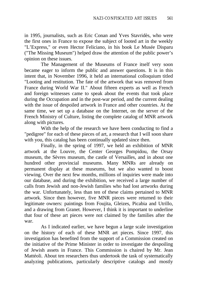in 1995, journalists, such as Eric Conan and Yves Stavridès, who were the first ones in France to expose the subject of looted art in the weekly "L'Express," or even Hector Feliciano, in his book Le Musée Disparu ("The Missing Museum") helped draw the attention of the public power's opinion on these issues.

The Management of the Museums of France itself very soon became eager to inform the public and answer questions. It is in this intent that, in November 1996, it held an international colloquium titled "Looting and restitution. The fate of the artwork that was removed from France during World War II." About fifteen experts as well as French and foreign witnesses came to speak about the events that took place during the Occupation and in the post-war period, and the current dealing with the issue of despoiled artwork in France and other countries. At the same time, we set up a database on the Internet, on the server of the French Ministry of Culture, listing the complete catalog of MNR artwork along with pictures.

With the help of the research we have been conducting to find a "pedigree" for each of these pieces of art, a research that I will soon share with you, this catalog has been continually updated since then.

Finally, in the spring of 1997, we held an exhibition of MNR artwork at the Louvre, the Center Georges Pompidou, the Orsay museum, the Sèvres museum, the castle of Versailles, and in about one hundred other provincial museums. Many MNRs are already on permanent display at these museums, but we also wanted to boost viewing. Over the next few months, millions of inquiries were made into our database, and during the exhibition, we received a large number of calls from Jewish and non-Jewish families who had lost artworks during the war. Unfortunately, less than ten of these claims pertained to MNR artwork. Since then however, five MNR pieces were returned to their legitimate owners: paintings from Foujita, Gleizes, Picabia and Utrillo, and a drawing from Granet. However, I think it is important to underline that four of these art pieces were not claimed by the families after the war.

As I indicated earlier, we have begun a large scale investigation on the history of each of these MNR art pieces. Since 1997, this investigation has benefited from the support of a Commission created on the initiative of the Prime Minister in order to investigate the despoiling of Jewish assets in France. This Commission is chaired by Mr. Jean Mattéoli. About ten researchers thus undertook the task of systematically analyzing publications, particularly descriptive catalogs and mostly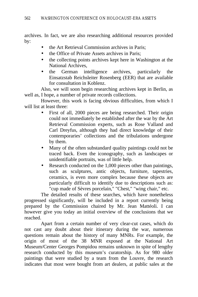archives. In fact, we are also researching additional resources provided by:

- the Art Retrieval Commission archives in Paris;
- the Office of Private Assets archives in Paris;
- the collecting points archives kept here in Washington at the National Archives,
- the German intelligence archives, particularly the Einsatzstab Reichsleiter Rosenberg (EER) that are available for consultation in Koblenz.

Also, we will soon begin researching archives kept in Berlin, as well as, I hope, a number of private records collections.

However, this work is facing obvious difficulties, from which I will list at least three:

- First of all, 2000 pieces are being researched. Their origin could not immediately be established after the war by the Art Retrieval Commission experts, such as Rose Valland and Carl Dreyfus, although they had direct knowledge of their contemporaries' collections and the tribulations undergone by them.
- Many of the often substandard quality paintings could not be traced back. Even the iconography, such as landscapes or unidentifiable portraits, was of little help.
- Research conducted on the 1,000 pieces other than paintings, such as sculptures, antic objects, furniture, tapestries, ceramics, is even more complex because these objects are particularly difficult to identify due to descriptions such as: "cup made of Sèvres porcelain," "Chest," "wing chair," etc.

The detailed results of these searches, which have nonetheless progressed significantly, will be included in a report currently being prepared by the Commission chaired by Mr. Jean Mattéoli. I can however give you today an initial overview of the conclusions that we reached.

Apart from a certain number of very clear-cut cases, which do not cast any doubt about their itinerary during the war, numerous questions remain about the history of many MNRs. For example, the origin of most of the 38 MNR exposed at the National Art Museum/Center Georges Pompidou remains unknown in spite of lengthy research conducted by this museum's curatorship. As for 980 older paintings that were studied by a team from the Louvre, the research indicates that most were bought from art dealers, at public sales at the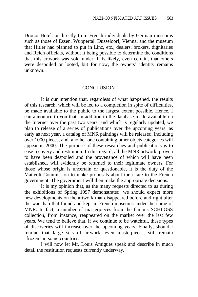Drouot Hotel, or directly from French individuals by German museums such as those of Essen, Wuppertal, Dusseldorf, Vienna, and the museum that Hitler had planned to put in Linz, etc., dealers, brokers, dignitaries and Reich officials, without it being possible to determine the conditions that this artwork was sold under. It is likely, even certain, that others were despoiled or looted, but for now, the owners' identity remains unknown.

#### **CONCLUSION**

It is our intention that, regardless of what happened, the results of this research, which will be led to a completion in spite of difficulties, be made available to the public to the largest extent possible. Hence, I can announce to you that, in addition to the database made available on the Internet over the past two years, and which is regularly updated, we plan to release of a series of publications over the upcoming years: as early as next year, a catalog of MNR paintings will be released, including over 1000 pieces, and, another one containing other objets categories will appear in 2000. The purpose of these researches and publications is to ease recovery and restitution. In this regard, all the MNR artwork, proven to have been despoiled and the provenance of which will have been established, will evidently be returned to their legitimate owners. For those whose origin is uncertain or questionable, it is the duty of the Mattéoli Commission to make proposals about their fate to the French government. The government will then make the appropriate decisions.

It is my opinion that, as the many requests directed to us during the exhibitions of Spring 1997 demonstrated, we should expect more new developments on the artwork that disappeared before and right after the war than that found and kept in French museums under the name of MNR. In fact, a number of masterpieces from the famous SCHLOSS collection, from instance, reappeared on the market over the last few years. We tend to believe that, if we continue to be watchful, these types of discoveries will increase over the upcoming years. Finally, should I remind that large sets of artwork, even masterpieces, still remain "frozen" in some countries.

I will now let Mr. Louis Amigues speak and describe in much detail the restitution requests currently underway.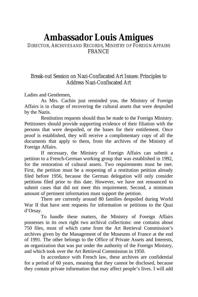# **Ambassador Louis Amigues**

DIRECTOR, ARCHIVES AND RECORDS, MINISTRY OF FOREIGN AFFAIRS FRANCE

### Break-out Session on Nazi-Confiscated Art Issues: Principles to Address Nazi-Confiscated Art

Ladies and Gentlemen,

As Mrs. Cachin just reminded you, the Ministry of Foreign Affairs is in charge of recovering the cultural assets that were despoiled by the Nazis.

Restitution requests should thus be made to the Foreign Ministry. Petitioners should provide supporting evidence of their filiation with the persons that were despoiled, or the bases for their entitlement. Once proof is established, they will receive a complimentary copy of all the documents that apply to them, from the archives of the Ministry of Foreign Affairs.

If necessary, the Ministry of Foreign Affairs can submit a petition to a French-German working group that was established in 1992, for the restoration of cultural assets. Two requirements must be met. First, the petition must be a reopening of a restitution petition already filed before 1956, because the German delegation will only consider petitions filed prior to this date. However, we have not renounced to submit cases that did not meet this requirement. Second, a minimum amount of pertinent information must support the petition.

There are currently around 80 families despoiled during World War II that have sent requests for information or petitions to the Quai d'Orsay.

To handle these matters, the Ministry of Foreign Affairs possesses in its own right two archival collections: one contains about 750 files, most of which came from the Art Retrieval Commission's archives given by the Management of the Museums of France at the end of 1991. The other belongs to the Office of Private Assets and Interests, an organization that was put under the authority of the Foreign Ministry, and which took over the Art Retrieval Commission in 1950.

In accordance with French law, these archives are confidential for a period of 60 years, meaning that they cannot be disclosed, because they contain private information that may affect people's lives. I will add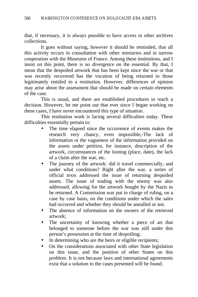that, if necessary, it is always possible to have access to other archives collections.

It goes without saying, however it should be reminded, that all this activity occurs in consultation with other ministries and in narrow cooperation with the Museums of France. Among these institutions, and I insist on this point, there is no divergence on the essential. By that, I mean that the despoiled artwork that has been kept since the war or that was recently recovered has the vocation of being returned to those legitimately entitled to a restitution. However, differences of opinion may arise about the assessment that should be made on certain elements of the case.

This is usual, and there are established procedures to reach a decision. However, let me point out that ever since I began working on these cases, I have never encountered this type of situation.

This restitution work is facing several difficulties today. These difficulties essentially pertain to:

- The time elapsed since the occurrence of events makes the research very chancy, even impossible;-The lack of information or the vagueness of the information provided on the assets under petition, for instance, description of the artwork, circumstances of the looting (place, date), the lack of a claim after the war, etc.
- The journey of the artwork: did it travel commercially, and under what conditions? Right after the war, a series of official texts addressed the issue of returning despoiled assets. The issue of trading with the enemy was also addressed, allowing for the artwork bought by the Nazis to be returned. A Commission was put in charge of ruling, on a case by case basis, on the conditions under which the sales had occurred and whether they should be annulled or not.
- The absence of information on the owners of the retrieved artwork;
- The uncertainty of knowing whether a piece of art that belonged to someone before the war was still under this person's possession at the time of despoiling;
- In determining who are the heirs or eligible recipients;
- On the considerations associated with other State legislation on this issue, and the position of other States on this problem. It is not because laws and international agreements exist that a solution to the cases presented will be found.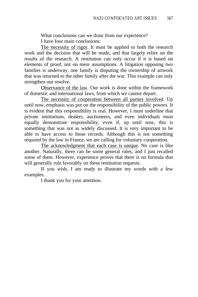What conclusions can we draw from our experience? I have four main conclusions:

The necessity of rigor. It must be applied to both the research work and the decision that will be made, and that largely relies on the results of the research. A restitution can only occur if it is based on elements of proof, not on mere assumptions. A litigation opposing two families is underway, one family is disputing the ownership of artwork that was returned to the other family after the war. This example can only strengthen our resolve.

Observance of the law. Our work is done within the framework of domestic and international laws, from which we cannot depart.

The necessity of cooperation between all parties involved. Up until now, emphasis was put on the responsibility of the public powers. It is evident that this responsibility is real. However, I must underline that private institutions, dealers, auctioneers, and even individuals must equally demonstrate responsibility, even if, up until now, this is something that was not as widely discussed. It is very important to be able to have access to those records. Although this is not something required by the law in France, we are calling for voluntary cooperation.

The acknowledgment that each case is unique. No case is like another. Naturally, there can be some general rules, and I just recalled some of them. However, experience proves that there is no formula that will generally rule favorably on these restitution requests.

If you wish, I am ready to illustrate my words with a few examples.

I thank you for your attention.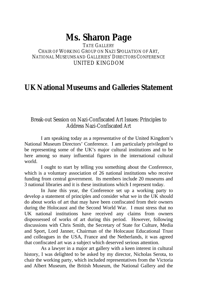# **Ms. Sharon Page**

TATE GALLERY CHAIR OF WORKING GROUP ON NAZI SPOLIATION OF ART, NATIONAL MUSEUMS AND GALLERIES' DIRECTORS CONFERENCE UNITED KINGDOM

## **UK National Museums and Galleries Statement**

### Break-out Session on Nazi-Confiscated Art Issues: Principles to Address Nazi-Confiscated Art

I am speaking today as a representative of the United Kingdom's National Museum Directors' Conference. I am particularly privileged to be representing some of the UK's major cultural institutions and to be here among so many influential figures in the international cultural world.

I ought to start by telling you something about the Conference, which is a voluntary association of 26 national institutions who receive funding from central government. Its members include 20 museums and 3 national libraries and it is these institutions which I represent today.

In June this year, the Conference set up a working party to develop a statement of principles and consider what we in the UK should do about works of art that may have been confiscated from their owners during the Holocaust and the Second World War. I must stress that no UK national institutions have received any claims from owners dispossessed of works of art during this period. However, following discussions with Chris Smith, the Secretary of State for Culture, Media and Sport, Lord Janner, Chairman of the Holocaust Educational Trust and colleagues in the USA, France and the Netherlands, it was agreed that confiscated art was a subject which deserved serious attention.

As a lawyer in a major art gallery with a keen interest in cultural history, I was delighted to be asked by my director, Nicholas Serota, to chair the working party, which included representatives from the Victoria and Albert Museum, the British Museum, the National Gallery and the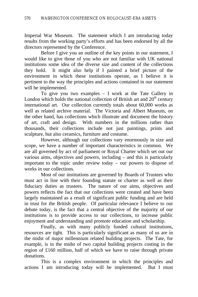Imperial War Museum. The statement which I am introducing today results from the working party's efforts and has been endorsed by all the directors represented by the Conference.

Before I give you an outline of the key points in our statement, I would like to give those of you who are not familiar with UK national institutions some idea of the diverse size and content of the collections they hold. It might also help if I painted a brief picture of the environment in which these institutions operate, as I believe it is pertinent to the way the principles and actions contained in our statement will be implemented.

To give you two examples – I work at the Tate Gallery in London which holds the national collection of British art and  $20<sup>th</sup>$  century international art. Our collection currently totals about 60,000 works as well as related archive material. The Victoria and Albert Museum, on the other hand, has collections which illustrate and document the history of art, craft and design. With numbers in the millions rather than thousands, their collections include not just paintings, prints and sculpture, but also ceramics, furniture and costume.

However, although our collections vary enormously in size and scope, we have a number of important characteristics in common. We are all governed by act of parliament or Royal Charter which set out our various aims, objectives and powers, including – and this is particularly important to the topic under review today – our powers to dispose of works in our collections.

Most of our institutions are governed by Boards of Trustees who must act in line with their founding statute or charter as well as their fiduciary duties as trustees. The nature of our aims, objectives and powers reflects the fact that our collections were created and have been largely maintained as a result of significant public funding and are held in trust for the British people. Of particular relevance I believe to our debate today, is the fact that a central objective of the majority of our institutions is to provide access to our collections, to increase public enjoyment and understanding and promote education and scholarship.

Finally, as with many publicly funded cultural institutions, resources are tight. This is particularly significant as many of us are in the midst of major millennium related building projects. The Tate, for example, is in the midst of two capital building projects costing in the region of £160 million, half of which we have to raise through private donations.

This is a complex environment in which the principles and actions I am introducing today will be implemented. But I must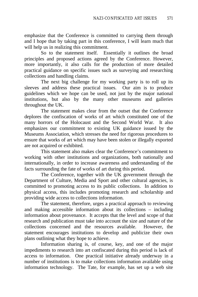emphasize that the Conference is committed to carrying them through and I hope that by taking part in this conference, I will learn much that will help us in realizing this commitment.

So to the statement itself. Essentially it outlines the broad principles and proposed actions agreed by the Conference. However, more importantly, it also calls for the production of more detailed practical guidance on specific issues such as surveying and researching collections and handling claims.

The next big challenge for my working party is to roll up its sleeves and address these practical issues. Our aim is to produce guidelines which we hope can be used, not just by the major national institutions, but also by the many other museums and galleries throughout the UK.

The statement makes clear from the outset that the Conference deplores the confiscation of works of art which constituted one of the many horrors of the Holocaust and the Second World War. It also emphasizes our commitment to existing UK guidance issued by the Museums Association, which stresses the need for rigorous procedures to ensure that works of art which may have been stolen or illegally exported are not acquired or exhibited.

This statement also makes clear the Conference's commitment to working with other institutions and organizations, both nationally and internationally, in order to increase awareness and understanding of the facts surrounding the fate of works of art during this period.

The Conference, together with the UK government through the Department of Culture, Media and Sport and other cultural agencies, is committed to promoting access to its public collections. In addition to physical access, this includes promoting research and scholarship and providing wide access to collections information.

The statement, therefore, urges a practical approach to reviewing and making accessible information about its collections – including information about provenance. It accepts that the level and scope of that research and publication must take into account the size and nature of the collections concerned and the resources available. However, the statement encourages institutions to develop and publicize their own plans outlining what they hope to achieve.

Information sharing is, of course, key, and one of the major impediments to research into art confiscated during this period is lack of access to information. One practical initiative already underway in a number of institutions is to make collections information available using information technology. The Tate, for example, has set up a web site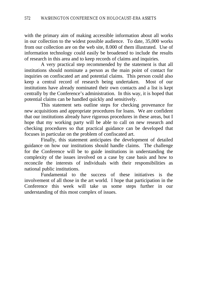with the primary aim of making accessible information about all works in our collection to the widest possible audience. To date, 35,000 works from our collection are on the web site, 8.000 of them illustrated. Use of information technology could easily be broadened to include the results of research in this area and to keep records of claims and inquiries.

A very practical step recommended by the statement is that all institutions should nominate a person as the main point of contact for inquiries on confiscated art and potential claims. This person could also keep a central record of research being undertaken. Most of our institutions have already nominated their own contacts and a list is kept centrally by the Conference's administration. In this way, it is hoped that potential claims can be handled quickly and sensitively.

This statement sets outline steps for checking provenance for new acquisitions and appropriate procedures for loans. We are confident that our institutions already have rigorous procedures in these areas, but I hope that my working party will be able to call on new research and checking procedures so that practical guidance can be developed that focuses in particular on the problem of confiscated art.

Finally, this statement anticipates the development of detailed guidance on how our institutions should handle claims. The challenge for the Conference will be to guide institutions in understanding the complexity of the issues involved on a case by case basis and how to reconcile the interests of individuals with their responsibilities as national public institutions.

Fundamental to the success of these initiatives is the involvement of all those in the art world. I hope that participation in the Conference this week will take us some steps further in our understanding of this most complex of issues.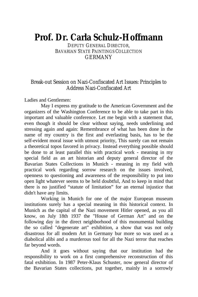# **Prof. Dr. Carla Schulz-Hoffmann**

DEPUTY GENERAL DIRECTOR, BAVARIAN STATE PAINTINGS COLLECTION **GERMANY** 

### Break-out Session on Nazi-Confiscated Art Issues: Principles to Address Nazi-Confiscated Art

Ladies and Gentlemen:

May I express my gratitude to the American Government and the organizers of the Washington Conference to be able to take part in this important and valuable conference. Let me begin with a statement that, even though it should be clear without saying, needs underlining and stressing again and again: Remembrance of what has been done in the name of my country is the first and everlasting basis, has to be the self-evident moral issue with utmost priority, This surely can not remain a theoretical topos favored in privacy. Instead everything possible should be done to at least parallel this with practical work - meaning in my special field as an art historian and deputy general director of the Bavarian States Collections in Munich - meaning in my field with practical work regarding sorrow research on the issues involved, openness to questioning and awareness of the responsibility to put into open light whatever seems to be held doubtful, And to keep in mind that there is no justified "statute of limitation" for an eternal injustice that didn't have any limits.

Working in Munich for one of the major European museum institutions surely has a special meaning in this historical context. In Munich as the capital of the Nazi movement Hitler opened, as you all know, on July 18th 1937 the "House of German Art" and on the following day in the direct neighborhood of this monumental building the so called "degenerate art" exhibition, a show that was not only disastrous for all modem Art in Germany bur more so was used as a diabolical alibi and a murderous tool for all the Nazi terror that reaches far beyond words.

And it goes without saying that our institution had the responsibility to work on a first comprehensive reconstruction of this fatal exhibition. In 1987 Peter-Klaus Schuster, now general director of the Bavarian States collections, put together, mainly in a sorrowly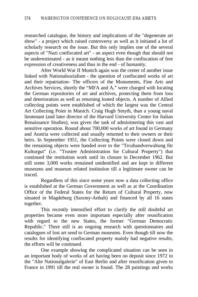researched catalogue, the history and implications of the "degenerate art show" - a project which raised controversy as well as it initiated a lot of scholarly research on the issue. But this only implies one of the several aspects of "Nazi confiscated art" - an aspect even though that should not be underestimated - as it meant nothing less than the confiscation of free expression of creativeness and thus in the end - of humanity.

After World War II Munich again was the center of another issue linked with Nationalsozialism - the question of confiscated works of art and their repatriation- The officers of the Monuments, Fine Arts and Archives Services, shortly the "MFA and A," were charged with locating the German repositories of art and archives, protecting them from loss and deterioration as well as returning looted objects. A number of Allied collecting points were established of which the largest was the Central Art Collecting Point in Munich. Craig Hugh Smyth, than a young naval lieutenant (and later director of the Harvard University Center for Italian Renaissance Studies), was given the task of administering this vast and sensitive operation. Round about 700,000 works of art found in Germany and Austria were collected and usually returned to their owners or their heirs. In September 1951, the Collecting Points were closed down and the remaining objects were handed over to the "Trcuhandverwaltung für Kulturgut" (i.e. "Trustee Administration for Cultural Property") that continued the restitution work until its closure in December 1962. But still some 3,000 works remained unidentified and are kept in different museums and museum related institution till a legitimate owner can be traced.

Regardless of this since some years now a data collecting office is established at the German Government as well as at the Coordination Office of the Federal States for the Return of Cultural Property, now situated in Magdeburg (Saxony-Anhalt) and financed by all 16 states together.

This recently intensified effort to clarify the still doubtful art properties became even more important especially after reunification with regard to the new States, the former "German Democratic Republic." There still is an ongoing research with questionnaires and catalogues of lost art send to German museums. Even though till now the results for identifying confiscated property mainly had negative results, the efforts will be continued.

One example showing the complicated situation can be seen in an important body of works of art having been on deposit since 1972 in the "Alte Nationalgalerie" of East Berlin and after reunification given to France in 1991 till the real owner is found. The 28 paintings and works